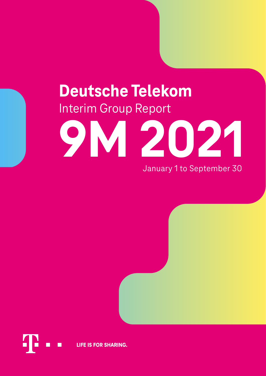# **Deutsche Telekom** Interim Group Report



January 1 to September 30

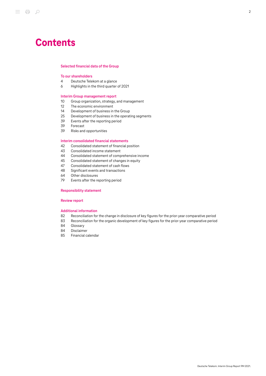# **Contents**

### [Selected financial data of the Group](#page-2-0)

# [To our shareholders](#page-3-0)

- 4 [Deutsche Telekom at a glance](#page-3-1)
- 6 [Highlights in the third quarter of 2021](#page-5-0)

#### [Interim Group management report](#page-9-0)

- 10 [Group organization, strategy, and management](#page-9-1)
- 12 [The economic environment](#page-11-0)
- 14 [Development of business in the Group](#page-13-0)
- 25 [Development of business in the operating segments](#page-24-0)<br>39 Events after the reporting period
- 39 [Events after the reporting period](#page-38-0)<br>39 Eorecast
- 39 [Forecast](#page-38-1)<br>39 Risks and
- [Risks and opportunities](#page-38-2)

# [Interim consolidated financial statements](#page-41-0)<br>42 Consolidated statement of financial p

- 42 [Consolidated statement of financial position](#page-41-1)
- 43 [Consolidated income statement](#page-42-0)<br>44 Consolidated statement of comp
- 44 [Consolidated statement of comprehensive income](#page-43-0)<br>45 Consolidated statement of changes in equity
- [Consolidated statement of changes in equity](#page-44-0)
- 47 [Consolidated statement of cash flows](#page-46-0)<br>48 Significant events and transactions
- [Significant events and transactions](#page-47-0)
- 64 [Other disclosures](#page-63-0)
- 79 [Events after the reporting period](#page-78-0)

# [Responsibility statement](#page-79-0)

# [Review report](#page-80-0)

#### [Additional information](#page-81-0)

- 82 [Reconciliation for the change in disclosure of key figures for the prior-year comparative period](#page-81-1)
- 83 [Reconciliation for the organic development of key figures for the prior-year comparative period](#page-82-0)
- 84 [Glossary](#page-83-0)
- 
- 84 [Disclaimer](#page-83-1)<br>85 Financial c [Financial calendar](#page-84-0)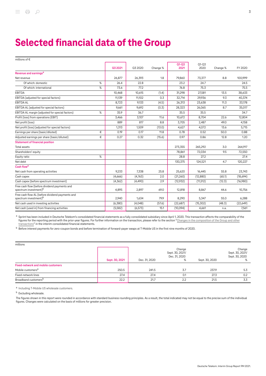# <span id="page-2-0"></span>Selected financial data of the Group

| millions of €                                                                        |      |          |          |          |           |           |          |           |
|--------------------------------------------------------------------------------------|------|----------|----------|----------|-----------|-----------|----------|-----------|
|                                                                                      |      |          |          |          | $Q1 - Q3$ | $Q1 - Q3$ |          |           |
|                                                                                      |      | Q3 2021  | Q3 2020  | Change % | 2021      | 2020      | Change % | FY 2020   |
| Revenue and earnings <sup>a</sup>                                                    |      |          |          |          |           |           |          |           |
| Net revenue                                                                          |      | 26,877   | 26,393   | 1.8      | 79,860    | 73,377    | 8.8      | 100,999   |
| Of which: domestic                                                                   | $\%$ | 26.4     | 22.8     |          | 23.2      | 24.7      |          | 24.5      |
| Of which: international                                                              | %    | 73.6     | 77.2     |          | 76.8      | 75.3      |          | 75.5      |
| EBITDA                                                                               |      | 10,468   | 10,615   | (1.4)    | 31,298    | 27,581    | 13.5     | 38,633    |
| EBITDA (adjusted for special factors)                                                |      | 11,139   | 11,102   | 0.3      | 32,714    | 29,936    | 9.3      | 40,374    |
| <b>EBITDA AL</b>                                                                     |      | 8,723    | 9,133    | (4.5)    | 26,313    | 23,638    | 11.3     | 33,178    |
| EBITDA AL (adjusted for special factors)                                             |      | 9,661    | 9,692    | (0.3)    | 28,323    | 26,065    | 8.7      | 35,017    |
| EBITDA AL margin (adjusted for special factors)                                      | %    | 35.9     | 36.7     |          | 35.5      | 35.5      |          | 34.7      |
| Profit (loss) from operations (EBIT)                                                 |      | 3,466    | 3,107    | 11.6     | 10,672    | 8,704     | 22.6     | 12,804    |
| Net profit (loss)                                                                    |      | 889      | 817      | 8.8      | 3,705     | 2,487     | 49.0     | 4,158     |
| Net profit (loss) (adjusted for special factors)                                     |      | 1,313    | 1,509    | (13.0)   | 4,627     | 4,072     | 13.6     | 5,715     |
| Earnings per share (basic/diluted)                                                   | €    | 0.19     | 0.17     | 11.8     | 0.78      | 0.52      | 50.0     | 0.88      |
| Adjusted earnings per share (basic/diluted)                                          | €    | 0.27     | 0.32     | (15.6)   | 0.97      | 0.86      | 12.8     | 1.20      |
| <b>Statement of financial position</b>                                               |      |          |          |          |           |           |          |           |
| Total assets                                                                         |      |          |          |          | 273,355   | 265,292   | 3.0      | 264,917   |
| Shareholders' equity                                                                 |      |          |          |          | 78,861    | 72,034    | 9.5      | 72,550    |
| Equity ratio                                                                         | %    |          |          |          | 28.8      | 27.2      |          | 27.4      |
| Net debt                                                                             |      |          |          |          | 130,375   | 124,521   | 4.7      | 120,227   |
| Cash flow <sup>a</sup>                                                               |      |          |          |          |           |           |          |           |
| Net cash from operating activities                                                   |      | 9,233    | 7,338    | 25.8     | 25,620    | 16,445    | 55.8     | 23,743    |
| Cash capex                                                                           |      | (4,666)  | (4,763)  | 2.0      | (21,260)  | (12, 880) | (65.1)   | (18,694)  |
| Cash capex (before spectrum investment)                                              |      | (4, 362) | (4, 490) | 2.9      | (12,932)  | (11, 512) | (12.3)   | (16,980)  |
| Free cash flow (before dividend payments and<br>spectrum investment) <sup>b</sup>    |      | 4,895    | 2,897    | 69.0     | 12,818    | 8,867     | 44.6     | 10,756    |
| Free cash flow AL (before dividend payments and<br>spectrum investment) <sup>b</sup> |      | 2,940    | 1,634    | 79.9     | 8,290     | 5,347     | 55.0     | 6,288     |
| Net cash used in investing activities                                                |      | (6, 380) | (4,048)  | (57.6)   | (22,687)  | (15, 302) | (48.3)   | (22, 649) |
| Net cash (used in) from financing activities                                         |      | (5,582)  | (6, 573) | 15.1     | (10,094)  | 4,661     | n.a.     | 7,561     |

a Sprint has been included in Deutsche Telekom's consolidated financial statements as a fully consolidated subsidiary since April 1, 2020. This transaction affects the comparability of the figures for the reporting period with the prior-year figures. For further information on the transaction, please refer to the section "[Changes in the composition of the Group and other](#page-48-0) [transactions"](#page-48-0) in the interim consolidated financial statements.

<sup>b</sup> Before interest payments for zero-coupon bonds and before termination of forward-payer swaps at T-Mobile US in the first nine months of 2020.

| millions                                  |                |               |                                                 |                |                                                  |
|-------------------------------------------|----------------|---------------|-------------------------------------------------|----------------|--------------------------------------------------|
|                                           | Sept. 30, 2021 | Dec. 31, 2020 | Change<br>Sept. 30, 2021/<br>Dec. 31, 2020<br>℅ | Sept. 30, 2020 | Change<br>Sept. 30, 2021/<br>Sept. 30, 2020<br>% |
| <b>Fixed-network and mobile customers</b> |                |               |                                                 |                |                                                  |
| Mobile customers <sup>a</sup>             | 250.5          | 241.5         | 3.7                                             | 237.9          | 5.3                                              |
| Fixed-network lines                       | 27.4           | 27.4          | 0.1                                             | 27.3           | 0.2                                              |
| Broadband customers <sup>b</sup>          | 22.2           | 21.7          | 2.2                                             | 21.5           | 3.3                                              |

a Including T-Mobile US wholesale customers.

**b** Excluding wholesale.

The figures shown in this report were rounded in accordance with standard business rounding principles. As a result, the total indicated may not be equal to the precise sum of the individual figures. Changes were calculated on the basis of millions for greater precision.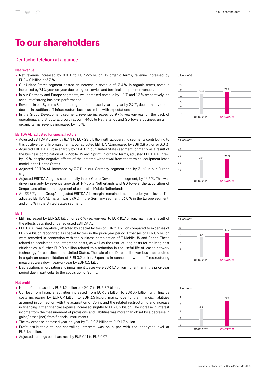# <span id="page-3-0"></span>To our shareholders

# <span id="page-3-1"></span>Deutsche Telekom at a glance

#### Net revenue

- Net revenue increased by 8.8% to EUR 79.9 billion. In organic terms, revenue increased by EUR 4.0 billion or 5.3 %.
- Our United States segment posted an increase in revenue of 13.4 %. In organic terms, revenue increased by 7.1 % year-on-year due to higher service and terminal equipment revenues.
- In our Germany and Europe segments, we increased revenue by 1.8 % and 1.3 % respectively, on account of strong business performance.
- Revenue in our Systems Solutions segment decreased year-on-year by 2.9 %, due primarily to the  $\blacksquare$ decline in traditional IT infrastructure business, in line with expectations.
- In the Group Development segment, revenue increased by 9.7 % year-on-year on the back of operational and structural growth at our T‑Mobile Netherlands and GD Towers business units. In organic terms, revenue increased by 4.3 %.

# EBITDA AL (adjusted for special factors)

- Adjusted EBITDA AL grew by 8.7 % to EUR 28.3 billion with all operating segments contributing to this positive trend. In organic terms, our adjusted EBITDA AL increased by EUR 0.8 billion or 3.0 %.
- Adjusted EBITDA AL rose sharply by 11.4 % in our United States segment, primarily as a result of the business combination of T-Mobile US and Sprint. In organic terms, adjusted EBITDA AL grew by 1.9 %, despite negative effects of the initiated withdrawal from the terminal equipment lease model in the United States.
- Adjusted EBITDA AL increased by 3.7% in our Germany segment and by 3.1% in our Europe segment.
- Adjusted EBITDA AL grew substantially in our Group Development segment, by 16.6 %. This was driven primarily by revenue growth at T‑Mobile Netherlands and GD Towers, the acquisition of Simpel, and efficient management of costs at T‑Mobile Netherlands.
- At 35.5 %, the Group's adjusted EBITDA AL margin remained at the prior-year level. The adjusted EBITDA AL margin was 39.9 % in the Germany segment, 36.0 % in the Europe segment, and 34.5 % in the United States segment.

#### EBIT

- EBIT increased by EUR 2.0 billion or 22.6 % year-on-year to EUR 10.7 billion, mainly as a result of the effects described under adjusted EBITDA AL.
- **EBITDA AL was negatively affected by special factors of EUR 2.0 billion compared to expenses of** EUR 2.4 billion recognized as special factors in the prior-year period. Expenses of EUR 0.9 billion were recorded in connection with the business combination of T-Mobile US and Sprint. These related to acquisition and integration costs, as well as the restructuring costs for realizing cost efficiencies. A further EUR 0.6 billion related to a reduction in the useful life of leased network technology for cell sites in the United States. The sale of the Dutch cell tower business resulted in a gain on deconsolidation of EUR 0.2 billion. Expenses in connection with staff restructuring measures were down year-on-year by EUR 0.5 billion.
- Depreciation, amortization and impairment losses were EUR 1.7 billion higher than in the prior-year period due in particular to the acquisition of Sprint.

#### Net profit

- Net profit increased by EUR 1.2 billion or 49.0 % to EUR 3.7 billion.
- Our loss from financial activities increased from EUR 3.2 billion to EUR 3.7 billion, with finance costs increasing by EUR 0.4 billion to EUR 3.5 billion, mainly due to the financial liabilities assumed in connection with the acquisition of Sprint and the related restructuring and increase in financing. Other financial expense increased slightly to EUR 0.2 billion. The increase in interest income from the measurement of provisions and liabilities was more than offset by a decrease in gains/losses (net) from financial instruments.
- The tax expense increased year-on-year by EUR 0.3 billion to EUR 1.7 billion.
- **Profit attributable to non-controlling interests was on a par with the prior-year level at** EUR 1.6 billion.
- Adjusted earnings per share rose by EUR 0.11 to EUR 0.97.





billions of €





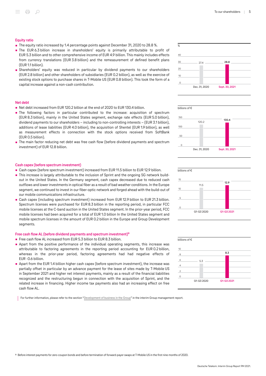#### Equity ratio

- The equity ratio increased by 1.4 percentage points against December 31, 2020 to 28.8 %.
- The EUR 6.3 billion increase in shareholders' equity is primarily attributable to profit of EUR 5.3 billion and to other comprehensive income of EUR 4.9 billion. This mainly includes effects from currency translations (EUR 3.8 billion) and the remeasurement of defined benefit plans (EUR 1.1 billion).
- Shareholders' equity was reduced in particular by dividend payments to our shareholders (EUR 2.8 billion) and other shareholders of subsidiaries (EUR 0.2 billion), as well as the exercise of existing stock options to purchase shares in T-Mobile US (EUR 0.8 billion). This took the form of a capital increase against a non-cash contribution.

#### Net debt

- Net debt increased from EUR 120.2 billion at the end of 2020 to EUR 130.4 billion.
- The following factors in particular contributed to the increase: acquisition of spectrum (EUR 8.3 billion), mainly in the United States segment, exchange rate effects (EUR 5.0 billion), dividend payments to our shareholders – including to non-controlling interests – (EUR 3.1 billion), additions of lease liabilities (EUR 4.0 billion), the acquisition of Shentel (EUR 1.9 billion), as well as measurement effects in connection with the stock options received from SoftBank (EUR 0.5 billion).
- **The main factor reducing net debt was free cash flow (before dividend payments and spectrum** investment) of EUR 12.8 billion.

#### Cash capex (before spectrum investment)

- Cash capex (before spectrum investment) increased from EUR 11.5 billion to EUR 12.9 billion.
- This increase is largely attributable to the inclusion of Sprint and the ongoing 5G network buildout in the United States. In the Germany segment, cash capex decreased due to reduced cash outflows and lower investments in optical fiber as a result of bad weather conditions. In the Europe segment, we continued to invest in our fiber-optic network and forged ahead with the build-out of our mobile communications infrastructure.
- Cash capex (including spectrum investment) increased from EUR 12.9 billion to EUR 21.3 billion. Spectrum licenses were purchased for EUR 8.3 billion in the reporting period, in particular FCC mobile licenses at the C-band auction in the United States segment. In the prior-year period, FCC mobile licenses had been acquired for a total of EUR 1.0 billion In the United States segment and mobile spectrum licenses in the amount of EUR 0.2 billion in the Europe and Group Development segments.

#### Free cash flow AL (before dividend payments and spectrum investment)<sup>a</sup>

- Free cash flow AL increased from EUR 5.3 billion to EUR 8.3 billion.
- Apart from the positive performance of the individual operating segments, this increase was attributable to factoring agreements in the reporting period accounting for EUR 0.2 billion, whereas in the prior-year period, factoring agreements had had negative effects of EUR -0.6 billion.
- Apart from the EUR 1.4 billion higher cash capex (before spectrum investment), the increase was partially offset in particular by an advance payment for the lease of sites made by T-Mobile US in September 2021 and higher net interest payments, mainly as a result of the financial liabilities recognized and the restructuring begun in connection with the acquisition of Sprint, and the related increase in financing. Higher income tax payments also had an increasing effect on free cash flow AL.

For further information, please refer to the section "[Development of business in the Group"](#page-13-0) in the interim Group management report.







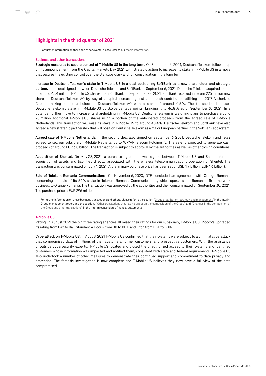# <span id="page-5-0"></span>Highlights in the third quarter of 2021

For further information on these and other events, please refer to our [media information](http://www.telekom.com/en/media/media-information).

#### Business and other transactions

Strategic measures to secure control of T-Mobile US in the long term. On September 6, 2021, Deutsche Telekom followed up on its announcement from the Capital Markets Day 2021 with strategic action to increase its stake in T‑Mobile US in a move that secures the existing control over the U.S. subsidiary and full consolidation in the long term.

Increase in Deutsche Telekom's stake in T‑Mobile US in a deal positioning SoftBank as a new shareholder and strategic partner. In the deal signed between Deutsche Telekom and SoftBank on September 6, 2021, Deutsche Telekom acquired a total of around 45.4 million T‑Mobile US shares from SoftBank on September 28, 2021. SoftBank received in return 225 million new shares in Deutsche Telekom AG by way of a capital increase against a non-cash contribution utilizing the 2017 Authorized Capital, making it a shareholder in Deutsche Telekom AG with a stake of around 4.5 %. The transaction increases Deutsche Telekom's stake in T‑Mobile US by 3.6 percentage points, bringing it to 46.8 % as of September 30, 2021. In a potential further move to increase its shareholding in T‑Mobile US, Deutsche Telekom is weighing plans to purchase around 20 million additional T‑Mobile US shares using a portion of the anticipated proceeds from the agreed sale of T‑Mobile Netherlands. This transaction will raise its stake in T‑Mobile US to around 48.4 %. Deutsche Telekom and SoftBank have also agreed a new strategic partnership that will position Deutsche Telekom as a major European partner in the SoftBank ecosystem.

Agreed sale of T-Mobile Netherlands. In the second deal also signed on September 6, 2021, Deutsche Telekom and Tele2 agreed to sell our subsidiary T-Mobile Netherlands to WP/AP Telecom Holdings IV. The sale is expected to generate cash proceeds of around EUR 3.8 billion. The transaction is subject to approval by the authorities as well as other closing conditions.

Acquisition of Shentel. On May 28, 2021, a purchase agreement was signed between T-Mobile US and Shentel for the acquisition of assets and liabilities directly associated with the wireless telecommunications operation of Shentel. The transaction was consummated on July 1, 2021. A preliminary purchase price has been set of USD 1.9 billion (EUR 1.6 billion).

Sale of Telekom Romania Communications. On November 6, 2020, OTE concluded an agreement with Orange Romania concerning the sale of its 54 % stake in Telekom Romania Communications, which operates the Romanian fixed-network business, to Orange Romania. The transaction was approved by the authorities and then consummated on September 30, 2021. The purchase price is EUR 296 million.

For further information on these business transactions and others, please refer to the section "[Group organization, strategy, and management"](#page-9-1) in the interim Group management report and the sections ["Other transactions that had no effect on the composition of the Group](#page-55-0)" and ["Changes in the composition of](#page-48-0) [the Group and other transactions](#page-48-0)" in the interim consolidated financial statements.

#### T‑Mobile US

Rating. In August 2021 the big three rating agencies all raised their ratings for our subsidiary, T-Mobile US. Moody's upgraded its rating from Ba2 to Ba1, Standard & Poor's from BB to BB+, and Fitch from BB+ to BBB-.

Cyberattack on T-Mobile US. In August 2021 T-Mobile US confirmed that their systems were subject to a criminal cyberattack that compromised data of millions of their customers, former customers, and prospective customers. With the assistance of outside cybersecurity experts, T‑Mobile US located and closed the unauthorized access to their systems and identified customers whose information was impacted and notified them, consistent with state and federal requirements. T-Mobile US also undertook a number of other measures to demonstrate their continued support and commitment to data privacy and protection. The forensic investigation is now complete and T-Mobile US believes they now have a full view of the data compromised.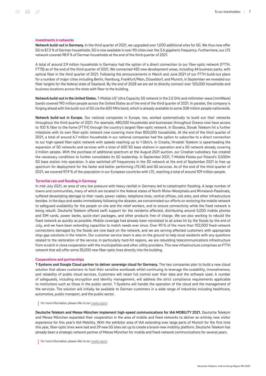#### Investments in networks

Network build-out in Germany. In the third quarter of 2021, we upgraded over 1,000 additional sites for 5G. We thus now offer 5G to 87.3 % of German households. 5G is now available in over 90 cities over the 3.6 gigahertz frequency. Furthermore, our LTE network covered 98.9 % of German households at the end of the third quarter of 2021.

A total of around 2.9 million households in Germany had the option of a direct connection to our fiber-optic network (FTTH, FTTB) as of the end of the third quarter of 2021. We connected 435 new development areas, including 44 business parks, with optical fiber in the third quarter of 2021. Following the announcements in March and June 2021 of our FTTH build-out plans for a number of major cities including Berlin, Hamburg, Frankfurt/Main, Düsseldorf, and Munich, in September we revealed our fiber targets for the federal state of Saarland. By the end of 2028 we are set to directly connect over 120,000 households and business locations across the state with fiber to the building.

Network build-out in the United States. T‑Mobile US' Ultra Capacity 5G network in the 2.5 GHz and millimeter-wave (mmWave) bands covered 190 million people across the United States as of the end of the third quarter of 2021. In parallel, the company is forging ahead with the build-out of 5G via the 600 MHz band, which is already available to some 308 million people nationwide.

Network build-out in Europe. Our national companies in Europe, too, worked systematically to build out their networks throughout the third quarter of 2021. For example, 480,000 households and businesses throughout Greece now have access to 100 % fiber to the home (FTTH) through the country's largest fiber-optic network. In Slovakia, Slovak Telekom hit a further milestone with its own fiber-optic network now covering more than 800,000 households. At the end of the third quarter of 2021, a total of around 6.7 million households in our national companies had the option to subscribe to a direct connection to our high-speed fiber-optic network with speeds reaching up to 1 Gbit/s. In Croatia, Hrvatski Telekom is spearheading the expansion of 5G networks and services with a total of 600 5G base stations in operation and a 5G network already covering 2 million people. With the purchase of additional spectrum at the August 2021 auction, our Croatian subsidiary has created the necessary conditions to further consolidate its 5G leadership. In September 2021, T‑Mobile Polska put Poland's 3,000th 5G base station into operation. It also switched off frequencies in the 3G network at the end of September 2021 to free up spectrum for deployment for the faster and better performing LTE/4G and 5G services. As of the end of the third quarter of 2021, we covered 97.9 % of the population in our European countries with LTE, reaching a total of around 109 million people.

#### Torrential rain and flooding in Germany

In mid-July 2021, an area of very low pressure with heavy rainfall in Germany led to catastrophic flooding. A large number of towns and communities, many of which are located in the federal states of North Rhine-Westphalia and Rhineland-Palatinate, suffered devastating damage to their roads, power cables, telephone lines, central offices, cell sites, and other infrastructure besides. In the days and weeks immediately following the disaster, we concentrated our efforts on restoring the mobile network to safeguard availability for the people on site and the relief workers, and to ensure connectivity while the fixed network is being rebuilt. Deutsche Telekom offered swift support for the residents affected, distributing around 5,000 mobile phones and SIM cards, power banks, quick-start packages, and other products free of charge. We are also working to rebuild the fixed network as quickly as possible. Mobile coverage had already been reinstated to all areas hit by the floods by the end of July, and we have been extending capacities to match needs ever since. Over 90 % of the more than 102,000 fixed-network connections damaged by the floods are now back on the network, and we are serving affected customers with appropriate stop-gap solutions in the interim. Our customer service team is also on the ground to help local residents with any questions related to the restoration of the service. In particularly hard-hit regions, we are rebuilding telecommunications infrastructure from scratch in close cooperation with the municipalities and other utility providers. This new infrastructure comprises an FTTH network that will offer some 35,000 new fiber-optic lines directly into the building.

#### Cooperations and partnerships

T-Systems and Google Cloud partner to deliver sovereign cloud for Germany. The two companies plan to build a new cloud solution that allows customers to host their sensitive workloads whilst continuing to leverage the scalability, innovativeness, and reliability of public cloud services. Customers will retain full control over their data and the software used. A number of safeguards, including encryption and identity management, will address the strict compliance requirements applicable to institutions such as those in the public sector. T‑Systems will handle the operation of the cloud and the management of the services. The solution will initially be available to German customers in a wide range of industries including healthcare, automotive, public transport, and the public sector.

For more information, please refer to our [media report.](https://www.telekom.com/en/media/media-information/archive/sovereign-cloud-from-t-systems-and-google-cloud-635314)

Deutsche Telekom and Messe München implement high-speed communications for IAA MOBILITY 2021. Deutsche Telekom and Messe München expanded their cooperation in the area of mobile and fixed networks to deliver an entirely new visitor experience for this year's IAA Mobility. With the exhibitor area of IAA extending over large parts of Munich for the first time this year, fiber-optic lines were laid and 29 new 5G sites set up to create a brand-new mobility platform. Deutsche Telekom has already been a strategic network partner of Messe München for mobile and fixed-network communications for several years.

For more information, please refer to our [media report.](https://www.telekom.com/en/media/media-information/archive/high-speed-networks-for-messe-muenchen-632994)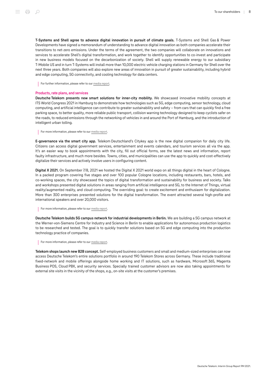T‑Systems and Shell agree to advance digital innovation in pursuit of climate goals. T‑Systems and Shell Gas & Power Developments have signed a memorandum of understanding to advance digital innovation as both companies accelerate their transitions to net-zero emissions. Under the terms of the agreement, the two companies will collaborate on innovations and services to accelerate Shell's digital transformation, and work together to identify opportunities to co-invest and participate in new business models focused on the decarbonization of society. Shell will supply renewable energy to our subsidiary T‑Mobile US and in turn T‑Systems will install more than 10,000 electric vehicle charging stations in Germany for Shell over the next three years. Both companies will also explore new areas of innovation in pursuit of greater sustainability, including hybrid and edge computing, 5G connectivity, and cooling technology for data centers.

For further information, please refer to our [media report.](https://www.telekom.com/en/media/media-information/archive/shell-and-deutsche-telekom-agree-to-advance-digital-innovation-in-pursuit-of-climate-goals-631362)

#### Products, rate plans, and services

Deutsche Telekom presents new smart solutions for inner-city mobility. We showcased innovative mobility concepts at ITS World Congress 2021 in Hamburg to demonstrate how technologies such as 5G, edge computing, sensor technology, cloud computing, and artificial intelligence can contribute to greater sustainability and safety – from cars that can quickly find a free parking space, to better quality, more reliable public transport, collision warning technology designed to keep cyclists safer on the roads, to reduced emissions through the networking of vehicles in and around the Port of Hamburg, and the introduction of intelligent urban tolling.

For more information, please refer to our [media report.](https://www.telekom.com/en/media/media-information/archive/telekom-at-the-its-world-congress-637038)

E-governance via the smart city app. Telekom Deutschland's Citykey app is the new digital companion for daily city life. Citizens can access digital government services, entertainment and events calendars, and tourism services all via the app. It's an easier way to book appointments with the city, fill out official forms, see the latest news and information, report faulty infrastructure, and much more besides. Towns, cities, and municipalities can use the app to quickly and cost-effectively digitalize their services and actively involve users in configuring content.

Digital X 2021. On September 7/8, 2021 we hosted the Digital X 2021 world expo on all things digital in the heart of Cologne. In a packed program covering five stages and over 100 popular Cologne locations, including restaurants, bars, hotels, and co-working spaces, the city showcased the topics of digital transformation and sustainability for business and society. Talks and workshops presented digital solutions in areas ranging from artificial intelligence and 5G, to the Internet of Things, virtual reality/augmented reality, and cloud computing. The overriding goal: to create excitement and enthusiasm for digitalization. More than 300 enterprises presented solutions for the digital transformation. The event attracted several high-profile and international speakers and over 20,000 visitors.

For more information, please refer to our [media report.](https://www.telekom.com/en/media/media-information/archive/digital-x-2021-digitization-makes-all-the-difference-635824)

Deutsche Telekom builds 5G campus network for industrial developments in Berlin. We are building a 5G campus network at the Werner-von-Siemens Centre for Industry and Science in Berlin to enable applications for autonomous production logistics to be researched and tested. The goal is to quickly transfer solutions based on 5G and edge computing into the production technology practice of companies.

For more information, please refer to our [media report.](https://www.telekom.com/en/media/media-information/archive/telekom-supplies-werner-von-siemens-centre-with-5g-634292)

Telekom shops launch new B2B concept. Self-employed business customers and small and medium-sized enterprises can now access Deutsche Telekom's entire solutions portfolio in around 190 Telekom Stores across Germany. These include traditional fixed-network and mobile offerings alongside home working and IT solutions, such as hardware, Microsoft 365, Magenta Business POS, Cloud PBX, and security services. Specially trained customer advisors are now also taking appointments for external site visits in the vicinity of the shops, e.g., on-site visits at the customer's premises.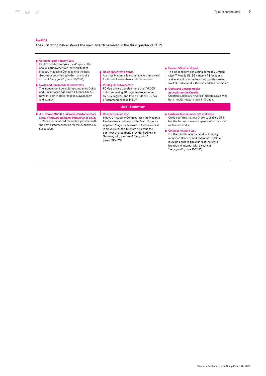# Awards

The illustration below shows the main awards received in the third quarter of 2021.

| ■ Connect fixed-network test<br>Deutsche Telekom takes the #1 spot in the<br>annual nationwide fixed-network test of<br>industry magazine Connect with the best<br>fixed-network offering in Germany and a<br>score of "very good" (issue 08/2021).<br>Ookla and Umlaut 5G network tests<br>The independent consulting companies Ookla<br>and Umlaut once again rate T-Mobile US' 5G<br>network best in class for speed, availability,<br>and latency. | Ookla speedtest awards<br>Austria's Magenta Telekom receives the award<br>for fastest fixed-network internet access.<br><b>PCMag 5G network test</b><br>PCMag drivers traveled more than 10,000<br>miles, surveying 30 major metro areas and<br>six rural regions, and found T-Mobile US has<br>a "commanding lead in 5G"                         | Umlaut 5G network test<br>The independent consulting company Umlaut<br>rates T-Mobile US' 5G network #1 for speed<br>and availability in the four metropolitan areas<br>Norfolk, Indianapolis, Detroit, and San Bernadino.<br><b>Ookla and Umlaut mobile</b><br>network tests in Croatia<br>Croatian subsidiary Hrvatski Telekom again wins<br>both mobile network tests in Croatia. |
|--------------------------------------------------------------------------------------------------------------------------------------------------------------------------------------------------------------------------------------------------------------------------------------------------------------------------------------------------------------------------------------------------------------------------------------------------------|---------------------------------------------------------------------------------------------------------------------------------------------------------------------------------------------------------------------------------------------------------------------------------------------------------------------------------------------------|--------------------------------------------------------------------------------------------------------------------------------------------------------------------------------------------------------------------------------------------------------------------------------------------------------------------------------------------------------------------------------------|
| J.D. Power 2021 U.S. Wireless Customer Care<br><b>Mobile Network Operator Performance Study</b><br>T-Mobile US is ranked the mobile provider with<br>the best customer service for the 22nd time in<br>succession.                                                                                                                                                                                                                                     | July – September<br><b>Connect service test</b><br>Industry magazine Connect rates the Magenta<br>fixed-network hotline and the Mein Magenta<br>app from Magenta Telekom in Austria as best<br>in class. Deutsche Telekom also wins the<br>peer test of broadband provider hotlines in<br>Germany with a score of "very good"<br>(issue 10/2021). | Ookla mobile network test in Greece<br>Ookla confirms that our Greek subsidiary OTE<br>has the fastest download speeds of all national<br>mobile networks.<br><b>Connect network test</b><br>For the third time in succession, industry<br>magazine Connect ranks Magenta Telekom<br>in Austria best in class for fixed-network<br>broadband internet with a score of                |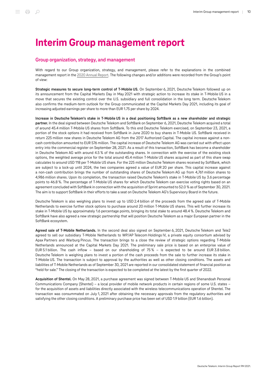# <span id="page-9-0"></span>Interim Group management report

# <span id="page-9-1"></span>Group organization, strategy, and management

With regard to our Group organization, strategy, and management, please refer to the explanations in the combined management report in the [2020 Annual Report.](https://report.telekom.com/annual-report-2020/management-report.html) The following changes and/or additions were recorded from the Group's point of view:

Strategic measures to secure long-term control of T-Mobile US. On September 6, 2021, Deutsche Telekom followed up on its announcement from the Capital Markets Day in May 2021 with strategic action to increase its stake in T-Mobile US in a move that secures the existing control over the U.S. subsidiary and full consolidation in the long term. Deutsche Telekom also confirms the medium-term outlook for the Group communicated at the Capital Markets Day 2021, including its goal of increasing adjusted earnings per share to more than EUR 1.75 per share by 2024.

Increase in Deutsche Telekom's stake in T‑Mobile US in a deal positioning SoftBank as a new shareholder and strategic partner. In the deal signed between Deutsche Telekom and SoftBank on September 6, 2021, Deutsche Telekom acquired a total of around 45.4 million T‑Mobile US shares from SoftBank. To this end Deutsche Telekom exercised, on September 23, 2021, a portion of the stock options it had received from SoftBank in June 2020 to buy shares in T‑Mobile US. SoftBank received in return 225 million new shares in Deutsche Telekom AG from the 2017 Authorized Capital. The capital increase against a noncash contribution amounted to EUR 576 million. The capital increase of Deutsche Telekom AG was carried out with effect upon entry into the commercial register on September 28, 2021. As a result of this transaction, SoftBank has become a shareholder in Deutsche Telekom AG with around 4.5 % of the outstanding shares. In connection with the exercise of the existing stock options, the weighted average price for the total around 45.4 million T-Mobile US shares acquired as part of this share swap calculates to around USD 118 per T‑Mobile US share. For the 225 million Deutsche Telekom shares received by SoftBank, which are subject to a lock-up until 2024, the two companies agreed a value of EUR 20 per share. This capital increase against a non-cash contribution brings the number of outstanding shares of Deutsche Telekom AG up from 4,761 million shares to 4,986 million shares. Upon its completion, the transaction raised Deutsche Telekom's stake in T‑Mobile US by 3.6 percentage points to 46.8 %. The percentage of T-Mobile US shares for which Deutsche Telekom can exercise voting rights based on an agreement concluded with SoftBank in connection with the acquisition of Sprint amounted to 52.0 % as of September 30, 2021. The aim is to support SoftBank in their efforts to take a seat on Deutsche Telekom AG's Supervisory Board in the future.

Deutsche Telekom is also weighing plans to invest up to USD 2.4 billion of the proceeds from the agreed sale of T-Mobile Netherlands to exercise further stock options to purchase around 20 million T‑Mobile US shares. This will further increase its stake in T‑Mobile US by approximately 1.6 percentage points, bringing its total stake to around 48.4 %. Deutsche Telekom and SoftBank have also agreed a new strategic partnership that will position Deutsche Telekom as a major European partner in the SoftBank ecosystem.

Agreed sale of T-Mobile Netherlands. In the second deal also signed on September 6, 2021, Deutsche Telekom and Tele2 agreed to sell our subsidiary T‑Mobile Netherlands to WP/AP Telecom Holdings IV, a private equity consortium advised by Apax Partners and Warburg Pincus. The transaction brings to a close the review of strategic options regarding T-Mobile Netherlands announced at the Capital Markets Day 2021. The preliminary sale price is based on an enterprise value of EUR 5.1 billion. The cash inflow – based on our shareholding of 75 % – is expected to be around EUR 3.8 billion. Deutsche Telekom is weighing plans to invest a portion of the cash proceeds from the sale to further increase its stake in T‑Mobile US. The transaction is subject to approval by the authorities as well as other closing conditions. The assets and liabilities of T‑Mobile Netherlands as of September 30, 2021 are reported in our consolidated statement of financial position as "held for sale." The closing of the transaction is expected to be completed at the latest by the first quarter of 2022.

Acquisition of Shentel. On May 28, 2021, a purchase agreement was signed between T‑Mobile US and Shenandoah Personal Communications Company (Shentel) – a local provider of mobile network products in certain regions of some U.S. states – for the acquisition of assets and liabilities directly associated with the wireless telecommunications operation of Shentel. The transaction was consummated on July 1, 2021 after obtaining the necessary approvals from the regulatory authorities and satisfying the other closing conditions. A preliminary purchase price has been set of USD 1.9 billion (EUR 1.6 billion).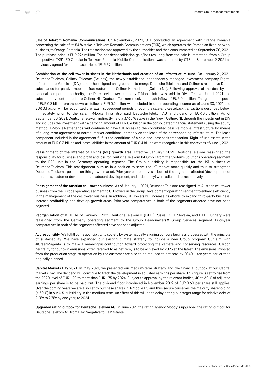Sale of Telekom Romania Communications. On November 6, 2020, OTE concluded an agreement with Orange Romania concerning the sale of its 54 % stake in Telekom Romania Communications (TKR), which operates the Romanian fixed-network business, to Orange Romania. The transaction was approved by the authorities and then consummated on September 30, 2021. The purchase price is EUR 296 million. The net deconsolidation gain/loss resulting from the sale is immaterial from a Group perspective. TKR's 30 % stake in Telekom Romania Mobile Communications was acquired by OTE on September 9, 2021 as previously agreed for a purchase price of EUR 59 million.

Combination of the cell tower business in the Netherlands and creation of an infrastructure fund. On January 21, 2021, Deutsche Telekom, Cellnex Telecom (Cellnex), the newly established independently managed investment company Digital Infrastructure Vehicle II (DIV), and others signed an agreement to merge Deutsche Telekom's and Cellnex's respective Dutch subsidiaries for passive mobile infrastructure into Cellnex Netherlands (Cellnex NL). Following approval of the deal by the national competition authority, the Dutch cell tower company T-Mobile Infra was sold to DIV effective June 1, 2021 and subsequently contributed into Cellnex NL. Deutsche Telekom received a cash inflow of EUR 0.4 billion. The gain on disposal of EUR 0.3 billion breaks down as follows: EUR 0.2 billion was included in other operating income as of June 30, 2021 and EUR 0.1 billion will be recognized pro rata in subsequent periods through the sale-and-leaseback transactions described below. Immediately prior to the sale, T-Mobile Infra also paid Deutsche Telekom AG a dividend of EUR 0.3 billion. As of September 30, 2021, Deutsche Telekom indirectly held a 37.65 % stake in the "new" Cellnex NL through the investment in DIV and includes the investment with a carrying amount of EUR 0.4 billion in the consolidated financial statements using the equity method. T‑Mobile Netherlands will continue to have full access to the contributed passive mobile infrastructure by means of a long-term agreement at normal market conditions, primarily on the lease of the corresponding infrastructure. The lease component included in the agreement fulfills the conditions of a sale-and-leaseback transaction. Right-of-use assets in the amount of EUR 0.3 billion and lease liabilities in the amount of EUR 0.4 billion were recognized in this context as of June 1, 2021.

Reassignment of the Internet of Things (IoT) growth area. Effective January 1, 2021, Deutsche Telekom reassigned the responsibility for business and profit and loss for Deutsche Telekom IoT GmbH from the Systems Solutions operating segment to the B2B unit in the Germany operating segment. The Group subsidiary is responsible for the IoT business of Deutsche Telekom. This reassignment puts us in a position to serve the IoT market more quickly and thus to strengthen Deutsche Telekom's position on this growth market. Prior-year comparatives in both of the segments affected (development of operations, customer development, headcount development, and order entry) were adjusted retrospectively.

Reassignment of the Austrian cell tower business. As of January 1, 2021, Deutsche Telekom reassigned its Austrian cell tower business from the Europe operating segment to GD Towers in the Group Development operating segment to enhance efficiency in the management of the cell tower business. In addition, GD Towers will increase its efforts to expand third-party business, increase profitability, and develop growth areas. Prior-year comparatives in both of the segments affected have not been adjusted.

Reorganization of DT IT. As of January 1, 2021, Deutsche Telekom IT (DT IT) Russia, DT IT Slovakia, and DT IT Hungary were reassigned from the Germany operating segment to the Group Headquarters & Group Services segment. Prior-year comparatives in both of the segments affected have not been adjusted.

Act responsibly. We fulfill our responsibility to society by systematically aligning our core business processes with the principle of sustainability. We have expanded our existing climate strategy to include a new Group program: Our aim with #GreenMagenta is to make a meaningful contribution toward protecting the climate and conserving resources. Carbon neutrality for our own emissions, often referred to as net zero, is to be achieved by 2025 at the latest. The emissions involved from the production stage to operation by the customer are also to be reduced to net zero by 2040 – ten years earlier than originally planned.

Capital Markets Day 2021. In May 2021, we presented our medium-term strategy and the financial outlook at our Capital Markets Day. The dividend will continue to track the development in adjusted earnings per share. This figure is set to rise from the 2020 level of EUR 1.20 to more than EUR 1.75 by 2024. Subject to approval by the relevant bodies, 40 to 60 % of adjusted earnings per share is to be paid out. The dividend floor introduced in November 2019 of EUR 0.60 per share still applies. Over the coming years we are also set to purchase shares in T‑Mobile US and thus secure ourselves the majority shareholding (> 50 %) in our U.S. subsidiary in the medium term. An effect of this will be to delay hitting our target range for relative debt of 2.25x to 2.75x by one year, to 2024.

Upgraded rating outlook for Deutsche Telekom AG. In June 2021 the rating agency Moody's upgraded the rating outlook for Deutsche Telekom AG from Baa1/negative to Baa1/stable.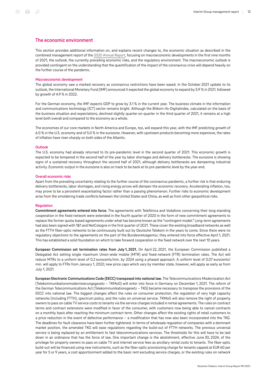# <span id="page-11-0"></span>The economic environment

This section provides additional information on, and explains recent changes to, the economic situation as described in the combined management report of the [2020 Annual Report](https://report.telekom.com/annual-report-2020/management-report/the-economic-environment/macroeconomic-development.html), focusing on macroeconomic developments in the first nine months of 2021, the outlook, the currently prevailing economic risks, and the regulatory environment. The macroeconomic outlook is provided contingent on the understanding that the quantification of the impact of the coronavirus crisis will depend heavily on the further course of the pandemic.

#### Macroeconomic development

The global economy saw a marked recovery as coronavirus restrictions have been eased. In the October 2021 update to its outlook, the International Monetary Fund (IMF) announced it expected the global economy to expand by 5.9 % in 2021, followed by growth of 4.9 % in 2022.

For the German economy, the IMF expects GDP to grow by 3.1 % in the current year. The business climate in the information and communications technology (ICT) sector remains bright. Although the Bitkom-ifo-Digitalindex, calculated on the basis of the business situation and expectations, declined slightly quarter-on-quarter in the third quarter of 2021, it remains at a high level both overall and compared to the economy as a whole.

The economies of our core markets in North America and Europe, too, will expand this year, with the IMF predicting growth of 6.0 % in the U.S. economy and of 5.0 % in the eurozone. However, with upstream products becoming more expensive, the rates of inflation have risen sharply on both sides of the Atlantic.

#### **Outlook**

The U.S. economy had already returned to its pre-pandemic level in the second quarter of 2021. This economic growth is expected to be tempered in the second half of the year by labor shortages and delivery bottlenecks. The eurozone is showing signs of a sustained recovery throughout the second half of 2021, although delivery bottlenecks are dampening industrial activity. Economic output in the eurozone is also on track to be back at its pre-pandemic level by the year-end.

#### Overall economic risks

Apart from the prevailing uncertainty relating to the further course of the coronavirus pandemic, a further risk is that enduring delivery bottlenecks, labor shortages, and rising energy prices will dampen the economic recovery. Accelerating inflation, too, may prove to be a persistent exacerbating factor rather than a passing phenomenon. Further risks to economic development arise from the smoldering trade conflicts between the United States and China, as well as from other geopolitical risks.

#### **Requlation**

Commitment agreements entered into force. The agreements with Telefónica and Vodafone concerning their long-standing cooperation in the fixed network were extended in the fourth quarter of 2020 in the form of new commitment agreements to replace the former quota-based agreements under what has become known as the "contingent model." Long-term agreements had also been signed with 1&1 and NetCologne in the first quarter of 2021. These cover the existing broadband networks as well as the FTTH fiber-optic networks to be continuously built out by Deutsche Telekom in the years to come. Since there were no regulatory objections to the agreements on the part of the Bundesnetzagentur, they entered into force effective April 1, 2021. This has established a solid foundation on which to take forward cooperation in the fixed network over the next 10 years.

European Commission set termination rates from July 1, 2021. On April 22, 2021, the European Commission published a Delegated Act setting single maximum Union-wide mobile (MTR) and fixed-network (FTR) termination rates. The Act will reduce MTRs to a uniform level of 0.2 eurocents/min. by 2024 using a phased approach. A uniform level of 0.07 eurocents/ min. will apply to FTRs from January 1, 2022; new price caps which vary by member state, however, will apply as early as from July 1, 2021.

European Electronic Communications Code (EECC) transposed into national law. The Telecommunications Modernization Act (Telekommunikationsmodernisierungsgesetz – TKMoG) will enter into force in Germany on December 1, 2021. The reform of the German Telecommunications Act (Telekommunikationsgesetz – TKG) became necessary to transpose the provisions of the EECC into national law. The biggest changes affect the rules on consumer protection, the regulation of very high capacity networks (including FTTH), spectrum policy, and the rules on universal service. TKMoG will also remove the right of property owners to pass on cable TV service costs to tenants via the service charges included in rental agreements. The rules on contract terms and contract extensions were modified in favor of the consumer, with customers now being able to cancel contracts on a monthly basis after reaching the minimum contract term. Other changes affect the existing rights of retail customers to a price reduction in the event of defective performance – a modification that has now also been incorporated into the TKG. The deadlines for fault clearance have been further tightened. In terms of wholesale regulation of companies with a dominant market position, the amended TKG will ease regulations regarding the build-out of FTTH networks. The previous universal service is being replaced by an entitlement to fast telecommunications services. The thresholds for this will have to be laid down in an ordinance that has the force of law. One important change is the abolishment, effective June 30, 2024, of the privilege for property owners to pass on cable TV and internet service fees as ancillary rental costs to tenants. The fiber-optic build-out will be financed using new instruments, such as the fiber-optic provisioning charge for tenants capped at EUR 60 per year for 5 or 9 years, a cost apportionment added to the basic rent excluding service charges, or the existing rules on network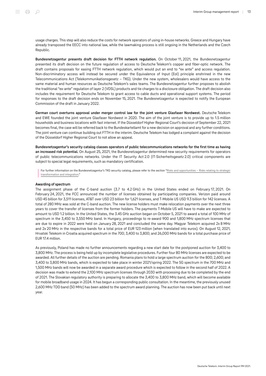usage charges. This step will also reduce the costs for network operators of using in-house networks. Greece and Hungary have already transposed the EECC into national law, while the lawmaking process is still ongoing in the Netherlands and the Czech Republic.

Bundesnetzagentur presents draft decision for FTTH network regulation. On October 11, 2021, the Bundesnetzagentur presented its draft decision on the future regulation of access to Deutsche Telekom's copper and fiber-optic network. The draft contains proposals for easing FTTH network regulation, which would put an end to "ex ante" and access regulation. Non-discriminatory access will instead be secured under the Equivalence of Input (EoI) principle enshrined in the new Telecommunications Act (Telekommunikationsgesetz – TKG). Under the new system, wholesalers would have access to the same material and human resources as Deutsche Telekom's sales teams. The Bundesnetzagentur further proposes to abolish the traditional "ex-ante" regulation of layer 2 (VDSL) products and tie charges to a disclosure obligation. The draft decision also includes the requirement for Deutsche Telekom to grant access to cable ducts and operational support systems. The period for responses to the draft decision ends on November 15, 2021. The Bundesnetzagentur is expected to notify the European Commission of the draft in January 2022.

German court overturns approval under merger control law for the joint venture Glasfaser Nordwest. Deutsche Telekom and EWE founded the joint venture Glasfaser Nordwest in 2020. The aim of the joint venture is to provide up to 1.5 million households and business locations with fast internet. If the Düsseldorf Higher Regional Court's decision of September 22, 2021 becomes final, the case will be referred back to the Bundeskartellamt for a new decision on approval and any further conditions. The joint venture can continue building out FTTH in the interim. Deutsche Telekom has lodged a complaint against the decision of the Düsseldorf Higher Regional Court to not allow an appeal.

Bundesnetzagentur's security catalog classes operators of public telecommunications networks for the first time as having an increased risk potential. On August 25, 2021, the Bundesnetzagentur determined new security requirements for operators of public telecommunications networks. Under the IT Security Act 2.0 (IT-Sicherheitsgesetz 2.0) critical components are subject to special legal requirements, such as mandatory certification.

For further information on the Bundesnetzagentur's TKG security catalog, please refer to the section "Risks and opportunities - Risks relating to strategic [transformation and integration.](#page-38-2)"

# Awarding of spectrum

The assignment phase of the C-band auction (3.7 to 4.2 GHz) in the United States ended on February 17, 2021. On February 24, 2021, the FCC announced the number of licenses obtained by participating companies. Verizon paid around USD 45 billion for 3,511 licenses, AT&T over USD 23 billion for 1,621 licenses, and T‑Mobile US USD 9.3 billion for 142 licenses. A total of 280 MHz was sold at the C-band auction. The new license holders must make relocation payments over the next three years to cover the transfer of licenses from the former holders. The payments T‑Mobile US will have to make are expected to amount to USD 1.2 billion. In the United States, the 3.45 GHz auction began on October 5, 2021 to award a total of 100 MHz of spectrum in the 3,450 to 3,550 MHz band. In Hungary, proceedings to re-award 900 and 1,800 MHz spectrum licenses that are due to expire in 2022 were held on January 28, 2021 and concluded the same day. Magyar Telekom acquired 2x 8 MHz and 2x 20 MHz in the respective bands for a total price of EUR 123 million (when translated into euros). On August 12, 2021, Hrvatski Telekom in Croatia acquired spectrum in the 700; 3,400 to 3,800; and 26,000 MHz bands for a total purchase price of EUR 17.4 million.

As previously, Poland has made no further announcements regarding a new start date for the postponed auction for 3,400 to 3,800 MHz. The process is being held up by incomplete legislative procedures. Further four 80 MHz licenses are expected to be awarded. All further details of the auction are pending. Romania plans to hold a large spectrum auction for the 800; 2,600; and 3,400 to 3,800 MHz bands, which is expected to take place in winter 2021/spring 2022. The 5G spectrum in the 700 MHz and 1,500 MHz bands will now be awarded in a separate award procedure which is expected to follow in the second half of 2022. A decision was made to extend the 2,100 MHz spectrum licenses through 2030 with processing due to be completed by the end of 2021. The Slovakian regulatory authority is preparing to allocate the 3,400 to 3,800 MHz band, which will become available for mobile broadband usage in 2024. It has begun a corresponding public consultation. In the meantime, the previously unused 2,600 MHz TDD band (50 MHz) has been added to the spectrum award planning. The auction has now been put back until next year.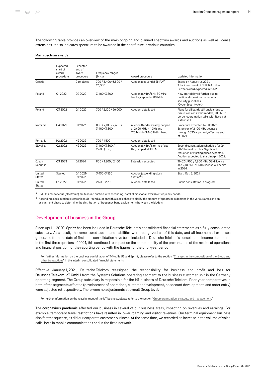The following table provides an overview of the main ongoing and planned spectrum awards and auctions as well as license extensions. It also indicates spectrum to be awarded in the near future in various countries.

#### Main spectrum awards

|                         | Expected<br>start of<br>award<br>procedure | Expected<br>end of<br>award<br>procedure | Frequency ranges<br>(MHz)                                                                            | Award procedure                                                                             | Updated information                                                                                                                                               |
|-------------------------|--------------------------------------------|------------------------------------------|------------------------------------------------------------------------------------------------------|---------------------------------------------------------------------------------------------|-------------------------------------------------------------------------------------------------------------------------------------------------------------------|
| Croatia                 |                                            | Completed                                | 700 / 3,400-3,800 /<br>26,000                                                                        | Auction (sequential SMRA <sup>a</sup> )                                                     | Ended on August 12, 2021.<br>Total investment of EUR 17.4 million<br>Further award expected in 2022.                                                              |
| Poland                  | 012022                                     | Q2 2022                                  | 3,400-3,800                                                                                          | Auction (SMRA <sup>a</sup> ), 4x 80 MHz<br>blocks, capped at 80 MHz                         | New start delayed further due to<br>political discussions on national<br>security guidelines<br>(Cyber Security Act).                                             |
| Poland                  | 03 20 22                                   | 04 2022                                  | 700 / 2,100 / 26,000                                                                                 | Auction, details tbd                                                                        | Plans for all bands still unclear due to<br>discussions on award models, 700 MHz<br>border coordination talks with Russia at<br>a standstill.                     |
| Romania                 | 04 20 21                                   | 012022                                   | 800 / 2,100 / 2,600 /<br>3,400-3,800                                                                 | Auction (tender award), capped<br>at $2x 20$ MHz < 1 GHz and<br>120 MHz in 3.4-3.8 GHz band | Procedure expected by Q1 2022.<br>Extension of 2,100 MHz licenses<br>through 2030 approved, effective end<br>of 2021.                                             |
| Romania                 | H <sub>2</sub> 2022                        | H <sub>2</sub> 2022                      | 700 / 1,500                                                                                          | Auction, details tbd                                                                        |                                                                                                                                                                   |
| Slovakia                | 02 20 22                                   | H <sub>2</sub> 2022                      | Auction (SMRA <sup>a</sup> ), terms of use<br>3.400-3.800 /<br>2,600 (TDD)<br>tbd, capped at 100 MHz |                                                                                             | Second consultation scheduled for O4<br>2021 to finalize rules. Significant<br>reduction of starting prices expected.<br>Auction expected to start in April 2022. |
| Czech<br>Republic       | 03 20 23                                   | 012024                                   | 900 / 1,800 / 2,100                                                                                  | Extension expected                                                                          | TMCZ's 900 / 1,800 MHz GSM license<br>and 2,100 MHz UMTS license will expire<br>in 2024.                                                                          |
| United<br>States        | Started                                    | Q4 2021/<br>012022                       | 3,450-3,550                                                                                          | Auction (ascending clock<br>auction <sup>b</sup> )                                          | Start: Oct. 5, 2021                                                                                                                                               |
| United<br><b>States</b> | H <sub>12022</sub>                         | H12022                                   | 2,500-2,700                                                                                          | Auction, details tbd                                                                        | Public consultation in progress.                                                                                                                                  |

a SMRA: simultaneous (electronic) multi-round auction with ascending, parallel bids for all available frequency bands.

<sup>b</sup> Ascending clock auction: electronic multi-round auction with a clock phase to clarify the amount of spectrum in demand in the various areas and an assignment phase to determine the distribution of frequency band assignments between the bidders.

# <span id="page-13-0"></span>Development of business in the Group

Since April 1, 2020, Sprint has been included in Deutsche Telekom's consolidated financial statements as a fully consolidated subsidiary. As a result, the remeasured assets and liabilities were recognized as of this date, and all income and expenses generated from the date of first-time consolidation have been included in Deutsche Telekom's consolidated income statement. In the first three quarters of 2021, this continued to impact on the comparability of the presentation of the results of operations and financial position for the reporting period with the figures for the prior-year period.

For further information on the business combination of T-Mobile US and Sprint, please refer to the section "[Changes in the composition of the Group and](#page-48-0) [other transactions"](#page-48-0) in the interim consolidated financial statements.

Effective January 1, 2021, Deutsche Telekom reassigned the responsibility for business and profit and loss for Deutsche Telekom IoT GmbH from the Systems Solutions operating segment to the business customer unit in the Germany operating segment. The Group subsidiary is responsible for the IoT business of Deutsche Telekom. Prior-year comparatives in both of the segments affected (development of operations, customer development, headcount development, and order entry) were adjusted retrospectively. There were no adjustments at overall Group level.

For further information on the reassignment of the IoT business, please refer to the section ["Group organization, strategy, and management.](#page-9-1)"

The coronavirus pandemic affected our business in several of our business areas, impacting on revenues and earnings. For example, temporary travel restrictions have resulted in lower roaming and visitor revenues. Our terminal equipment business also felt the squeeze, as did our corporate customer business. At the same time, we recorded an increase in the volume of voice calls, both in mobile communications and in the fixed network.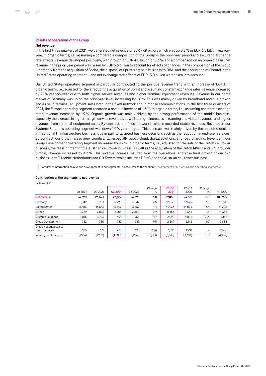#### Results of operations of the Group

#### Net revenue

In the first three quarters of 2021, we generated net revenue of EUR 79.9 billion, which was up 8.8 % or EUR 6.5 billion year-onyear. In organic terms, i.e., assuming a comparable composition of the Group in the prior-year period and excluding exchange rate effects, revenue developed positively, with growth of EUR 4.0 billion or 5.3 %. For a comparison on an organic basis, net revenue in the prior-year period was raised by EUR 5.6 billion to account for effects of changes in the composition of the Group – primarily from the acquisition of Sprint, the disposal of Sprint's prepaid business to DISH and the acquisition of Shentel in the United States operating segment – and net exchange rate effects of EUR ‑3.0 billion were taken into account.

Our United States operating segment in particular contributed to the positive revenue trend with an increase of 13.4 %. In organic terms, i.e., adjusted for the effect of the acquisition of Sprint and assuming constant exchange rates, revenue increased by 7.1 % year-on-year due to both higher service revenues and higher terminal equipment revenues. Revenue in our home market of Germany was up on the prior-year level, increasing by 1.8 %. This was mainly driven by broadband revenue growth and a rise in terminal equipment sales both in the fixed network and in mobile communications. In the first three quarters of 2021, the Europe operating segment recorded a revenue increase of 1.3 %. In organic terms, i.e., assuming constant exchange rates, revenue increased by 1.9 %. Organic growth was mainly driven by the strong performance of the mobile business, especially the increase in higher-margin service revenues, as well as slight increases in roaming and visitor revenues, and higher revenues from terminal equipment sales. By contrast, the fixed-network business recorded stable revenues. Revenue in our Systems Solutions operating segment was down 2.9 % year-on-year. This decrease was mainly driven by the expected decline in traditional IT infrastructure business, due in part to targeted business decisions such as the reduction in end-user services. By contrast, our growth areas grew significantly, especially public cloud, digital solutions, and road charging. Revenue in our Group Development operating segment increased by 9.7 %. In organic terms, i.e., adjusted for the sale of the Dutch cell tower business, the reassignment of the Austrian cell tower business, as well as the acquisition of the Dutch MVNO and SIM provider Simpel, revenue increased by 4.3 %. This revenue increase resulted from the operational and structural growth of our two business units T‑Mobile Netherlands and GD Towers, which includes DFMG and the Austrian cell tower business.

For further information on revenue development in our segments, please refer to the section "[Development of business in the operating segments.](#page-24-0)"

| millions of $\epsilon$                        |         |         |         |         |             |                   |                   |             |         |
|-----------------------------------------------|---------|---------|---------|---------|-------------|-------------------|-------------------|-------------|---------|
|                                               | Q12021  | Q2 2021 | Q3 2021 | Q3 2020 | Change<br>% | $Q1 - Q3$<br>2021 | $01 - 03$<br>2020 | Change<br>% | FY 2020 |
| Net revenue                                   | 26,390  | 26,593  | 26,877  | 26,393  | 1.8         | 79,860            | 73,377            | 8.8         | 100,999 |
| Germany                                       | 5,942   | 5,903   | 5,990   | 5,842   | 2.5         | 17,835            | 17,525            | 1.8         | 23,790  |
| <b>United States</b>                          | 16,483  | 16,643  | 16,807  | 16,569  | 1.4         | 49.933            | 44.024            | 13.4        | 61,208  |
| Europe                                        | 2,729   | 2,823   | 2,905   | 2,880   | 0.9         | 8,456             | 8,344             | 1.3         | 11,335  |
| <b>Systems Solutions</b>                      | 1,015   | 1,006   | 971     | 955     | 1.7         | 2.992             | 3,082             | (2.9)       | 4,159   |
| Group Development                             | 782     | 780     | 787     | 719     | 9.5         | 2.349             | 2.142             | 9.7         | 2,883   |
| Group Headquarters &<br><b>Group Services</b> | 625     | 671     | 617     | 625     | (1.3)       | 1.913             | 1.910             | 0.2         | 2,556   |
| Intersegment revenue                          | (1,186) | (1,232) | (1,200) | (1,197) | (0.3)       | (3,619)           | (3,651)           | 0.9         | (4,932) |

#### Contribution of the segments to net revenue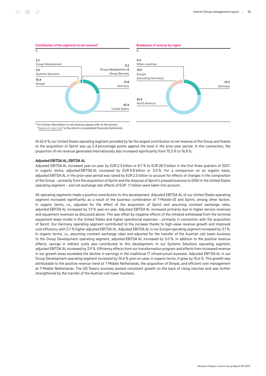

<sup>a</sup> For further information on net revenue, please refer to the section ["Segment reporting](#page-66-0)" in the interim consolidated financial statements.

At 62.4 %, our United States operating segment provided by far the largest contribution to net revenue of the Group and thanks to the acquisition of Sprint was up 2.4 percentage points against the level in the prior-year period. In this connection, the proportion of net revenue generated internationally also increased significantly from 75.3 % to 76.8 %.

# Adjusted EBITDA AL, EBITDA AL

Adjusted EBITDA AL increased year-on-year by EUR 2.3 billion or 8.7 % to EUR 28.3 billion in the first three quarters of 2021. In organic terms, adjusted EBITDA AL increased by EUR 0.8 billion or 3.0%. For a comparison on an organic basis, adjusted EBITDA AL in the prior-year period was raised by EUR 2.5 billion to account for effects of changes in the composition of the Group – primarily from the acquisition of Sprint and the disposal of Sprint's prepaid business to DISH in the United States operating segment – and net exchange rate effects of EUR ‑1.1 billion were taken into account.

All operating segments made a positive contribution to this development. Adjusted EBITDA AL of our United States operating segment increased significantly as a result of the business combination of T-Mobile US and Sprint, among other factors. In organic terms, i.e., adjusted for the effect of the acquisition of Sprint and assuming constant exchange rates, adjusted EBITDA AL increased by 1.9 % year-on-year. Adjusted EBITDA AL increased primarily due to higher service revenues and equipment revenues as discussed above. This was offset by negative effects of the initiated withdrawal from the terminal equipment lease model in the United States and higher operational expenses – primarily in connection with the acquisition of Sprint. Our Germany operating segment contributed to the increase thanks to high-value revenue growth and improved cost efficiency with 3.7 % higher adjusted EBITDA AL. Adjusted EBITDA AL in our Europe operating segment increased by 3.1 %. In organic terms, i.e., assuming constant exchange rates and adjusted for the transfer of the Austrian cell tower business to the Group Development operating segment, adjusted EBITDA AL increased by 5.0 %. In addition to the positive revenue effects, savings in indirect costs also contributed to this development. In our Systems Solutions operating segment, adjusted EBITDA AL increased by 3.9 %. Efficiency effects from our transformation program and effects from increased revenue in our growth areas exceeded the decline in earnings in the traditional IT infrastructure business. Adjusted EBITDA AL in our Group Development operating segment increased by 16.6 % year-on-year; in organic terms, it grew by 10.6 %. This growth was attributable to the positive revenue trend at T‑Mobile Netherlands, the acquisition of Simpel, and efficient cost management at T‑Mobile Netherlands. The GD Towers business posted consistent growth on the back of rising volumes and was further strengthened by the transfer of the Austrian cell tower business.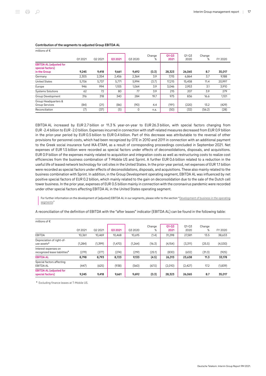| millions of $\epsilon$                                             |        |         |         |         |             |                   |                 |             |         |
|--------------------------------------------------------------------|--------|---------|---------|---------|-------------|-------------------|-----------------|-------------|---------|
|                                                                    | Q12021 | Q2 2021 | Q3 2021 | Q3 2020 | Change<br>% | $Q1 - Q3$<br>2021 | $01-03$<br>2020 | Change<br>% | FY 2020 |
| <b>EBITDA AL (adjusted for</b><br>special factors)<br>in the Group | 9,245  | 9,418   | 9,661   | 9,692   | (0.3)       | 28,323            | 26,065          | 8.7         | 35,017  |
| Germany                                                            | 2,305  | 2,354   | 2,456   | 2,364   | 3.9         | 7,115             | 6,864           | 3.7         | 9,188   |
| <b>United States</b>                                               | 5,706  | 5,737   | 5,771   | 5,994   | (3.7)       | 17,215            | 15,458          | 11.4        | 20,997  |
| Europe                                                             | 946    | 994     | 1.105   | 1,064   | 3.9         | 3.046             | 2,953           | 3.1         | 3,910   |
| <b>Systems Solutions</b>                                           | 62     | 72      | 80      | 77      | 3.9         | 215               | 207             | 3.9         | 279     |
| Group Development                                                  | 316    | 318     | 340     | 284     | 19.7        | 975               | 836             | 16.6        | 1,101   |
| Group Headquarters &<br><b>Group Services</b>                      | (84)   | (21)    | (86)    | (90)    | 4.4         | (191)             | (220)           | 13.2        | (429)   |
| Reconciliation                                                     | (7)    | (37)    | (5)     | 0       | n.a.        | (50)              | (32)            | (56.2)      | (28)    |

#### Contribution of the segments to adjusted Group EBITDA AL

EBITDA AL increased by EUR 2.7 billion or 11.3 % year-on-year to EUR 26.3 billion, with special factors changing from EUR ‑2.4 billion to EUR ‑2.0 billion. Expenses incurred in connection with staff-related measures decreased from EUR 0.9 billion in the prior-year period by EUR 0.5 billion to EUR 0.4 billion. Part of this decrease was attributable to the reversal of other provisions for personnel costs, which had been recognized by OTE in 2010 and 2011 in connection with an additional payment to the Greek social insurance fund IKA-ETAM, as a result of corresponding proceedings concluded in September 2021. Net expenses of EUR 1.5 billion were recorded as special factors under effects of deconsolidations, disposals, and acquisitions. EUR 0.9 billion of the expenses mainly related to acquisition and integration costs as well as restructuring costs to realize cost efficiencies from the business combination of T‑Mobile US and Sprint. A further EUR 0.6 billion related to a reduction in the useful life of leased network technology for cell sites in the United States. In the prior-year period, net expenses of EUR 1.1 billion were recorded as special factors under effects of deconsolidations, disposals, and acquisitions. These also mainly related to the business combination with Sprint. In addition, in the Group Development operating segment, EBITDA AL was influenced by net positive special factors of EUR 0.2 billion, which mainly related to the gain on deconsolidation due to the sale of the Dutch cell tower business. In the prior year, expenses of EUR 0.5 billion mainly in connection with the coronavirus pandemic were recorded under other special factors affecting EBITDA AL in the United States operating segment.

For further information on the development of (adjusted) EBITDA AL in our segments, please refer to the section "[Development of business in the operating](#page-24-0) [segments](#page-24-0)."

A reconciliation of the definition of EBITDA with the "after leases" indicator (EBITDA AL) can be found in the following table:

| millions of $\epsilon$                                            |          |         |          |          |             |                   |                   |             |         |
|-------------------------------------------------------------------|----------|---------|----------|----------|-------------|-------------------|-------------------|-------------|---------|
|                                                                   | Q12021   | Q2 2021 | 03 20 21 | Q3 2020  | Change<br>% | $Q1 - Q3$<br>2021 | $01 - 03$<br>2020 | Change<br>% | FY 2020 |
| EBITDA                                                            | 10.361   | 10.469  | 10.468   | 10,615   | (1.4)       | 31.298            | 27,581            | 13.5        | 38,633  |
| Depreciation of right-of-<br>use assets <sup>a</sup>              | (1, 284) | (1,399) | (1,470)  | (1, 264) | (16.3)      | (4, 154)          | (3,311)           | (25.5)      | (4,530) |
| Interest expenses on<br>recognized lease liabilities <sup>a</sup> | (279)    | (277)   | (274)    | (219)    | (25.1)      | (830)             | (632)             | (31.3)      | (925)   |
| <b>EBITDA AL</b>                                                  | 8.798    | 8,793   | 8,723    | 9,133    | (4.5)       | 26.313            | 23,638            | 11.3        | 33,178  |
| Special factors affecting<br><b>EBITDA AL</b>                     | (447)    | (625)   | (938)    | (560)    | (67.5)      | (2,010)           | (2,427)           | 17.2        | (1,839) |
| <b>EBITDA AL (adjusted for</b><br>special factors)                | 9,245    | 9,418   | 9,661    | 9,692    | (0.3)       | 28,323            | 26,065            | 8.7         | 35,017  |

a Excluding finance leases at T-Mobile US.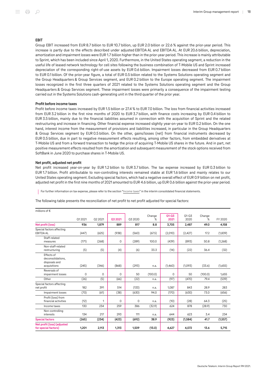#### EBIT

Group EBIT increased from EUR 8.7 billion to EUR 10.7 billion, up EUR 2.0 billion or 22.6 % against the prior-year period. This increase is partly due to the effects described under adjusted EBITDA AL and EBITDA AL. At EUR 20.6 billion, depreciation, amortization and impairment losses were EUR 1.7 billion higher than in the prior-year period. This increase is mainly attributable to Sprint, which has been included since April 1, 2020. Furthermore, in the United States operating segment, a reduction in the useful life of leased network technology for cell sites following the business combination of T‑Mobile US and Sprint increased depreciation of the corresponding right-of-use assets by EUR 0.6 billion. Impairment losses decreased from EUR 0.7 billion to EUR 0.1 billion. Of the prior-year figure, a total of EUR 0.5 billion related to the Systems Solutions operating segment and the Group Headquarters & Group Services segment, and EUR 0.2 billion to the Europe operating segment. The impairment losses recognized in the first three quarters of 2021 related to the Systems Solutions operating segment and the Group Headquarters & Group Services segment. These impairment losses were primarily a consequence of the impairment testing carried out in the Systems Solutions cash-generating unit in the third quarter of the prior year.

#### Profit before income taxes

Profit before income taxes increased by EUR 1.5 billion or 27.4 % to EUR 7.0 billion. The loss from financial activities increased from EUR 3.2 billion in the first nine months of 2020 to EUR 3.7 billion, with finance costs increasing by EUR 0.4 billion to EUR 3.5 billion, mainly due to the financial liabilities assumed in connection with the acquisition of Sprint and the related restructuring and increase in financing. Other financial expense increased slightly year-on-year to EUR 0.2 billion. On the one hand, interest income from the measurement of provisions and liabilities increased, in particular in the Group Headquarters & Group Services segment by EUR 0.5 billion. On the other, gains/losses (net) from financial instruments decreased by EUR 0.5 billion, due in part to negative measurement effects resulting, among other factors, from embedded derivatives at T‑Mobile US and from a forward transaction to hedge the price of acquiring T‑Mobile US shares in the future. And in part, net positive measurement effects resulted from the amortization and subsequent measurement of the stock options received from SoftBank in June 2020 to purchase shares in T‑Mobile US.

#### Net profit, adjusted net profit

Net profit increased year-on-year by EUR 1.2 billion to EUR 3.7 billion. The tax expense increased by EUR 0.3 billion to EUR 1.7 billion. Profit attributable to non-controlling interests remained stable at EUR 1.6 billion and mainly relates to our United States operating segment. Excluding special factors, which had a negative overall effect of EUR 0.9 billion on net profit, adjusted net profit in the first nine months of 2021 amounted to EUR 4.6 billion, up EUR 0.6 billion against the prior-year period.

For further information on tax expense, please refer to the section " $income taxes"$  in the interim consolidated financial statements.</u>

The following table presents the reconciliation of net profit to net profit adjusted for special factors:

| millions of $\epsilon$                                           |        |         |          |         |             |                   |                   |             |          |
|------------------------------------------------------------------|--------|---------|----------|---------|-------------|-------------------|-------------------|-------------|----------|
|                                                                  | 012021 | Q2 2021 | Q3 2021  | Q3 2020 | Change<br>℅ | $Q1 - Q3$<br>2021 | $01 - 03$<br>2020 | Change<br>% | FY 2020  |
| Net profit (loss)                                                | 936    | 1,879   | 889      | 817     | 8.8         | 3,705             | 2,487             | 49.0        | 4,158    |
| Special factors affecting<br><b>EBITDA AL</b>                    | (447)  | (625)   | (938)    | (560)   | (67.5)      | (2,010)           | (2,427)           | 17.2        | (1, 839) |
| Staff-related<br>measures                                        | (171)  | (268)   | 0        | (289)   | 100.0       | (439)             | (893)             | 50.8        | (1,268)  |
| Non-staff-related<br>restructuring                               | (5)    | (5)     | (4)      | (6)     | 33.3        | (14)              | (22)              | 36.4        | (32)     |
| Effects of<br>deconsolidations.<br>disposals and<br>acquisitions | (245)  | (346)   | (868)    | (293)   | n.a.        | (1,460)           | (1,093)           | (33.6)      | (1,655)  |
| Reversals of<br>impairment losses                                | 0      | 0       | 0        | 50      | (100.0)     | 0                 | 50                | (100.0)     | 1,655    |
| Other                                                            | (26)   | (5)     | (66)     | (22)    | n.a.        | (97)              | (470)             | 79.4        | (539)    |
| Special factors affecting<br>net profit                          | 182    | 391     | 514      | (133)   | n.a.        | 1,087             | 843               | 28.9        | 283      |
| Impairment losses                                                | (70)   | (61)    | (38)     | (630)   | 94.0        | (170)             | (630)             | 73.0        | (656)    |
| Profit (loss) from<br>financial activities                       | (12)   | 1       | $\Omega$ | 0       | n.a.        | (10)              | (28)              | 64.3        | (25)     |
| Income taxes                                                     | 130    | 234     | 259      | 386     | (32.9)      | 624               | 878               | (28.9)      | 730      |
| Non-controlling<br>interests                                     | 134    | 217     | 293      | 111     | n.a.        | 644               | 623               | 3.4         | 234      |
| <b>Special factors</b>                                           | (265)  | (234)   | (423)    | (692)   | 38.9        | (923)             | (1,584)           | 41.7        | (1, 557) |
| Net profit (loss) (adjusted<br>for special factors)              | 1,201  | 2,113   | 1,313    | 1,509   | (13.0)      | 4,627             | 4,072             | 13.6        | 5,715    |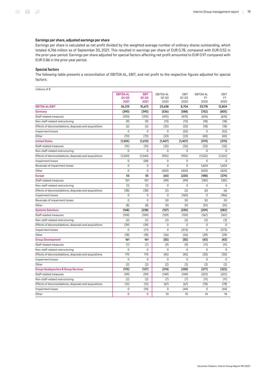# Earnings per share, adjusted earnings per share

Earnings per share is calculated as net profit divided by the weighted average number of ordinary shares outstanding, which totaled 4,766 million as of September 30, 2021. This resulted in earnings per share of EUR 0.78, compared with EUR 0.52 in the prior-year period. Earnings per share adjusted for special factors affecting net profit amounted to EUR 0.97 compared with EUR 0.86 in the prior-year period.

# Special factors

The following table presents a reconciliation of EBITDA AL, EBIT, and net profit to the respective figures adjusted for special factors:

| millions of $\epsilon$                                  |                   |                   |                   |                   |                   |                |
|---------------------------------------------------------|-------------------|-------------------|-------------------|-------------------|-------------------|----------------|
|                                                         | <b>EBITDA AL</b>  | <b>EBIT</b>       | <b>EBITDA AL</b>  | EBIT              | <b>EBITDA AL</b>  | EBIT           |
|                                                         | $Q1 - Q3$<br>2021 | $Q1 - Q3$<br>2021 | $Q1 - Q3$<br>2020 | $Q1 - Q3$<br>2020 | <b>FY</b><br>2020 | FY<br>2020     |
| <b>EBITDA AL/EBIT</b>                                   | 26,313            | 10,672            | 23,638            | 8,704             | 33,178            | 12,804         |
| Germany                                                 | (390)             | (390)             | (536)             | (588)             | (752)             | (805)          |
| Staff-related measures                                  | (310)             | (310)             | (475)             | (475)             | (676)             | (676)          |
| Non-staff-related restructuring                         | (9)               | (9)               | (13)              | (13)              | (18)              | (18)           |
| Effects of deconsolidations, disposals and acquisitions | (2)               | (2)               | (25)              | (25)              | (18)              | (18)           |
| Impairment losses                                       | $\Omega$          | $\Omega$          | $\Omega$          | (52)              | $\Omega$          | (52)           |
| Other                                                   | (70)              | (70)              | (23)              | (23)              | (40)              | (40)           |
| <b>United States</b>                                    | (1, 555)          | (1,613)           | (1, 407)          | (1, 407)          | (370)             | (370)          |
| Staff-related measures                                  | (15)              | (15)              | (32)              | (32)              | (32)              | (32)           |
| Non-staff-related restructuring                         | $\overline{0}$    | $\overline{0}$    | $\overline{0}$    | 0                 | $\overline{0}$    | $\overline{0}$ |
| Effects of deconsolidations, disposals and acquisitions | (1,540)           | (1,540)           | (955)             | (955)             | (1, 522)          | (1,522)        |
| Impairment losses                                       | 0                 | (58)              | 0                 | 0                 | 0                 | 0              |
| Reversals of impairment losses                          | $\Omega$          | $\Omega$          | $\Omega$          | $\Omega$          | 1,604             | 1,604          |
| Other                                                   | 0                 | $\mathbf 0$       | (420)             | (420)             | (420)             | (420)          |
| <b>Europe</b>                                           | 55                | 55                | (60)              | (220)             | (188)             | (374)          |
| Staff-related measures                                  | 101               | 101               | (99)              | (99)              | (181)             | (181)          |
| Non-staff-related restructuring                         | (1)               | (1)               | 0                 | 0                 | $\Omega$          | 0              |
| Effects of deconsolidations, disposals and acquisitions | (38)              | (38)              | (2)               | (2)               | (6)               | (6)            |
| Impairment losses                                       | $\Omega$          | $\mathbf 0$       | $\mathbf{0}$      | (160)             | $\Omega$          | (186)          |
| Reversals of impairment losses                          | $\mathbf 0$       | 0                 | 50                | 50                | 50                | 50             |
| Other                                                   | (8)               | (8)               | (9)               | (9)               | (51)              | (51)           |
| <b>Systems Solutions</b>                                | (168)             | (238)             | (157)             | (530)             | (209)             | (582)          |
| Staff-related measures                                  | (109)             | (109)             | (129)             | (129)             | (167)             | (167)          |
| Non-staff-related restructuring                         | (2)               | (2)               | (2)               | (2)               | (3)               | (3)            |
| Effects of deconsolidations, disposals and acquisitions | (39)              | (39)              | 0                 | $\Omega$          | $\mathbf 0$       | $\mathbf{0}$   |
| Impairment losses                                       | 0                 | (71)              | 0                 | (373)             | 0                 | (373)          |
| Other                                                   | (18)              | (18)              | (26)              | (26)              | (39)              | (39)           |
| <b>Group Development</b>                                | 161               | 161               | (55)              | (55)              | (43)              | (43)           |
| Staff-related measures                                  | (7)               | (7)               | (9)               | (9)               | (11)              | (11)           |
| Non-staff-related restructuring                         | 0                 | 0                 | 0                 | $\Omega$          | $\Omega$          | 0              |
| Effects of deconsolidations, disposals and acquisitions | 170               | 170               | (45)              | (45)              | (30)              | (30)           |
| Impairment losses                                       | 0                 | 0                 | 0                 | $\mathbf 0$       | 0                 | $\mathbf{0}$   |
| Other                                                   | (2)               | (2)               | (2)               | (2)               | (2)               | (2)            |
| <b>Group Headquarters &amp; Group Services</b>          | (113)             | (127)             | (214)             | (258)             | (277)             | (322)          |
| Staff-related measures                                  | (99)              | (99)              | (149)             | (149)             | (201)             | (201)          |
| Non-staff-related restructuring                         | (2)               | (2)               | (7)               | (7)               | (11)              | (11)           |
| Effects of deconsolidations, disposals and acquisitions | (12)              | (12)              | (67)              | (67)              | (78)              | (78)           |
| Impairment losses                                       | 0                 | (14)              | 0                 | (44)              | 0                 | (44)           |
| Other                                                   | $\mathbf 0$       | 0                 | 10                | 10                | 14                | 14             |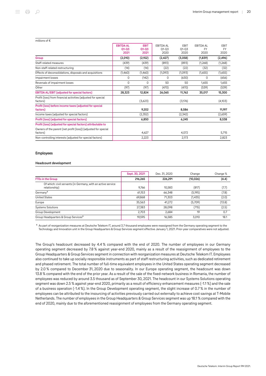| millions of $\epsilon$                                                     |                                       |                                  |                                       |                                  |                                       |                                  |
|----------------------------------------------------------------------------|---------------------------------------|----------------------------------|---------------------------------------|----------------------------------|---------------------------------------|----------------------------------|
|                                                                            | <b>EBITDA AL</b><br>$Q1 - Q3$<br>2021 | <b>EBIT</b><br>$Q1 - Q3$<br>2021 | <b>EBITDA AL</b><br>$01 - 03$<br>2020 | <b>EBIT</b><br>$01 - 03$<br>2020 | <b>EBITDA AL</b><br><b>FY</b><br>2020 | <b>FBIT</b><br><b>FY</b><br>2020 |
| Group                                                                      | (2,010)                               | (2,152)                          | (2, 427)                              | (3,058)                          | (1,839)                               | (2, 496)                         |
| Staff-related measures                                                     | (439)                                 | (439)                            | (893)                                 | (893)                            | (1,268)                               | (1,268)                          |
| Non-staff-related restructuring                                            | (14)                                  | (14)                             | (22)                                  | (22)                             | (32)                                  | (32)                             |
| Effects of deconsolidations, disposals and acquisitions                    | (1,460)                               | (1,460)                          | (1,093)                               | (1,093)                          | (1,655)                               | (1,655)                          |
| Impairment losses                                                          | 0                                     | (142)                            | 0                                     | (630)                            | 0                                     | (656)                            |
| Reversals of impairment losses                                             | 0                                     | 0                                | 50                                    | 50                               | 1,655                                 | 1,655                            |
| Other                                                                      | (97)                                  | (97)                             | (470)                                 | (470)                            | (539)                                 | (539)                            |
| <b>EBITDA AL/EBIT (adjusted for special factors)</b>                       | 28,323                                | 12,824                           | 26,065                                | 11,762                           | 35,017                                | 15,300                           |
| Profit (loss) from financial activities (adjusted for special<br>factors)  |                                       | (3,623)                          |                                       | (3,176)                          |                                       | (4,103)                          |
| Profit (loss) before income taxes (adjusted for special<br>factors)        |                                       | 9,202                            |                                       | 8,586                            |                                       | 11,197                           |
| Income taxes (adjusted for special factors)                                |                                       | (2,352)                          |                                       | (2,342)                          |                                       | (2,659)                          |
| Profit (loss) (adjusted for special factors)                               |                                       | 6,850                            |                                       | 6,245                            |                                       | 8,538                            |
| Profit (loss) (adjusted for special factors) attributable to               |                                       |                                  |                                       |                                  |                                       |                                  |
| Owners of the parent (net profit (loss)) (adjusted for special<br>factors) |                                       | 4,627                            |                                       | 4,072                            |                                       | 5,715                            |
| Non-controlling interests (adjusted for special factors)                   |                                       | 2,223                            |                                       | 2,173                            |                                       | 2,823                            |

### Employees

# Headcount development

|                                                                               | Sept. 30, 2021 | Dec. 31, 2020 | Change    | Change % |
|-------------------------------------------------------------------------------|----------------|---------------|-----------|----------|
| <b>FTEs in the Group</b>                                                      | 216,265        | 226.291       | (10, 026) | (4.4)    |
| Of which: civil servants (in Germany, with an active service<br>relationship) | 9.766          | 10.583        | (817)     | (7.7)    |
| Germany <sup>a</sup>                                                          | 61,153         | 66,348        | (5, 195)  | (7.8)    |
| <b>United States</b>                                                          | 69,868         | 71,303        | (1,435)   | (2.0)    |
| Europe                                                                        | 35,563         | 41,272        | (5,709)   | (13.8)   |
| <b>Systems Solutions</b>                                                      | 27,383         | 28,098        | (715)     | (2.5)    |
| Group Development                                                             | 2.703          | 2,684         | 19        | 0.7      |
| Group Headquarters & Group Services <sup>a</sup>                              | 19,595         | 16,585        | 3.010     | 18.1     |

a As part of reorganization measures at Deutsche Telekom IT, around 3.7 thousand employees were reassigned from the Germany operating segment to the Technology and Innovation unit in the Group Headquarters & Group Services segment effective January 1, 2021. Prior-year comparatives were not adjusted.

The Group's headcount decreased by 4.4 % compared with the end of 2020. The number of employees in our Germany operating segment decreased by 7.8 % against year-end 2020, mainly as a result of the reassignment of employees to the Group Headquarters & Group Services segment in connection with reorganization measures at Deutsche Telekom IT. Employees also continued to take up socially responsible instruments as part of staff restructuring activities, such as dedicated retirement and phased retirement. The total number of full-time equivalent employees in the United States operating segment decreased by 2.0 % compared to December 31, 2020 due to seasonality. In our Europe operating segment, the headcount was down 13.8 % compared with the end of the prior year. As a result of the sale of the fixed-network business in Romania, the number of employees was reduced by around 3.5 thousand as of September 30, 2021. The headcount in our Systems Solutions operating segment was down 2.5 % against year-end 2020, primarily as a result of efficiency enhancement measures (-1.1 %) and the sale of a business operation (-1.4 %). In the Group Development operating segment, the slight increase of 0.7 % in the number of employees can be attributed to the insourcing of activities previously carried out externally to achieve cost savings at T-Mobile Netherlands. The number of employees in the Group Headquarters & Group Services segment was up 18.1 % compared with the end of 2020, mainly due to the aforementioned reassignment of employees from the Germany operating segment.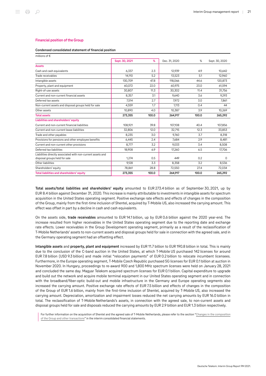#### Financial position of the Group

#### Condensed consolidated statement of financial position

| millions of $\epsilon$                                                                       |                |       |               |       |                |
|----------------------------------------------------------------------------------------------|----------------|-------|---------------|-------|----------------|
|                                                                                              | Sept. 30, 2021 | %     | Dec. 31, 2020 | %     | Sept. 30, 2020 |
| <b>Assets</b>                                                                                |                |       |               |       |                |
| Cash and cash equivalents                                                                    | 6.337          | 2.3   | 12.939        | 4.9   | 10.642         |
| Trade receivables                                                                            | 14,110         | 5.2   | 13,523        | 5.1   | 12,960         |
| Intangible assets                                                                            | 130,709        | 47.8  | 118,066       | 44.6  | 120,873        |
| Property, plant and equipment                                                                | 60,072         | 22.0  | 60,975        | 23.0  | 61,594         |
| Right-of-use assets                                                                          | 30,807         | 11.3  | 30,302        | 11.4  | 31,756         |
| Current and non-current financial assets                                                     | 8,357          | 3.1   | 9,640         | 3.6   | 9,293          |
| Deferred tax assets                                                                          | 7,514          | 2.7   | 7.972         | 3.0   | 7,861          |
| Non-current assets and disposal groups held for sale                                         | 4,559          | 1.7   | 1.113         | 0.4   | 44             |
| Other assets                                                                                 | 10,890         | 4.0   | 10,387        | 3.9   | 10,269         |
| <b>Total assets</b>                                                                          | 273,355        | 100.0 | 264,917       | 100.0 | 265,292        |
| Liabilities and shareholders' equity                                                         |                |       |               |       |                |
| Current and non-current financial liabilities                                                | 108,921        | 39.8  | 107,108       | 40.4  | 107,856        |
| Current and non-current lease liabilities                                                    | 32,806         | 12.0  | 32,715        | 12.3  | 33,853         |
| Trade and other payables                                                                     | 8,235          | 3.0   | 9,760         | 3.7   | 8,318          |
| Provisions for pensions and other employee benefits                                          | 6,445          | 2.4   | 7,684         | 2.9   | 8,481          |
| Current and non-current other provisions                                                     | 8.777          | 3.2   | 9,033         | 3.4   | 8,508          |
| Deferred tax liabilities                                                                     | 18,908         | 6.9   | 17,260        | 6.5   | 17,706         |
| Liabilities directly associated with non-current assets and<br>disposal groups held for sale | 1.274          | 0.5   | 449           | 0.2   | $\Omega$       |
| Other liabilities                                                                            | 9.128          | 3.3   | 8,358         | 3.2   | 8,536          |
| Shareholders' equity                                                                         | 78,861         | 28.8  | 72,550        | 27.4  | 72,034         |
| Total liabilities and shareholders' equity                                                   | 273,355        | 100.0 | 264,917       | 100.0 | 265,292        |

Total assets/total liabilities and shareholders' equity amounted to EUR 273.4 billion as of September 30, 2021, up by EUR 8.4 billion against December 31, 2020. This increase is mainly attributable to investments in intangible assets for spectrum acquisition in the United States operating segment. Positive exchange rate effects and effects of changes in the composition of the Group, mainly from the first-time inclusion of Shentel, acquired by T‑Mobile US, also increased the carrying amount. This effect was offset in part by a decline in cash and cash equivalents.

On the assets side, trade receivables amounted to EUR 14.1 billion, up by EUR 0.6 billion against the 2020 year-end. The increase resulted from higher receivables in the United States operating segment due to the reporting date and exchange rate effects. Lower receivables in the Group Development operating segment, primarily as a result of the reclassification of T‑Mobile Netherlands' assets to non-current assets and disposal groups held for sale in connection with the agreed sale, and in the Germany operating segment had an offsetting effect.

Intangible assets and property, plant and equipment increased by EUR 11.7 billion to EUR 190.8 billion in total. This is mainly due to the conclusion of the C-band auction in the United States, at which T-Mobile US purchased 142 licenses for around EUR 7.8 billion (USD 9.3 billion) and made initial "relocation payments" of EUR 0.2 billion to relocate incumbent licensees. Furthermore, in the Europe operating segment, T‑Mobile Czech Republic purchased 5G licenses for EUR 0.1 billion at auction in November 2020. In Hungary, proceedings to re-award 900 and 1,800 MHz spectrum licenses were held on January 28, 2021 and concluded the same day. Magyar Telekom acquired spectrum licenses for EUR 0.1 billion. Capital expenditure to upgrade and build out the network and acquire mobile terminal equipment in our United States operating segment and in connection with the broadband/fiber-optic build-out and mobile infrastructure in the Germany and Europe operating segments also increased the carrying amount. Positive exchange rate effects of EUR 7.5 billion and effects of changes in the composition of the Group of EUR 1.6 billion, mainly from the first-time inclusion of Shentel, acquired by T‑Mobile US, also increased the carrying amount. Depreciation, amortization and impairment losses reduced the net carrying amounts by EUR 16.0 billion in total. The reclassification of T‑Mobile Netherlands's assets, in connection with the agreed sale, to non-current assets and disposal groups held for sale and disposals reduced the carrying amounts by EUR 2.9 billion and EUR 1.3 billion respectively.

For further information on the acquisition of Shentel and the agreed sale of T-Mobile Netherlands, please refer to the section "[Changes in the composition](#page-48-0) [of the Group and other transactions](#page-48-0)" in the interim consolidated financial statements.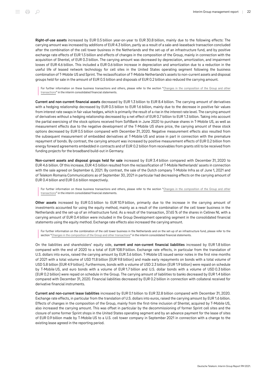Right-of-use assets increased by EUR 0.5 billion year-on-year to EUR 30.8 billion, mainly due to the following effects: The carrying amount was increased by additions of EUR 4.3 billion, partly as a result of a sale-and-leaseback transaction concluded after the combination of the cell tower business in the Netherlands and the set-up of an infrastructure fund, and by positive exchange rate effects of EUR 1.5 billion and effects of changes in the composition of the Group, mainly in connection with the acquisition of Shentel, of EUR 0.3 billion. The carrying amount was decreased by depreciation, amortization, and impairment losses of EUR 4.6 billion. This included a EUR 0.6 billion increase in depreciation and amortization due to a reduction in the useful life of leased network technology for cell sites in the United States operating segment following the business combination of T-Mobile US and Sprint. The reclassification of T-Mobile Netherlands's assets to non-current assets and disposal groups held for sale in the amount of EUR 0.5 billion and disposals of EUR 0.2 billion also reduced the carrying amount.

For further information on these business transactions and others, please refer to the section "[Changes in the composition of the Group and other](#page-48-0) [transactions](#page-48-0)" in the interim consolidated financial statements.

Current and non-current financial assets decreased by EUR 1.3 billion to EUR 8.4 billion. The carrying amount of derivatives with a hedging relationship decreased by EUR 0.5 billion to EUR 1.6 billion, mainly due to the decrease in positive fair values from interest rate swaps in fair value hedges, which is primarily the result of a rise in the interest rate level. The carrying amount of derivatives without a hedging relationship decreased by a net effect of EUR 0.7 billion to EUR 1.3 billion. Taking into account the partial exercising of the stock options received from SoftBank in June 2020 to purchase shares in T-Mobile US, as well as measurement effects due to the negative development of the T‑Mobile US share price, the carrying amount of these stock options decreased by EUR 0.5 billion compared with December 31, 2020. Negative measurement effects also resulted from the subsequent measurement of embedded derivatives at T‑Mobile US and arose in part in connection with the premature repayment of bonds. By contrast, the carrying amount was increased by positive measurement effects of EUR 0.2 billion from energy forward agreements embedded in contracts and of EUR 0.2 billion from receivables from grants still to be received from funding projects for the broadband build-out in Germany.

Non-current assets and disposal groups held for sale increased by EUR 3.4 billion compared with December 31, 2020 to EUR 4.6 billion. Of this increase, EUR 4.5 billion resulted from the reclassification of T‑Mobile Netherlands' assets in connection with the sale agreed on September 6, 2021. By contrast, the sale of the Dutch company T-Mobile Infra as of June 1, 2021 and of Telekom Romania Communications as of September 30, 2021 in particular had decreasing effects on the carrying amount of EUR 0.4 billion and EUR 0.6 billion respectively.

For further information on these business transactions and others, please refer to the section "[Changes in the composition of the Group and other](#page-48-0) [transactions](#page-48-0)" in the interim consolidated financial statements.

Other assets increased by EUR 0.5 billion to EUR 10.9 billion, primarily due to the increase in the carrying amount of investments accounted for using the equity method, mainly as a result of the combination of the cell tower business in the Netherlands and the set-up of an infrastructure fund. As a result of the transaction, 37.65 % of the shares in Cellnex NL with a carrying amount of EUR 0.4 billion were included in the Group Development operating segment in the consolidated financial statements using the equity method. Exchange rate effects also increased the carrying amount.

For further information on the combination of the cell tower business in the Netherlands and on the set-up of an infrastructure fund, please refer to the section "[Changes in the composition of the Group and other transactions"](#page-48-0) in the interim consolidated financial statements.

On the liabilities and shareholders' equity side, current and non-current financial liabilities increased by EUR 1.8 billion compared with the end of 2020 to a total of EUR 108.9 billion. Exchange rate effects, in particular from the translation of U.S. dollars into euros, raised the carrying amount by EUR 3.6 billion. T‑Mobile US issued senior notes in the first nine months of 2021 with a total volume of USD 11.8 billion (EUR 9.8 billion) and made early repayments on bonds with a total volume of USD 5.8 billion (EUR 4.9 billion). Furthermore, bonds with a volume of USD 2.3 billion (EUR 1.9 billion) were repaid on schedule by T‑Mobile US, and euro bonds with a volume of EUR 1.7 billion and U.S. dollar bonds with a volume of USD 0.3 billion (EUR 0.2 billion) were repaid on schedule in the Group. The carrying amount of liabilities to banks decreased by EUR 1.4 billion compared with December 31, 2020. Financial liabilities decreased by EUR 0.2 billion in connection with collateral received for derivative financial instruments.

Current and non-current lease liabilities increased by EUR 0.1 billion to EUR 32.8 billion compared with December 31, 2020. Exchange rate effects, in particular from the translation of U.S. dollars into euros, raised the carrying amount by EUR 1.6 billion. Effects of changes in the composition of the Group, mainly from the first-time inclusion of Shentel, acquired by T-Mobile US, also increased the carrying amount. This was offset in particular by the decommissioning of former Sprint cell sites and the closure of some former Sprint shops in the United States operating segment and by an advance payment for the lease of sites of EUR 0.9 billion made by T‑Mobile US to a U.S. cell tower company in September 2021 in connection with a change to the existing lease agreed in the reporting period.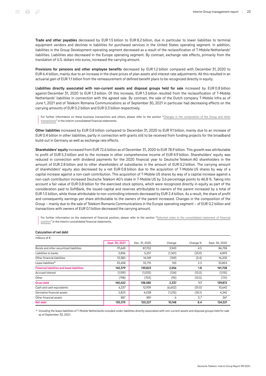translation of U.S. dollars into euros, increased the carrying amount.

Provisions for pensions and other employee benefits decreased by EUR 1.2 billion compared with December 31, 2020 to EUR 6.4 billion, mainly due to an increase in the share prices of plan assets and interest rate adjustments. All this resulted in an actuarial gain of EUR 1.1 billion from the remeasurement of defined benefit plans to be recognized directly in equity.

liabilities. Liabilities also decreased in the Europe operating segment. By contrast, exchange rate effects, primarily from the

Liabilities directly associated with non-current assets and disposal groups held for sale increased by EUR 0.8 billion against December 31, 2020 to EUR 1.3 billion. Of this increase, EUR 1.3 billion resulted from the reclassification of T-Mobile Netherlands' liabilities in connection with the agreed sale. By contrast, the sale of the Dutch company T‑Mobile Infra as of June 1, 2021 and of Telekom Romania Communications as of September 30, 2021 in particular had decreasing effects on the carrying amounts of EUR 0.2 billion and EUR 0.3 billion respectively.

For further information on these business transactions and others, please refer to the section "[Changes in the composition of the Group and other](#page-48-0) [transactions](#page-48-0)" in the interim consolidated financial statements.

Other liabilities increased by EUR 0.8 billion compared to December 31, 2020 to EUR 9.1 billion, mainly due to an increase of EUR 0.4 billion in other liabilities, partly in connection with grants still to be received from funding projects for the broadband build-out in Germany as well as exchange rate effects.

Shareholders' equity increased from EUR 72.6 billion as of December 31, 2020 to EUR 78.9 billion. This growth was attributable to profit of EUR 5.3 billion and to the increase in other comprehensive income of EUR 4.9 billion. Shareholders' equity was reduced in connection with dividend payments for the 2020 financial year to Deutsche Telekom AG shareholders in the amount of EUR 2.8 billion and to other shareholders of subsidiaries in the amount of EUR 0.2 billion. The carrying amount of shareholders' equity also decreased by a net EUR 0.8 billion due to the acquisition of T‑Mobile US shares by way of a capital increase against a non-cash contribution. This acquisition of T‑Mobile US shares by way of a capital increase against a non-cash contribution increased Deutsche Telekom AG's stake in T‑Mobile US by 3.6 percentage points to 46.8 %. Taking into account a fair value of EUR 0.8 billion for the exercised stock options, which were recognized directly in equity as part of the consideration paid to SoftBank, the issued capital and reserves attributable to owners of the parent increased by a total of EUR 1.5 billion, while those attributable to non-controlling interests decreased by EUR 2.4 billion. As a result, the share of profit and consequently earnings per share attributable to the owners of the parent increased. Changes in the composition of the Group – mainly due to the sale of Telekom Romania Communications in the Europe operating segment – of EUR 0.2 billion and transactions with owners of EUR 0.1 billion decreased the carrying amount.

For further information on the statement of financial position, please refer to the section ["Selected notes to the consolidated statement of financial](#page-56-0) [position](#page-56-0)" in the interim consolidated financial statements.

| millions of $\epsilon$                             |                |               |         |          |                |
|----------------------------------------------------|----------------|---------------|---------|----------|----------------|
|                                                    | Sept. 30, 2021 | Dec. 31, 2020 | Change  | Change % | Sept. 30, 2020 |
| Bonds and other securitized liabilities            | 91,645         | 87,702        | 3,943   | 4.5      | 86,758         |
| Liabilities to banks                               | 3,896          | 5,257         | (1,361) | (25.9)   | 4,893          |
| Other financial liabilities                        | 13,380         | 14,149        | (769)   | (5.4)    | 16,205         |
| Lease liabilities <sup>a</sup>                     | 33,458         | 32,715        | 743     | 2.3      | 33,853         |
| <b>Financial liabilities and lease liabilities</b> | 142,379        | 139,823       | 2,556   | 1.8      | 141,708        |
| Accrued interest                                   | (1,159)        | (1,035)       | (124)   | (12.0)   | (1,115)        |
| Other                                              | (798)          | (703)         | (95)    | (13.5)   | (721)          |
| <b>Gross debt</b>                                  | 140,422        | 138,085       | 2,337   | 1.7      | 139,872        |
| Cash and cash equivalents                          | 6,337          | 12,939        | (6,602) | (51.0)   | 10,642         |
| Derivative financial assets                        | 2,823          | 4,038         | (1,215) | (30.1)   | 4,342          |
| Other financial assets                             | 887            | 881           | 6       | 0.7      | 367            |
| Net debt                                           | 130,375        | 120,227       | 10,148  | 8.4      | 124,521        |

#### Calculation of net debt

a Including the lease liabilities of T-Mobile Netherlands included under liabilities directly associated with non-current assets and disposal groups held for sale as of September 30, 2021.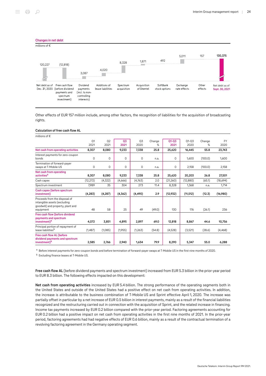

Other effects of EUR 157 million include, among other factors, the recognition of liabilities for the acquisition of broadcasting rights.

# Calculation of free cash flow AL

| millions of $\epsilon$                                                                                          |                        |                        |                        |            |             |                   |                   |             |                   |
|-----------------------------------------------------------------------------------------------------------------|------------------------|------------------------|------------------------|------------|-------------|-------------------|-------------------|-------------|-------------------|
|                                                                                                                 | Q <sub>1</sub><br>2021 | Q <sub>2</sub><br>2021 | Q <sub>3</sub><br>2021 | Q3<br>2020 | Change<br>% | $Q1 - Q3$<br>2021 | $01 - 03$<br>2020 | Change<br>℅ | <b>FY</b><br>2020 |
| Net cash from operating activities                                                                              | 8,307                  | 8,080                  | 9,233                  | 7,338      | 25.8        | 25,620            | 16,445            | 55.8        | 23,743            |
| Interest payments for zero-coupon<br>bonds                                                                      | 0                      | 0                      | 0                      | 0          | n.a.        | 0                 | 1,600             | (100.0)     | 1,600             |
| Termination of forward-payer<br>swaps at T-Mobile US                                                            | 0                      | 0                      | 0                      | 0          | n.a.        | 0                 | 2,158             | (100.0)     | 2,158             |
| Net cash from operating<br>activities <sup>a</sup>                                                              | 8,307                  | 8,080                  | 9,233                  | 7,338      | 25.8        | 25,620            | 20,203            | 26.8        | 27,501            |
| Cash capex                                                                                                      | (12, 272)              | (4, 322)               | (4,666)                | (4,763)    | 2.0         | (21,260)          | (12, 880)         | (65.1)      | (18,694)          |
| Spectrum investment                                                                                             | 7,989                  | 35                     | 304                    | 273        | 11.4        | 8,328             | 1,368             | n.a.        | 1,714             |
| Cash capex (before spectrum<br>investment)                                                                      | (4, 283)               | (4, 287)               | (4, 362)               | (4, 490)   | 2.9         | (12,932)          | (11, 512)         | (12.3)      | (16,980)          |
| Proceeds from the disposal of<br>intangible assets (excluding<br>goodwill) and property, plant and<br>equipment | 48                     | 58                     | 25                     | 49         | (49.0)      | 130               | 176               | (26.1)      | 236               |
| Free cash flow (before dividend<br>payments and spectrum<br>investment) <sup>a</sup>                            | 4,072                  | 3,851                  | 4,895                  | 2,897      | 69.0        | 12,818            | 8,867             | 44.6        | 10,756            |
| Principal portion of repayment of<br>lease liabilities <sup>b</sup>                                             | (1,487)                | (1,085)                | (1,955)                | (1,263)    | (54.8)      | (4,528)           | (3,521)           | (28.6)      | (4, 468)          |
| Free cash flow AL (before<br>dividend payments and spectrum<br>investment) <sup>a</sup>                         | 2,585                  | 2,766                  | 2,940                  | 1.634      | 79.9        | 8.290             | 5,347             | 55.0        | 6,288             |

a Before interest payments for zero-coupon bonds and before termination of forward-payer swaps at T-Mobile US in the first nine months of 2020.

**b** Excluding finance leases at T-Mobile US.

Free cash flow AL (before dividend payments and spectrum investment) increased from EUR 5.3 billion in the prior-year period to EUR 8.3 billion. The following effects impacted on this development:

Net cash from operating activities increased by EUR 5.4 billion. The strong performance of the operating segments both in the United States and outside of the United States had a positive effect on net cash from operating activities. In addition, the increase is attributable to the business combination of T-Mobile US and Sprint effective April 1, 2020. The increase was partially offset in particular by a net increase of EUR 0.5 billion in interest payments, mainly as a result of the financial liabilities recognized and the restructuring carried out in connection with the acquisition of Sprint, and the related increase in financing. Income tax payments increased by EUR 0.2 billion compared with the prior-year period. Factoring agreements accounting for EUR 0.2 billion had a positive impact on net cash from operating activities in the first nine months of 2021. In the prior-year period, factoring agreements had had negative effects of EUR 0.6 billion, mainly as a result of the contractual termination of a revolving factoring agreement in the Germany operating segment.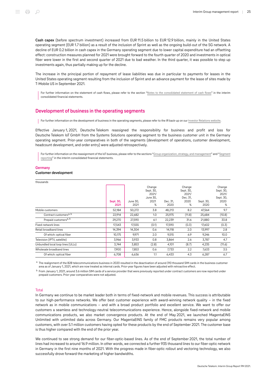Cash capex (before spectrum investment) increased from EUR 11.5 billion to EUR 12.9 billion, mainly in the United States operating segment (EUR 1.7 billion) as a result of the inclusion of Sprint as well as the ongoing build-out of the 5G network. A decline of EUR 0.2 billion in cash capex in the Germany operating segment due to lower capital expenditure had an offsetting effect: construction measures planned for 2021 were brought forward to the fourth quarter of 2020 and investments in optical fiber were lower in the first and second quarter of 2021 due to bad weather. In the third quarter, it was possible to step up investments again, thus partially making up for the decline.

The increase in the principal portion of repayment of lease liabilities was due in particular to payments for leases in the United States operating segment resulting from the inclusion of Sprint and an advance payment for the lease of sites made by T‑Mobile US in September 2021.

For further information on the statement of cash flows, please refer to the section "[Notes to the consolidated statement of cash flows](#page-63-1)" in the interim consolidated financial statements.

# <span id="page-24-0"></span>Development of business in the operating segments

For further information on the development of business in the operating segments, please refer to the IR back-up on our [Investor Relations website.](http://www.telekom.com/en/investor-relations)

Effective January 1, 2021, Deutsche Telekom reassigned the responsibility for business and profit and loss for Deutsche Telekom IoT GmbH from the Systems Solutions operating segment to the business customer unit in the Germany operating segment. Prior-year comparatives in both of the segments (development of operations, customer development, headcount development, and order entry) were adjusted retrospectively.

For further information on the reassignment of the IoT business, please refer to the sections ["Group organization, strategy, and management"](#page-9-1) and "[Segment](#page-66-0) [reporting](#page-66-0)" in the interim consolidated financial statements.

# **Germany**

### Customer development

| thousands                          |                   |                  |                                                       |                  |                                                       |                   |                                                        |
|------------------------------------|-------------------|------------------|-------------------------------------------------------|------------------|-------------------------------------------------------|-------------------|--------------------------------------------------------|
|                                    | Sept. 30,<br>2021 | June 30,<br>2021 | Change<br>Sept. 30,<br>2021/<br>June 30,<br>2021<br>% | Dec. 31,<br>2020 | Change<br>Sept. 30,<br>2021/<br>Dec. 31,<br>2020<br>℅ | Sept. 30,<br>2020 | Change<br>Sept. 30,<br>2021/<br>Sept. 30,<br>2020<br>℅ |
| Mobile customers                   | 52,184            | 50,272           | 3.8                                                   | 48,213           | 8.2                                                   | 47,564            | 9.7                                                    |
| Contract customers <sup>a, b</sup> | 22,914            | 22,682           | 1.0                                                   | 25,975           | (11.8)                                                | 25,684            | (10.8)                                                 |
| Prepaid customers <sup>a, b</sup>  | 29,270            | 27,590           | 6.1                                                   | 22,239           | 31.6                                                  | 21,880            | 33.8                                                   |
| Fixed-network lines                | 17,543            | 17,555           | (0.1)                                                 | 17,590           | (0.3)                                                 | 17,602            | (0.3)                                                  |
| Retail broadband lines             | 14,394            | 14,304           | 0.6                                                   | 14,118           | 2.0                                                   | 13,997            | 2.8                                                    |
| Of which: optical fiber            | 10,175            | 9,971            | 2.0                                                   | 9,515            | 6.9                                                   | 9,246             | 10.0                                                   |
| Television (IPTV, satellite)       | 3,966             | 3,933            | 0.8                                                   | 3,864            | 2.6                                                   | 3,787             | 4.7                                                    |
| Unbundled local loop lines (ULLs)  | 3,744             | 3,853            | (2.8)                                                 | 4,101            | (8.7)                                                 | 4,235             | (11.6)                                                 |
| Wholesale broadband lines          | 7.900             | 7,853            | 0.6                                                   | 7,733            | 2.2                                                   | 7,633             | 3.5                                                    |
| Of which: optical fiber            | 6,708             | 6,636            | 1.1                                                   | 6,433            | 4.3                                                   | 6,287             | 6.7                                                    |

 $^{\rm a}$  The realignment of the B2B telecommunications business in 2020 resulted in the deactivation of around 310 thousand SIM cards in the business customer area as of January 1, 2021, which are now treated as internal cards. Prior-year figures have been adjusted with retroactive effect.

b From January 1, 2021, around 3.6 million SIM cards of a service provider that were previously reported under contract customers are now reported under prepaid customers. Prior-year comparatives were not adjusted.

#### **Total**

In Germany we continue to be market leader both in terms of fixed-network and mobile revenues. This success is attributable to our high-performance networks. We offer best customer experience with award-winning network quality – in the fixed network as in mobile communications – and with a broad product portfolio and excellent service. We want to offer our customers a seamless and technology-neutral telecommunications experience. Hence, alongside fixed-network and mobile communications products, we also market convergence products. At the end of May 2021, we launched MagentaEINS Unlimited with unlimited data across Germany. Our MagentaEINS family of FMC products remains very popular among customers, with over 5.1 million customers having opted for these products by the end of September 2021. The customer base is thus higher compared with the end of the prior year.

We continued to see strong demand for our fiber-optic-based lines. As of the end of September 2021, the total number of lines had increased to around 16.9 million. In other words, we connected a further 935 thousand lines to our fiber-optic network in Germany in the first nine months of 2021. With the progress made in fiber-optic rollout and vectoring technology, we also successfully drove forward the marketing of higher bandwidths.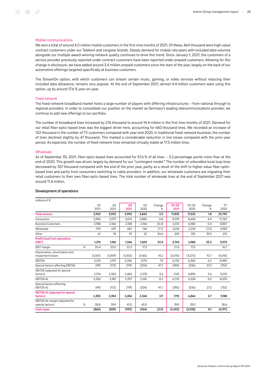#### Mobile communications

We won a total of around 4.0 million mobile customers in the first nine months of 2021. Of these, 464 thousand were high-value contract customers under our Telekom and congstar brands. Steady demand for mobile rate plans with included data volumes alongside our multiple award-winning network quality continues to drive this trend. Since January 1, 2021, the customers of a service provider previously reported under contract customers have been reported under prepaid customers. Allowing for this change in disclosure, we have added around 3.4 million prepaid customers since the start of the year, largely on the back of our automotive offerings targeted specifically at business customers.

The StreamOn option, with which customers can stream certain music, gaming, or video services without reducing their included data allowance, remains very popular. At the end of September 2021, almost 4.4 million customers were using this option, up by around 17.6 % year-on-year.

#### Fixed network

The fixed-network broadband market hosts a large number of players with differing infrastructures – from national through to regional providers. In order to consolidate our position on the market as Germany's leading telecommunications provider, we continue to add new offerings to our portfolio.

The number of broadband lines increased by 276 thousand to around 14.4 million in the first nine months of 2021. Demand for our retail fiber-optic-based lines was the biggest driver here, accounting for 660 thousand lines. We recorded an increase of 102 thousand in the number of TV customers compared with year-end 2020. In traditional fixed-network business, the number of lines declined slightly by 47 thousand. This marked a considerable reduction in line losses compared with the prior-year period. As expected, the number of fixed-network lines remained virtually stable at 17.5 million lines.

#### **Wholesale**

As of September 30, 2021, fiber-optic-based lines accounted for 57.6 % of all lines – 3.2 percentage points more than at the end of 2020. This growth was driven largely by demand for our "contingent model." The number of unbundled local loop lines decreased by 357 thousand compared with the end of the prior year, partly as a result of the shift to higher-value fiber-opticbased lines and partly from consumers switching to cable providers. In addition, our wholesale customers are migrating their retail customers to their own fiber-optic-based lines. The total number of wholesale lines at the end of September 2021 was around 11.6 million.

| millions of $\epsilon$                              |   |                        |            |            |            |             |                   |                   |             |                   |
|-----------------------------------------------------|---|------------------------|------------|------------|------------|-------------|-------------------|-------------------|-------------|-------------------|
|                                                     |   | O <sub>1</sub><br>2021 | Q2<br>2021 | 03<br>2021 | 03<br>2020 | Change<br>℅ | $Q1 - Q3$<br>2021 | $01 - 03$<br>2020 | Change<br>% | <b>FY</b><br>2020 |
| <b>Total revenue</b>                                |   | 5.942                  | 5.903      | 5.990      | 5,842      | 2.5         | 17,835            | 17,525            | 1.8         | 23,790            |
| Consumers                                           |   | 2,984                  | 2,979      | 3,076      | 2,880      | 6.8         | 9,039             | 8,654             | 4.4         | 11,740            |
| <b>Business Customers</b>                           |   | 2,188                  | 2,166      | 2,158      | 2,166      | (0.4)       | 6,512             | 6,486             | 0.4         | 8,857             |
| Wholesale                                           |   | 709                    | 679        | 687        | 744        | (7.7)       | 2.074             | 2,235             | (7.2)       | 2,983             |
| Other                                               |   | 61                     | 78         | 70         | 52         | 34.6        | 209               | 150               | 39.3        | 210               |
| <b>Profit (loss) from operations</b><br>(EBIT)      |   | 1,215                  | 1,182      | 1,346      | 1,009      | 33.4        | 3,743             | 2,988             | 25.3        | 3,970             |
| <b>EBIT</b> margin                                  | % | 20.4                   | 20.0       | 22.5       | 17.3       |             | 21.0              | 17.0              |             | 16.7              |
| Depreciation, amortization and<br>impairment losses |   | (1,001)                | (1,009)    | (1,000)    | (1,165)    | 14.2        | (3,010)           | (3, 372)          | 10.7        | (4,510)           |
| <b>EBITDA</b>                                       |   | 2,215                  | 2,191      | 2,346      | 2,174      | 7.9         | 6,752             | 6,360             | 6.2         | 8,480             |
| Special factors affecting EBITDA                    |   | (99)                   | (172)      | (119)      | (204)      | 41.7        | (390)             | (536)             | 27.2        | (752)             |
| EBITDA (adjusted for special<br>factors)            |   | 2.314                  | 2.363      | 2.464      | 2.378      | 3.6         | 7,142             | 6.896             | 3.6         | 9,232             |
| <b>EBITDA AL</b>                                    |   | 2,206                  | 2,182      | 2,337      | 2,160      | 8.2         | 6,725             | 6,328             | 6.3         | 8,435             |
| Special factors affecting<br><b>EBITDA AL</b>       |   | (99)                   | (172)      | (119)      | (204)      | 41.7        | (390)             | (536)             | 27.2        | (752)             |
| <b>EBITDA AL (adjusted for special</b><br>factors)  |   | 2,305                  | 2,354      | 2,456      | 2,364      | 3.9         | 7,115             | 6,864             | 3.7         | 9,188             |
| EBITDA AL margin (adjusted for<br>special factors)  | % | 38.8                   | 39.9       | 41.0       | 40.5       |             | 39.9              | 39.2              |             | 38.6              |
| <b>Cash capex</b>                                   |   | (860)                  | (839)      | (993)      | (964)      | (3.0)       | (2,692)           | (2,928)           | 8.1         | (4, 191)          |

#### Development of operations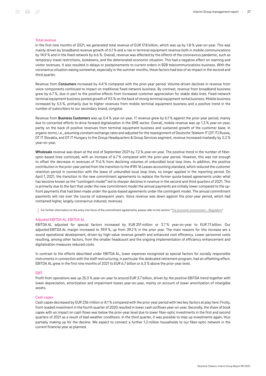# Total revenue

In the first nine months of 2021, we generated total revenue of EUR 17.8 billion, which was up by 1.8 % year-on-year. This was mainly driven by broadband revenue growth of 6.1 % and a rise in terminal equipment revenue both in mobile communications by 14.9 % and in the fixed network by 6.6 %. Overall, revenue was affected by the effects of the coronavirus pandemic, such as temporary travel restrictions, lockdowns, and the deteriorated economic situation. This had a negative effect on roaming and visitor revenues. It also resulted in delays or postponements to current orders in B2B telecommunications business. With the coronavirus situation easing somewhat, especially in the summer months, these factors had less of an impact in the second and third quarter.

Revenue from Consumers increased by 4.4 % compared with the prior-year period. Volume-driven declines in revenue from voice components continued to impact on traditional fixed-network business. By contrast, revenue from broadband business grew by 6.7 %, due in part to the positive effects from increased customer appreciation for stable data lines. Fixed-network terminal equipment business posted growth of 9.5 % on the back of strong terminal equipment rental business. Mobile business increased by 5.5 %, primarily due to higher revenues from mobile terminal equipment business and a positive trend in the number of subscribers to our secondary brand, congstar.

Revenue from Business Customers was up 0.4 % year-on-year. IT revenue grew by 6.1 % against the prior-year period, mainly due to concerted efforts to drive forward digitalization in the SME sector. Overall, mobile revenue was up 1.3 % year-on-year, partly on the back of positive revenues from terminal equipment business and sustained growth of the customer base. In organic terms, i.e., assuming constant exchange rates and adjusted for the reassignment of Deutsche Telekom IT (DT IT) Russia, DT IT Slovakia, and DT IT Hungary to the Group Headquarters & Group Services segment, revenue increased markedly by 2.2 % year-on-year.

Wholesale revenue was down at the end of September 2021 by 7.2 % year-on-year. The positive trend in the number of fiberoptic-based lines continued, with an increase of 6.7 % compared with the prior-year period. However, this was not enough to offset the decrease in revenues of 11.6 % from declining volumes of unbundled local loop lines. In addition, the positive contribution in the prior-year period from the transition to the IFRS 16 Leases accounting standard, which reduced the customer retention period in connection with the lease of unbundled local loop lines, no longer applied in the reporting period. On April 1, 2021, the transition to the new commitment agreements to replace the former quota-based agreements under what has become known as the "contingent model" led to sharper declines in revenue in the second and third quarters of 2021. This is primarily due to the fact that under the new commitment model the annual payments are initially lower compared to the upfront payments that had been made under the quota-based agreements under the contingent model. The annual commitment payments will rise over the course of subsequent years. Voice revenue was down against the prior-year period, which had contained higher, largely coronavirus-induced, revenues.

For further information on the entry into force of the commitment agreements, please refer to the section "[The economic environment – Regulation.](#page-11-0)"

#### Adjusted EBITDA AL, EBITDA AL

EBITDA AL adjusted for special factors increased by EUR 251 million or 3.7 % year-on-year to EUR 7.1 billion. Our adjusted EBITDA AL margin increased to 39.9 %, up from 39.2 % in the prior year. The main reasons for this increase are a sound operational development, driven by high-value revenue growth and enhanced cost efficiency. Lower personnel costs resulting, among other factors, from the smaller headcount and the ongoing implementation of efficiency enhancement and digitalization measures reduced costs.

In contrast to the effects described under EBITDA AL, lower expenses recognized as special factors for socially responsible instruments in connection with the staff restructuring, in particular the dedicated retirement program, had an offsetting effect. EBITDA AL grew in the first nine months of 2021 to EUR 6.7 billion or 6.3 % above the prior-year level.

#### **FBIT**

Profit from operations was up 25.3 % year-on-year to around EUR 3.7 billion, driven by the positive EBITDA trend together with lower depreciation, amortization and impairment losses year-on-year, mainly on account of lower amortization of intangible assets.

#### Cash canex

Cash capex decreased by EUR 236 million or 8.1 % compared with the prior-year period with two key factors at play here: Firstly, front-loaded investment in the fourth quarter of 2020 resulted in lower cash outflows year-on-year. Secondly, the share of book capex with an impact on cash flows was below the prior-year level due to lower fiber-optic investments in the first and second quarters of 2021 as a result of bad weather conditions. In the third quarter, it was possible to step up investments again, thus partially making up for the decline. We expect to connect a further 1.2 million households to our fiber-optic network in the current financial year as planned.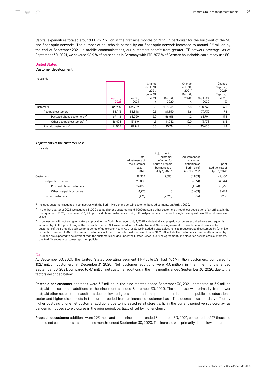Capital expenditure totaled around EUR 2.7 billion in the first nine months of 2021, in particular for the build-out of the 5G and fiber-optic networks. The number of households passed by our fiber-optic network increased to around 2.9 million by the end of September 2021. In mobile communications, our customers benefit from greater LTE network coverage. As of September 30, 2021, we covered 98.9 % of households in Germany with LTE. 87.3 % of German households can already use 5G.

#### United States

#### Customer development

| thousands                                |                   |                  |                                                       |                  |                                                       |                   |                                                        |
|------------------------------------------|-------------------|------------------|-------------------------------------------------------|------------------|-------------------------------------------------------|-------------------|--------------------------------------------------------|
|                                          | Sept. 30,<br>2021 | June 30.<br>2021 | Change<br>Sept. 30,<br>2021/<br>June 30,<br>2021<br>% | Dec. 31.<br>2020 | Change<br>Sept. 30,<br>2021/<br>Dec. 31,<br>2020<br>% | Sept. 30.<br>2020 | Change<br>Sept. 30,<br>2021/<br>Sept. 30,<br>2020<br>% |
| Customers                                | 106.920           | 104,789          | 2.0                                                   | 102.064          | 4.8                                                   | 100.362           | 6.5                                                    |
| Postpaid customers                       | 85,913            | 83.848           | 2.5                                                   | 81,350           | 5.6                                                   | 79,732            | 7.8                                                    |
| Postpaid phone customers <sup>a, b</sup> | 69.418            | 68,029           | 2.0                                                   | 66.618           | 4.2                                                   | 65,794            | 5.5                                                    |
| Other postpaid customers <sup>a, b</sup> | 16,495            | 15.819           | 4.3                                                   | 14,732           | 12.0                                                  | 13,938            | 18.3                                                   |
| Prepaid customers <sup>a, c</sup>        | 21,007            | 20.941           | 0.3                                                   | 20,714           | 1.4                                                   | 20.630            | 1.8                                                    |

#### Adjustments of the customer base

| thousands                |                                                            |                                                                                                                |                                                                                         |                                            |
|--------------------------|------------------------------------------------------------|----------------------------------------------------------------------------------------------------------------|-----------------------------------------------------------------------------------------|--------------------------------------------|
|                          | Total<br>adjustments of<br>the customer<br>base in<br>2020 | Adjustment of<br>customer<br>definition for<br>Sprint's prepaid<br>business as of<br>July 1, 2020 <sup>c</sup> | Adjustment of<br>customer<br>definition at<br>Sprint as of<br>Apr. 1, 2020 <sup>a</sup> | Sprint<br>additions as of<br>April 1, 2020 |
| Customers                | 28,354                                                     | (9,393)                                                                                                        | (4,853)                                                                                 | 42,600                                     |
| Postpaid customers       | 28,830                                                     | 0                                                                                                              | (5,514)                                                                                 | 34,344                                     |
| Postpaid phone customers | 24,055                                                     | 0                                                                                                              | (1,861)                                                                                 | 25,916                                     |
| Other postpaid customers | 4,775                                                      | 0                                                                                                              | (3,653)                                                                                 | 8,428                                      |
| Prepaid customers        | (476)                                                      | (9,393)                                                                                                        | 661                                                                                     | 8,256                                      |

<sup>a</sup> Includes customers acquired in connection with the Sprint Merger and certain customer base adjustments on April 1, 2020.

 $^{\rm b}$  In the first quarter of 2021, we acquired 11,000 postpaid phone customers and 1,000 postpaid other customers through our acquisition of an affiliate. In the third quarter of 2021, we acquired 716,000 postpaid phone customers and 90,000 postpaid other customers through the acquisition of Shentel's wireless assets.

 $^{\rm c}$  In connection with obtaining regulatory approval for the Sprint Merger, on July 1, 2020, substantially all prepaid customers acquired were subsequently acquired by DISH. Upon closing of the transaction with DISH, we entered into a Master Network Service Agreement to provide network services to customers of their prepaid business for a period of up to seven years. As a result, we included a base adjustment to reduce prepaid customers by 9.4 million in the third quarter of 2020. The prepaid customers included in our total customers as of June 30, 2020 include the customers subsequently acquired by DISH and are expected to be different than the customers included under the Master Network Service Agreement, and classified as wholesale customers, due to differences in customer reporting policies.

#### **Customers**

At September 30, 2021, the United States operating segment (T-Mobile US) had 106.9 million customers, compared to 102.1 million customers at December 31, 2020. Net customer additions were 4.0 million in the nine months ended September 30, 2021, compared to 4.1 million net customer additions in the nine months ended September 30, 2020, due to the factors described below.

Postpaid net customer additions were 3.7 million in the nine months ended September 30, 2021, compared to 3.9 million postpaid net customer additions in the nine months ended September 30, 2020. The decrease was primarily from lower postpaid other net customer additions due to elevated gross additions in the prior period related to the public and educational sector and higher disconnects in the current period from an increased customer base. This decrease was partially offset by higher postpaid phone net customer additions due to increased retail store traffic in the current period versus coronavirus pandemic induced store closures in the prior period, partially offset by higher churn.

Prepaid net customer additions were 293 thousand in the nine months ended September 30, 2021, compared to 247 thousand prepaid net customer losses in the nine months ended September 30, 2020. The increase was primarily due to lower churn.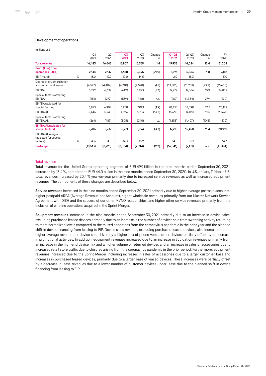# Development of operations

| millions of $\epsilon$                                |   |                        |                        |            |            |             |                   |                   |             |                   |
|-------------------------------------------------------|---|------------------------|------------------------|------------|------------|-------------|-------------------|-------------------|-------------|-------------------|
|                                                       |   | Q <sub>1</sub><br>2021 | Q <sub>2</sub><br>2021 | Q3<br>2021 | Q3<br>2020 | Change<br>% | $Q1 - Q3$<br>2021 | $O1 - O3$<br>2020 | Change<br>℅ | <b>FY</b><br>2020 |
| <b>Total revenue</b>                                  |   | 16,483                 | 16,643                 | 16,807     | 16,569     | 1.4         | 49,933            | 44,024            | 13.4        | 61,208            |
| Profit (loss) from<br>operations (EBIT)               |   | 2,144                  | 2,147                  | 1,680      | 2,395      | (29.9)      | 5,971             | 5,863             | 1.8         | 9,187             |
| EBIT margin                                           | % | 13.0                   | 12.9                   | 10.0       | 14.5       |             | 12.0              | 13.3              |             | 15.0              |
| Depreciation, amortization<br>and impairment losses   |   | (4,577)                | (4, 484)               | (4,740)    | (4,528)    | (4.7)       | (13,801)          | (11, 201)         | (23.2)      | (15,665)          |
| EBITDA                                                |   | 6,722                  | 6,632                  | 6,419      | 6,923      | (7.3)       | 19,772            | 17,064            | 15.9        | 24,852            |
| Special factors affecting<br><b>EBITDA</b>            |   | (151)                  | (272)                  | (539)      | (168)      | n.a.        | (962)             | (1, 334)          | 27.9        | (270)             |
| EBITDA (adjusted for<br>special factors)              |   | 6,873                  | 6,904                  | 6,958      | 7,091      | (1.9)       | 20,735            | 18,398            | 12.7        | 25,122            |
| <b>EBITDA AL</b>                                      |   | 5,446                  | 5,248                  | 4,966      | 5,753      | (13.7)      | 15,660            | 14,051            | 11.5        | 20,628            |
| Special factors affecting<br><b>EBITDA AL</b>         |   | (261)                  | (489)                  | (805)      | (240)      | n.a.        | (1, 555)          | (1,407)           | (10.5)      | (370)             |
| <b>EBITDA AL (adjusted for</b><br>special factors)    |   | 5,706                  | 5,737                  | 5,771      | 5,994      | (3.7)       | 17,215            | 15,458            | 11.4        | 20,997            |
| EBITDA AL margin<br>(adjusted for special<br>factors) | % | 34.6                   | 34.5                   | 34.3       | 36.2       |             | 34.5              | 35.1              |             | 34.3              |
| <b>Cash capex</b>                                     |   | (10, 513)              | (2,725)                | (2,804)    | (2,744)    | (2.2)       | (16, 041)         | (7, 131)          | n.a.        | (10, 394)         |

#### Total revenue

Total revenue for the United States operating segment of EUR 49.9 billion in the nine months ended September 30, 2021, increased by 13.4 %, compared to EUR 44.0 billion in the nine months ended September 30, 2020. In U.S. dollars, T‑Mobile US' total revenues increased by 20.4 % year-on-year primarily due to increased service revenues as well as increased equipment revenues. The components of these changes are described below.

Service revenues increased in the nine months ended September 30, 2021 primarily due to higher average postpaid accounts, higher postpaid ARPA (Average Revenue per Account), higher wholesale revenues primarily from our Master Network Service Agreement with DISH and the success of our other MVNO relationships, and higher other service revenues primarily from the inclusion of wireline operations acquired in the Sprint Merger.

Equipment revenues increased in the nine months ended September 30, 2021 primarily due to an increase in device sales, excluding purchased leased devices primarily due to an increase in the number of devices sold from switching activity returning to more normalized levels compared to the muted conditions from the coronavirus pandemic in the prior year and the planned shift in device financing from leasing to EIP. Device sales revenue, excluding purchased leased devices, also increased due to higher average revenue per device sold driven by a higher mix of phone versus other devices partially offset by an increase in promotional activities. In addition, equipment revenues increased due to an increase in liquidation revenues primarily from an increase in the high-end device mix and a higher volume of returned devices and an increase in sales of accessories due to increased retail store traffic due to closures arising from the coronavirus pandemic in the prior period. Furthermore, equipment revenues increased due to the Sprint Merger including increases in sales of accessories due to a larger customer base and increases in purchased leased devices, primarily due to a larger base of leased devices. These increases were partially offset by a decrease in lease revenues due to a lower number of customer devices under lease due to the planned shift in device financing from leasing to EIP.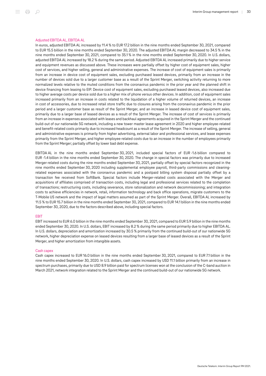#### Adjusted EBITDA AL, EBITDA AL

In euros, adjusted EBITDA AL increased by 11.4 % to EUR 17.2 billion in the nine months ended September 30, 2021, compared to EUR 15.5 billion in the nine months ended September 30, 2020. The adjusted EBITDA AL margin decreased to 34.5 % in the nine months ended September 30, 2021, compared to 35.1 % in the nine months ended September 30, 2020. In U.S. dollars, adjusted EBITDA AL increased by 18.2 % during the same period. Adjusted EBITDA AL increased primarily due to higher service and equipment revenues as discussed above. These increases were partially offset by higher cost of equipment sales, higher cost of services, and higher selling, general and administrative expenses. The increase of cost of equipment sales is primarily from an increase in device cost of equipment sales, excluding purchased leased devices, primarily from an increase in the number of devices sold due to a larger customer base as a result of the Sprint Merger, switching activity returning to more normalized levels relative to the muted conditions from the coronavirus pandemic in the prior year and the planned shift in device financing from leasing to EIP. Device cost of equipment sales, excluding purchased leased devices, also increased due to higher average costs per device sold due to a higher mix of phone versus other devices. In addition, cost of equipment sales increased primarily from an increase in costs related to the liquidation of a higher volume of returned devices, an increase in cost of accessories, due to increased retail store traffic due to closures arising from the coronavirus pandemic in the prior period and a larger customer base as result of the Sprint Merger, and an increase in leased device cost of equipment sales, primarily due to a larger base of leased devices as a result of the Sprint Merger. The increase of cost of services is primarily from an increase in expenses associated with leases and backhaul agreements acquired in the Sprint Merger and the continued build-out of our nationwide 5G network, including a new tower master lease agreement in 2020 and higher employee-related and benefit-related costs primarily due to increased headcount as a result of the Sprint Merger. The increase of selling, general and administrative expenses is primarily from higher advertising, external labor and professional services, and lease expenses primarily from the Sprint Merger, and higher employee-related costs due to an increase in the number of employees primarily from the Sprint Merger; partially offset by lower bad debt expense.

EBITDA AL in the nine months ended September 30, 2021, included special factors of EUR -1.6 billion compared to EUR -1.4 billion in the nine months ended September 30, 2020. The change in special factors was primarily due to increased Merger-related costs during the nine months ended September 30, 2021, partially offset by special factors recognized in the nine months ended September 30, 2020 including supplemental employee payroll, third-party commissions and cleaningrelated expenses associated with the coronavirus pandemic and a postpaid billing system disposal partially offset by a transaction fee received from SoftBank. Special factors include Merger-related costs associated with the Merger and acquisitions of affiliates comprised of transaction costs, including legal and professional services related to the completion of transactions; restructuring costs, including severance, store rationalization and network decommissioning; and integration costs to achieve efficiencies in network, retail, information technology and back office operations, migrate customers to the T‑Mobile US network and the impact of legal matters assumed as part of the Sprint Merger. Overall, EBITDA AL increased by 11.5 % to EUR 15.7 billion in the nine months ended September 30, 2021, compared to EUR 14.1 billion in the nine months ended September 30, 2020, due to the factors described above, including special factors.

#### EBIT

EBIT increased to EUR 6.0 billion in the nine months ended September 30, 2021, compared to EUR 5.9 billion in the nine months ended September 30, 2020. In U.S. dollars, EBIT increased by 8.2 % during the same period primarily due to higher EBITDA AL. In U.S. dollars, depreciation and amortization increased by 30.5 % primarily from the continued build-out of our nationwide 5G network, higher depreciation expense on leased devices resulting from a larger base of leased devices as a result of the Sprint Merger, and higher amortization from intangible assets.

# Cash capex

Cash capex increased to EUR 16.0 billion in the nine months ended September 30, 2021, compared to EUR 7.1 billion in the nine months ended September 30, 2020. In U.S. dollars, cash capex increased by USD 11.1 billion primarily from an increase in spectrum purchases, primarily due to USD 8.9 billion paid for spectrum licenses won at the conclusion of the C-band auction in March 2021, network integration related to the Sprint Merger and the continued build-out of our nationwide 5G network.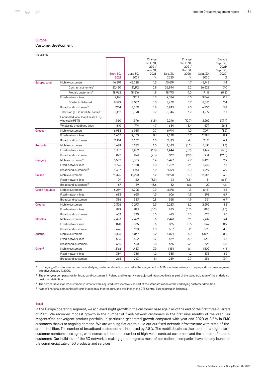#### Europe

Customer development

| thousands             |                                                      |                   |                  |                                                       |                  |                                                       |                   |                                                        |
|-----------------------|------------------------------------------------------|-------------------|------------------|-------------------------------------------------------|------------------|-------------------------------------------------------|-------------------|--------------------------------------------------------|
|                       |                                                      | Sept. 30,<br>2021 | June 30.<br>2021 | Change<br>Sept. 30,<br>2021/<br>June 30,<br>2021<br>℅ | Dec. 31.<br>2020 | Change<br>Sept. 30,<br>2021/<br>Dec. 31,<br>2020<br>% | Sept. 30,<br>2020 | Change<br>Sept. 30,<br>2021/<br>Sept. 30,<br>2020<br>% |
| Europe, total         | Mobile customers                                     | 46,391            | 45,788           | 1.3                                                   | 45,619           | 1.7                                                   | 45,743            | 1.4                                                    |
|                       | Contract customers <sup>a</sup>                      | 27,430            | 27,172           | 0.9                                                   | 26,844           | 2.2                                                   | 26,628            | 3.0                                                    |
|                       | Prepaid customers <sup>a</sup>                       | 18,962            | 18,616           | 1.9                                                   | 18,775           | 1.0                                                   | 19,115            | (0.8)                                                  |
|                       | Fixed-network lines                                  | 9,126             | 9,111            | 0.2                                                   | 9,084            | 0.5                                                   | 9,062             | 0.7                                                    |
|                       | Of which: IP-based                                   | 8,579             | 8,537            | 0.5                                                   | 8,439            | 1.7                                                   | 8,381             | 2.4                                                    |
|                       | Broadband customers <sup>b</sup>                     | 7,114             | 7,059            | 0.8                                                   | 6,943            | 2.5                                                   | 6,856             | 3.8                                                    |
|                       | Television (IPTV, satellite, cable) <sup>c</sup>     | 5,132             | 5,098            | 0.7                                                   | 5,046            | 1.7                                                   | 4,977             | 3.1                                                    |
|                       | Unbundled local loop lines (ULLs)/<br>wholesale PSTN | 1,960             | 1,996            | (1.8)                                                 | 2,246            | (12.7)                                                | 2,262             | (13.4)                                                 |
|                       | Wholesale broadband lines                            | 810               | 774              | 4.7                                                   | 684              | 18.4                                                  | 639               | 26.8                                                   |
| Greece                | Mobile customers                                     | 6,985             | 6,935            | 0.7                                                   | 6,914            | 1.0                                                   | 7,071             | (1.2)                                                  |
|                       | Fixed-network lines                                  | 2,607             | 2,605            | 0.1                                                   | 2,589            | 0.7                                                   | 2,584             | 0.9                                                    |
|                       | <b>Broadband customers</b>                           | 2,274             | 2,252            | 1.0                                                   | 2,185            | 4.1                                                   | 2,141             | 6.2                                                    |
| Romania               | Mobile customers                                     | 4,628             | 4,582            | 1.0                                                   | 4,683            | (1.2)                                                 | 4,691             | (1.3)                                                  |
|                       | Fixed-network lines                                  | 1,387             | 1,409            | (1.6)                                                 | 1,444            | (3.9)                                                 | 1,467             | (5.5)                                                  |
|                       | <b>Broadband customers</b>                           | 822               | 841              | (2.3)                                                 | 912              | (9.9)                                                 | 934               | (12.0)                                                 |
| <b>Hungary</b>        | Mobile customers <sup>a</sup>                        | 5,582             | 5,503            | 1.4                                                   | 5,427            | 2.9                                                   | 5,425             | 2.9                                                    |
|                       | Fixed-network lines                                  | 1,796             | 1,778            | 1.0                                                   | 1,759            | 2.1                                                   | 1,742             | 3.1                                                    |
|                       | Broadband customers <sup>b</sup>                     | 1,387             | 1,361            | 1.9                                                   | 1,321            | 5.0                                                   | 1,297             | 6.9                                                    |
| Poland                | Mobile customers                                     | 11,425            | 11,290           | 1.2                                                   | 11,198           | 2.0                                                   | 11,071            | 3.2                                                    |
|                       | Fixed-network lines                                  | 29                | 30               | (3.3)                                                 | 31               | (6.5)                                                 | 31                | (6.5)                                                  |
|                       | Broadband customers <sup>b</sup>                     | 67                | 59               | 13.6                                                  | 32               | n.a.                                                  | 22                | n.a.                                                   |
| <b>Czech Republic</b> | Mobile customers                                     | 6,259             | 6,205            | 0.9                                                   | 6,178            | 1.3                                                   | 6,181             | 1.3                                                    |
|                       | Fixed-network lines                                  | 633               | 625              | 1.3                                                   | 606              | 4.5                                                   | 593               | 6.7                                                    |
|                       | <b>Broadband customers</b>                           | 386               | 383              | 0.8                                                   | 368              | 4.9                                                   | 361               | 6.9                                                    |
| <b>Croatia</b>        | Mobile customers                                     | 2,326             | 2,273            | 2.3                                                   | 2,253            | 3.2                                                   | 2,292             | 1.5                                                    |
|                       | Fixed-network lines                                  | 879               | 881              | (0.2)                                                 | 885              | (0.7)                                                 | 888               | (1.0)                                                  |
|                       | <b>Broadband customers</b>                           | 633               | 630              | 0.5                                                   | 625              | 1.3                                                   | 623               | 1.6                                                    |
| <b>Slovakia</b>       | Mobile customers                                     | 2,493             | 2,479            | 0.6                                                   | 2,441            | 2.1                                                   | 2,412             | 3.4                                                    |
|                       | Fixed-network lines                                  | 870               | 865              | 0.6                                                   | 865              | 0.6                                                   | 862               | 0.9                                                    |
|                       | <b>Broadband customers</b>                           | 626               | 620              | 1.0                                                   | 607              | 3.1                                                   | 598               | 4.7                                                    |
| Austria               | Mobile customers                                     | 5,126             | 5,067            | 1.2                                                   | 5,074            | 1.0                                                   | 5,098             | 0.5                                                    |
|                       | Fixed-network lines                                  | 586               | 582              | 0.7                                                   | 569              | 3.0                                                   | 560               | 4.6                                                    |
|                       | <b>Broadband customers</b>                           | 655               | 650              | 0.8                                                   | 635              | 3.1                                                   | 625               | 4.8                                                    |
| Other <sup>d</sup>    | Mobile customers                                     | 1,568             | 1,453            | 7.9                                                   | 1,451            | 8.1                                                   | 1,502             | 4.4                                                    |
|                       | Fixed-network lines                                  | 339               | 335              | 1.2                                                   | 335              | 1.2                                                   | 335               | 1.2                                                    |
|                       | <b>Broadband customers</b>                           | 266               | 263              | 1.1                                                   | 259              | 2.7                                                   | 256               | 3.9                                                    |

<sup>a</sup> In Hungary, efforts to standardize the underlying customer definition resulted in the assignment of M2M cards exclusively to the prepaid customer segment effective January 1, 2020.

 $^{\rm b}$  The prior-year comparatives for broadband customers in Poland and Hungary were adjusted retrospectively as part of the standardization of the underlying customer definition.

 $^\mathrm{c}\,$  The comparatives for TV customers in Croatia were adjusted retrospectively as part of the standardization of the underlying customer definition.

<sup>d</sup> "Other": national companies of North Macedonia, Montenegro, and the lines of the GTS Central Europe group in Romania.

#### Total

In the Europe operating segment, we achieved slight growth in the customer base again as of the end of the first three quarters of 2021. We recorded modest growth in the number of fixed-network customers in the first nine months of the year. Our MagentaOne convergent product portfolio, in particular, generated growth compared with year-end 2020 of 8.7 % in FMC customers thanks to ongoing demand. We are working flat out to build out our fixed-network infrastructure with state-of-theart optical fiber. The number of broadband customers has increased by 2.5 %. The mobile business also recorded a slight rise in customer numbers once again, with increases in both the number of high-value contract customers and the number of prepaid customers. Our build-out of the 5G network is making good progress: most of our national companies have already launched the commercial sale of 5G products and services.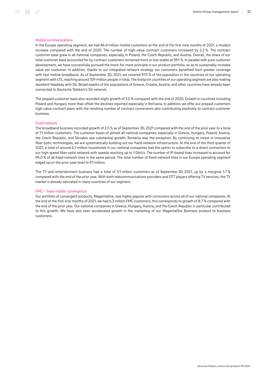#### Mobile communications

In the Europe operating segment, we had 46.4 million mobile customers at the end of the first nine months of 2021, a modest increase compared with the end of 2020. The number of high-value contract customers increased by 2.2 %. The contract customer base grew in all national companies, especially in Poland, the Czech Republic, and Austria. Overall, the share of our total customer base accounted for by contract customers remained more or less stable at 59.1 %. In parallel with pure customer development, we have successfully pursued the more-for-more principle in our product portfolio, so as to sustainably increase value per customer. In addition, thanks to our integrated network strategy our customers benefited from greater coverage with fast mobile broadband. As of September 30, 2021, we covered 97.9 % of the population in the countries of our operating segment with LTE, reaching around 109 million people in total. The footprint countries of our operating segment are also making excellent headway with 5G. Broad swaths of the populations of Greece, Croatia, Austria, and other countries have already been connected to Deutsche Telekom's 5G network.

The prepaid customer base also recorded slight growth of 1.0 % compared with the end of 2020. Growth in countries including Poland and Hungary more than offset the declines reported especially in Romania. In addition, we offer our prepaid customers high-value contract plans with the resulting number of contract conversions also contributing positively to contract customer business.

#### Fixed network

The broadband business recorded growth of 2.5 % as of September 30, 2021 compared with the end of the prior year to a total of 7.1 million customers. The customer bases of almost all national companies, especially in Greece, Hungary, Poland, Austria, the Czech Republic, and Slovakia saw substantial growth. Romania was the exception. By continuing to invest in innovative fiber-optic technologies, we are systematically building out our fixed-network infrastructure. At the end of the third quarter of 2021, a total of around 6.7 million households in our national companies had the option to subscribe to a direct connection to our high-speed fiber-optic network with speeds reaching up to 1 Gbit/s. The number of IP-based lines increased to account for 94.0 % of all fixed-network lines in the same period. The total number of fixed-network lines in our Europe operating segment edged up on the prior-year level to 9.1 million.

The TV and entertainment business had a total of 5.1 million customers as of September 30, 2021, up by a marginal 1.7 % compared with the end of the prior year. With both telecommunications providers and OTT players offering TV services, the TV market is already saturated in many countries of our segment.

#### FMC – fixed-mobile convergence

Our portfolio of convergent products, MagentaOne, was highly popular with consumers across all of our national companies. At the end of the first nine months of 2021, we had 6.3 million FMC customers; this corresponds to growth of 8.7 % compared with the end of the prior year. Our national companies in Greece, Hungary, Austria, and the Czech Republic in particular contributed to this growth. We have also seen accelerated growth in the marketing of our MagentaOne Business product to business customers.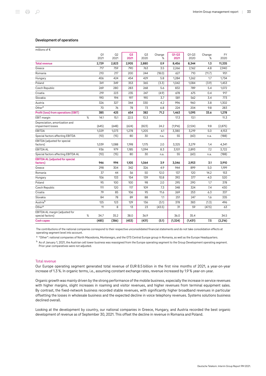# Development of operations

| millions of $\epsilon$                              |      |            |            |            |            |             |                   |                   |             |            |
|-----------------------------------------------------|------|------------|------------|------------|------------|-------------|-------------------|-------------------|-------------|------------|
|                                                     |      | Q1<br>2021 | Q2<br>2021 | Q3<br>2021 | Q3<br>2020 | Change<br>% | $Q1 - Q3$<br>2021 | $Q1 - Q3$<br>2020 | Change<br>% | FY<br>2020 |
| <b>Total revenue</b>                                |      | 2,729      | 2,823      | 2,905      | 2,880      | 0.9         | 8,456             | 8,344             | 1.3         | 11,335     |
| Greece                                              |      | 717        | 759        | 790        | 763        | 3.5         | 2,266             | 2,162             | 4.8         | 2,940      |
| Romania                                             |      | 210        | 217        | 200        | 244        | (18.0)      | 627               | 710               | (11.7)      | 951        |
| Hungary                                             |      | 406        | 424        | 454        | 429        | 5.8         | 1,284             | 1,262             | 1.7         | 1,734      |
| Poland                                              |      | 341        | 349        | 353        | 365        | (3.3)       | 1.042             | 1.084             | (3.9)       | 1,453      |
| Czech Republic                                      |      | 269        | 280        | 283        | 268        | 5.6         | 832               | 789               | 5.4         | 1,072      |
| Croatia                                             |      | 219        | 223        | 235        | 247        | (4.9)       | 678               | 675               | 0.4         | 917        |
| Slovakia                                            |      | 190        | 194        | 197        | 190        | 3.7         | 581               | 562               | 3.4         | 773        |
| Austria                                             |      | 326        | 327        | 344        | 330        | 4.2         | 996               | 960               | 3.8         | 1,302      |
| Other <sup>a</sup>                                  |      | 70         | 76         | 78         | 73         | 6.8         | 224               | 204               | 9.8         | 283        |
| Profit (loss) from operations (EBIT)                |      | 385        | 425        | 654        | 382        | 71.2        | 1,463             | 1,095             | 33.6        | 1,278      |
| <b>EBIT</b> margin                                  | $\%$ | 14.1       | 15.1       | 22.5       | 13.3       |             | 17.3              | 13.1              |             | 11.3       |
| Depreciation, amortization and<br>impairment losses |      | (645)      | (648)      | (624)      | (823)      | 24.2        | (1,916)           | (2, 124)          | 9.8         | (2,875)    |
| <b>EBITDA</b>                                       |      | 1,029      | 1,073      | 1,278      | 1,205      | 6.1         | 3,380             | 3,219             | 5.0         | 4,153      |
| Special factors affecting EBITDA                    |      | (10)       | (15)       | 80         | 30         | n.a.        | 55                | (60)              | n.a.        | (188)      |
| EBITDA (adjusted for special                        |      |            |            |            |            |             |                   |                   |             |            |
| factors)                                            |      | 1,039      | 1,088      | 1,198      | 1,175      | 2.0         | 3,325             | 3,279             | 1.4         | 4,341      |
| <b>EBITDA AL</b>                                    |      | 936        | 979        | 1,185      | 1,094      | 8.3         | 3,101             | 2,893             | 7.2         | 3,722      |
| Special factors affecting EBITDA AL                 |      | (10)       | (15)       | 80         | 30         | n.a.        | 55                | (60)              | n.a.        | (188)      |
| <b>EBITDA AL (adjusted for special</b><br>factors)  |      | 946        | 994        | 1,105      | 1,064      | 3.9         | 3,046             | 2,953             | 3.1         | 3,910      |
| Greece                                              |      | 298        | 304        | 342        | 326        | 4.9         | 944               | 899               | 5.0         | 1,199      |
| Romania                                             |      | 37         | 44         | 56         | 50         | 12.0        | 137               | 120               | 14.2        | 153        |
| Hungary                                             |      | 106        | 133        | 154        | 139        | 10.8        | 392               | 377               | 4.0         | 520        |
| Poland                                              |      | 95         | 100        | 100        | 98         | 2.0         | 295               | 290               | 1.7         | 378        |
| Czech Republic                                      |      | 111        | 120        | 117        | 109        | 7.3         | 348               | 324               | 7.4         | 430        |
| Croatia                                             |      | 79         | 85         | 106        | 95         | 11.6        | 269               | 253               | 6.3         | 337        |
| Slovakia                                            |      | 84         | 78         | 89         | 88         | 1.1         | 251               | 247               | 1.6         | 335        |
| Austriab                                            |      | 125        | 123        | 129        | 136        | (5.1)       | 378               | 383               | (1.3)       | 496        |
| Other <sup>a</sup>                                  |      | 11         | 8          | 13         | 23         | (43.5)      | 31                | 59                | (47.5)      | 63         |
| EBITDA AL margin (adjusted for<br>special factors)  | %    | 34.7       | 35.2       | 38.0       | 36.9       |             | 36.0              | 35.4              |             | 34.5       |
| <b>Cash capex</b>                                   |      | (485)      | (386)      | (453)      | (431)      | (5.1)       | (1,324)           | (1,431)           | 7.5         | (2, 216)   |

The contributions of the national companies correspond to their respective unconsolidated financial statements and do not take consolidation effects at operating segment level into account.

<sup>a</sup> "Other": national companies of North Macedonia, Montenegro, and the GTS Central Europe group in Romania, as well as the Europe Headquarters.

<sup>b</sup> As of January 1, 2021, the Austrian cell tower business was reassigned from the Europe operating segment to the Group Development operating segment. Prior-year comparatives were not adjusted.

# Total revenue

Our Europe operating segment generated total revenue of EUR 8.5 billion in the first nine months of 2021, a year-on-year increase of 1.3 %. In organic terms, i.e., assuming constant exchange rates, revenue increased by 1.9 % year-on-year.

Organic growth was mainly driven by the strong performance of the mobile business, especially the increase in service revenues with higher margins, slight increases in roaming and visitor revenues, and higher revenues from terminal equipment sales. By contrast, the fixed-network business recorded stable revenues, with significantly higher broadband revenues in particular offsetting the losses in wholesale business and the expected decline in voice telephony revenues. Systems solutions business declined overall.

Looking at the development by country, our national companies in Greece, Hungary, and Austria recorded the best organic development of revenue as of September 30, 2021. This offset the decline in revenue in Romania and Poland.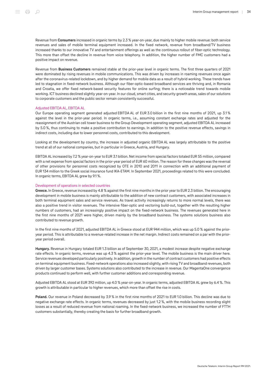Revenue from Consumers increased in organic terms by 2.3 % year-on-year, due mainly to higher mobile revenue: both service revenues and sales of mobile terminal equipment increased. In the fixed network, revenue from broadband/TV business increased thanks to our innovative TV and entertainment offerings as well as the continuous rollout of fiber-optic technology. This more than offset the decline in revenue from voice telephony. In addition, the higher number of FMC customers had a positive impact on revenue.

Revenue from **Business Customers** remained stable at the prior-year level in organic terms. The first three quarters of 2021 were dominated by rising revenues in mobile communications. This was driven by increases in roaming revenues once again after the coronavirus-related lockdown, and by higher demand for mobile data as a result of hybrid working. These trends have led to stagnation in fixed-network business. Although our fiber-optic-based broadband services are thriving and, in Romania and Croatia, we offer fixed network-based security features for online surfing; there is a noticeable trend towards mobile working. ICT business declined slightly year-on-year. In our cloud, smart cities, and security growth areas, sales of our solutions to corporate customers and the public sector remain consistently successful.

#### Adjusted EBITDA AL, EBITDA AL

Our Europe operating segment generated adjusted EBITDA AL of EUR 3.0 billion in the first nine months of 2021, up 3.1 % against the level in the prior-year period. In organic terms, i.e., assuming constant exchange rates and adjusted for the reassignment of the Austrian cell tower business to the Group Development operating segment, adjusted EBITDA AL increased by 5.0 %, thus continuing to make a positive contribution to earnings. In addition to the positive revenue effects, savings in indirect costs, including due to lower personnel costs, contributed to this development.

Looking at the development by country, the increase in adjusted organic EBITDA AL was largely attributable to the positive trend at all of our national companies, but in particular in Greece, Austria, and Hungary.

EBITDA AL increased by 7.2 % year-on-year to EUR 3.1 billion. Net income from special factors totaled EUR 55 million, compared with a net expense from special factors in the prior-year period of EUR 60 million. The reason for these changes was the reversal of other provisions for personnel costs recognized by OTE in 2010 and 2011 in connection with an additional payment of EUR 134 million to the Greek social insurance fund IKA-ETAM. In September 2021, proceedings related to this were concluded. In organic terms, EBITDA AL grew by 9.1 %.

#### Development of operations in selected countries

Greece. In Greece, revenue increased by 4.8 % against the first nine months in the prior year to EUR 2.3 billion. The encouraging development in mobile business is mainly attributable to the addition of new contract customers, with associated increases in both terminal equipment sales and service revenues. As travel activity increasingly returns to more normal levels, there was also a positive trend in visitor revenues. The intensive fiber-optic and vectoring build-out, together with the resulting higher numbers of customers, had an increasingly positive impact on the fixed-network business. The revenues generated here in the first nine months of 2021 were higher, driven mainly by the broadband business. The systems solutions business also contributed to revenue growth.

In the first nine months of 2021, adjusted EBITDA AL in Greece stood at EUR 944 million, which was up 5.0 % against the prioryear period. This is attributable to a revenue-related increase in the net margin. Indirect costs remained on a par with the prioryear period overall.

Hungary. Revenue in Hungary totaled EUR 1.3 billion as of September 30, 2021, a modest increase despite negative exchange rate effects. In organic terms, revenue was up 4.3 % against the prior-year level. The mobile business is the main driver here. Service revenues developed particularly positively. In addition, growth in the number of contract customers had positive effects on terminal equipment business. Fixed-network operations also increased slightly, with rising TV and broadband revenues, both driven by larger customer bases. Systems solutions also contributed to the increase in revenue. Our MagentaOne convergence products continued to perform well, with further customer additions and corresponding revenue.

Adjusted EBITDA AL stood at EUR 392 million, up 4.0 % year-on-year. In organic terms, adjusted EBITDA AL grew by 6.4 %. This growth is attributable in particular to higher revenues, which more than offset the rise in costs.

Poland. Our revenue in Poland decreased by 3.9 % in the first nine months of 2021 to EUR 1.0 billion. This decline was due to negative exchange rate effects. In organic terms, revenues decreased by just 1.2 %, with the mobile business recording slight losses as a result of reduced revenue from national roaming. In the fixed-network business, we increased the number of FTTH customers substantially, thereby creating the basis for further broadband growth.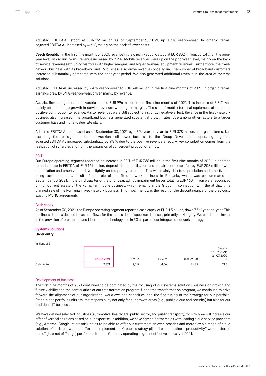Adjusted EBITDA AL stood at EUR 295 million as of September 30, 2021, up 1.7 % year-on-year. In organic terms, adjusted EBITDA AL increased by 4.6 %, mainly on the back of lower costs.

Czech Republic. In the first nine months of 2021, revenue in the Czech Republic stood at EUR 832 million, up 5.4 % on the prioryear level. In organic terms, revenue increased by 2.9 %. Mobile revenues were up on the prior-year level, mainly on the back of service revenues (excluding visitors) with higher margins, and higher terminal equipment revenues. Furthermore, the fixednetwork business with its broadband and TV business also drove revenues once again. The number of broadband customers increased substantially compared with the prior-year period. We also generated additional revenue in the area of systems solutions.

Adjusted EBITDA AL increased by 7.4 % year-on-year to EUR 348 million in the first nine months of 2021. In organic terms, earnings grew by 5.1 % year-on-year, driven mainly by revenue.

Austria. Revenue generated in Austria totaled EUR 996 million in the first nine months of 2021. This increase of 3.8 % was mainly attributable to growth in service revenues with higher margins. The sale of mobile terminal equipment also made a positive contribution to revenue. Visitor revenues were still subject to a slightly negative effect. Revenue in the fixed-network business also increased. The broadband business generated substantial growth rates, due among other factors to a larger customer base and higher-value rate plans.

Adjusted EBITDA AL decreased as of September 30, 2021 by 1.3 % year-on-year to EUR 378 million. In organic terms, i.e., excluding the reassignment of the Austrian cell tower business to the Group Development operating segment, adjusted EBITDA AL increased substantially by 9.8 % due to the positive revenue effect. A key contribution comes from the realization of synergies and from the expansion of convergent product offerings.

#### EBIT

Our Europe operating segment recorded an increase in EBIT of EUR 368 million in the first nine months of 2021. In addition to an increase in EBITDA of EUR 161 million, depreciation, amortization and impairment losses fell by EUR 208 million, with depreciation and amortization down slightly on the prior-year period. This was mainly due to depreciation and amortization being suspended as a result of the sale of the fixed-network business in Romania, which was consummated on September 30, 2021. In the third quarter of the prior year, ad hoc impairment losses totaling EUR 160 million were recognized on non-current assets of the Romanian mobile business, which remains in the Group, in connection with the at that time planned sale of the Romanian fixed-network business. This impairment was the result of the discontinuance of the previously existing MVNO agreements.

#### Cash capex

As of September 30, 2021, the Europe operating segment reported cash capex of EUR 1.3 billion, down 7.5 % year-on-year. This decline is due to a decline in cash outflows for the acquisition of spectrum licenses, primarily in Hungary. We continue to invest in the provision of broadband and fiber-optic technology and in 5G as part of our integrated network strategy.

# Systems Solutions

#### Order entry

| millions of $\epsilon$ |            |         |         |            |                                          |
|------------------------|------------|---------|---------|------------|------------------------------------------|
|                        | Q1-Q3 2021 | H1 2021 | FY 2020 | Q1-Q3 2020 | Change<br>Q1-Q3 2021/<br>Q1-Q3 2020<br>% |
|                        |            |         |         |            |                                          |
| Order entry            | 2,821      | 2,019   | 4,564   | 2,485      | 13.5                                     |

# Development of business

The first nine months of 2021 continued to be dominated by the focusing of our systems solutions business on growth and future viability and the continuation of our transformation program. Under the transformation program, we continued to drive forward the alignment of our organization, workflows and capacities, and the fine-tuning of the strategy for our portfolio. Stand-alone portfolio units assume responsibility not only for our growth areas (e.g., public cloud and security) but also for our traditional IT business.

We have defined selected industries (automotive, healthcare, public sector, and public transport), for which we will increase our offer of vertical solutions based on our expertise. In addition, we have agreed partnerships with leading cloud service providers (e.g., Amazon, Google, Microsoft), so as to be able to offer our customers an even broader and more flexible range of cloud solutions. Consistent with our efforts to implement the Group's strategy pillar "Lead in business productivity," we transferred our IoT (Internet of Things) portfolio unit to the Germany operating segment effective January 1, 2021.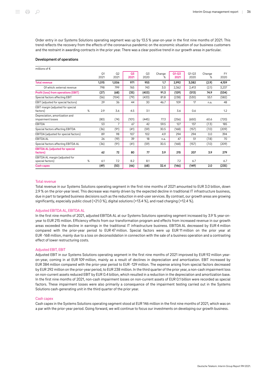Order entry in our Systems Solutions operating segment was up by 13.5 % year-on-year in the first nine months of 2021. This trend reflects the recovery from the effects of the coronavirus pandemic on the economic situation of our business customers and the restraint in awarding contracts in the prior year. There was a clear positive trend in our growth areas in particular.

#### Development of operations

| millions of $\epsilon$                              |   |                        |                        |            |            |             |                   |                   |             |                   |
|-----------------------------------------------------|---|------------------------|------------------------|------------|------------|-------------|-------------------|-------------------|-------------|-------------------|
|                                                     |   | O <sub>1</sub><br>2021 | O <sub>2</sub><br>2021 | 03<br>2021 | Q3<br>2020 | Change<br>% | $Q1 - Q3$<br>2021 | $01 - 03$<br>2020 | Change<br>% | <b>FY</b><br>2020 |
| <b>Total revenue</b>                                |   | 1,015                  | 1,006                  | 971        | 955        | 1.7         | 2,992             | 3,082             | (2.9)       | 4,159             |
| Of which: external revenue                          |   | 798                    | 799                    | 765        | 743        | 3.0         | 2,362             | 2,413             | (2.1)       | 3,237             |
| Profit (loss) from operations (EBIT)                |   | (27)                   | (68)                   | (35)       | (403)      | 91.3        | (129)             | (513)             | 74.9        | (534)             |
| Special factors affecting EBIT                      |   | (56)                   | (104)                  | (79)       | (433)      | 81.8        | (238)             | (530)             | 55.1        | (582)             |
| EBIT (adjusted for special factors)                 |   | 29                     | 36                     | 44         | 30         | 46.7        | 109               | 17                | n.a.        | 48                |
| EBIT margin (adjusted for special<br>factors)       | % | 2.9                    | 3.6                    | 4.5        | 3.1        |             | 3.6               | 0.6               |             | 1.2               |
| Depreciation, amortization and<br>impairment losses |   | (80)                   | (74)                   | (101)      | (445)      | 77.3        | (256)             | (650)             | 60.6        | (720)             |
| EBITDA                                              |   | 53                     | 7                      | 67         | 42         | 59.5        | 127               | 137               | (7.3)       | 185               |
| Special factors affecting EBITDA                    |   | (36)                   | (91)                   | (41)       | (59)       | 30.5        | (168)             | (157)             | (7.0)       | (209)             |
| EBITDA (adjusted for special factors)               |   | 89                     | 98                     | 107        | 102        | 4.9         | 294               | 294               | 0.0         | 394               |
| <b>EBITDA AL</b>                                    |   | 26                     | (19)                   | 39         | 18         | n.a.        | 47                | 51                | (7.8)       | 70                |
| Special factors affecting EBITDA AL                 |   | (36)                   | (91)                   | (41)       | (59)       | 30.5        | (168)             | (157)             | (7.0)       | (209)             |
| <b>EBITDA AL (adjusted for special</b><br>factors)  |   | 62                     | 72                     | 80         | 77         | 3.9         | 215               | 207               | 3.9         | 279               |
| EBITDA AL margin (adjusted for<br>special factors)  | % | 6.1                    | 7.2                    | 8.2        | 8.1        |             | 7.2               | 6.7               |             | 6.7               |
| <b>Cash capex</b>                                   |   | (49)                   | (50)                   | (46)       | (68)       | 32.4        | (146)             | (149)             | 2.0         | (235)             |

#### Total revenue

Total revenue in our Systems Solutions operating segment in the first nine months of 2021 amounted to EUR 3.0 billion, down 2.9 % on the prior-year level. This decrease was mainly driven by the expected decline in traditional IT infrastructure business, due in part to targeted business decisions such as the reduction in end-user services. By contrast, our growth areas are growing significantly, especially public cloud (+21.0 %), digital solutions (+13.4 %), and road charging (+12.4 %).

# Adjusted EBITDA AL, EBITDA AL

In the first nine months of 2021, adjusted EBITDA AL at our Systems Solutions operating segment increased by 3.9 % year-onyear to EUR 215 million. Efficiency effects from our transformation program and effects from increased revenue in our growth areas exceeded the decline in earnings in the traditional IT infrastructure business. EBITDA AL decreased by EUR 4 million compared with the prior-year period to EUR 47 million. Special factors were up EUR 11 million on the prior year at EUR ‑168 million, mainly due to a loss on deconsolidation in connection with the sale of a business operation and a contrasting effect of lower restructuring costs.

#### Adjusted EBIT, EBIT

Adjusted EBIT in our Systems Solutions operating segment in the first nine months of 2021 improved by EUR 92 million yearon-year, coming in at EUR 109 million, mainly as a result of declines in depreciation and amortization. EBIT increased by EUR 384 million compared with the prior-year period to EUR ‑129 million. The expense arising from special factors decreased by EUR 292 million on the prior-year period, to EUR 238 million. In the third quarter of the prior year, a non-cash impairment loss on non-current assets reduced EBIT by EUR 0.4 billion, which resulted in a reduction in the depreciation and amortization base. In the first nine months of 2021, non-cash impairment losses on non-current assets of EUR 0.1 billion were recorded as special factors. These impairment losses were also primarily a consequence of the impairment testing carried out in the Systems Solutions cash-generating unit in the third quarter of the prior year.

#### Cash capex

Cash capex in the Systems Solutions operating segment stood at EUR 146 million in the first nine months of 2021, which was on a par with the prior-year period. Going forward, we will continue to focus our investments on developing our growth business.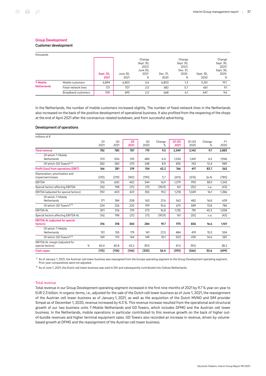Customer development

| thousands          |                            |                   |                  |                                                       |                  |                                                       |                   |                                                        |
|--------------------|----------------------------|-------------------|------------------|-------------------------------------------------------|------------------|-------------------------------------------------------|-------------------|--------------------------------------------------------|
|                    |                            | Sept. 30,<br>2021 | June 30,<br>2021 | Change<br>Sept. 30,<br>2021/<br>June 30,<br>2021<br>% | Dec. 31,<br>2020 | Change<br>Sept. 30,<br>2021/<br>Dec. 31,<br>2020<br>% | Sept. 30,<br>2020 | Change<br>Sept. 30,<br>2021/<br>Sept. 30,<br>2020<br>% |
| <b>T-Mobile</b>    | Mobile customers           | 6,894             | 6.853            | 0.6                                                   | 6.803            | 1.3                                                   | 5.761             | 19.7                                                   |
| <b>Netherlands</b> | Fixed-network lines        | 721               | 707              | 2.0                                                   | 682              | 5.7                                                   | 661               | 9.1                                                    |
|                    | <b>Broadband customers</b> | 709               | 695              | 2.0                                                   | 668              | 6.1                                                   | 647               | 9.6                                                    |

In the Netherlands, the number of mobile customers increased slightly. The number of fixed-network lines in the Netherlands also increased on the back of the positive development of operational business. It also profited from the reopening of the shops at the end of April 2021 after the coronavirus-related lockdown, and from successful advertising.

#### Development of operations

| millions of $\epsilon$                 |   |       |                |       |       |        |           |           |        |           |
|----------------------------------------|---|-------|----------------|-------|-------|--------|-----------|-----------|--------|-----------|
|                                        |   | Q1    | Q <sub>2</sub> | Q3    | Q3    | Change | $Q1 - Q3$ | $Q1 - Q3$ | Change | <b>FY</b> |
|                                        |   | 2021  | 2021           | 2021  | 2020  | ℅      | 2021      | 2020      | %      | 2020      |
| <b>Total revenue</b>                   |   | 782   | 780            | 787   | 719   | 9.5    | 2.349     | 2,142     | 9.7    | 2,883     |
| Of which: T-Mobile                     |   |       |                |       |       |        |           |           |        |           |
| Netherlands                            |   | 513   | 506            | 515   | 484   | 6.4    | 1,534     | 1,441     | 6.5    | 1.946     |
| Of which: GD Towers <sup>a, b</sup>    |   | 282   | 283            | 270   | 248   | 8.9    | 835       | 743       | 12.4   | 989       |
| Profit (loss) from operations (EBIT)   |   | 166   | 381            | 219   | 154   | 42.2   | 766       | 417       | 83.7   | 562       |
| Depreciation, amortization and         |   |       |                |       |       |        |           |           |        |           |
| impairment losses                      |   | (210) | (219)          | (183) | (190) | 3.7    | (613)     | (576)     | (6.4)  | (780)     |
| <b>EBITDA</b>                          |   | 376   | 600            | 402   | 344   | 16.9   | 1,379     | 993       | 38.9   | 1,343     |
| Special factors affecting EBITDA       |   | (16)  | 198            | (21)  | (11)  | (90.9) | 161       | (55)      | n.a.   | (43)      |
| EBITDA (adjusted for special factors)  |   | 392   | 403            | 423   | 355   | 19.2   | 1,218     | 1.049     | 16.1   | 1,386     |
| Of which: T-Mobile                     |   |       |                |       |       |        |           |           |        |           |
| Netherlands                            |   | 171   | 184            | 208   | 163   | 27.6   | 563       | 482       | 16.8   | 639       |
| Of which: GD Towers <sup>a, b</sup>    |   | 224   | 226            | 220   | 199   | 10.6   | 670       | 589       | 13.8   | 786       |
| <b>EBITDA AL</b>                       |   | 301   | 516            | 319   | 273   | 16.8   | 1,135     | 781       | 45.3   | 1,058     |
| Special factors affecting EBITDA AL    |   | (16)  | 198            | (21)  | (11)  | (90.9) | 161       | (55)      | n.a.   | (43)      |
| <b>EBITDA AL (adjusted for special</b> |   |       |                |       |       |        |           |           |        |           |
| factors)                               |   | 316   | 318            | 340   | 284   | 19.7   | 975       | 836       | 16.6   | 1,101     |
| Of which: T-Mobile                     |   |       |                |       |       |        |           |           |        |           |
| Netherlands                            |   | 151   | 155            | 179   | 141   | 27.0   | 484       | 419       | 15.5   | 554       |
| Of which: GD Towers <sup>a, b</sup>    |   | 169   | 170            | 164   | 149   | 10.1   | 503       | 439       | 14.6   | 587       |
| EBITDA AL margin (adjusted for         |   |       |                |       |       |        |           |           |        |           |
| special factors)                       | % | 40.4  | 40.8           | 43.2  | 39.5  |        | 41.5      | 39.0      |        | 38.2      |
| Cash capex                             |   | (115) | (134)          | (144) | (330) | 56.4   | (393)     | (566)     | 30.6   | (699)     |

a As of January 1, 2021, the Austrian cell tower business was reassigned from the Europe operating segment to the Group Development operating segment. Prior-year comparatives were not adjusted.

 $<sup>b</sup>$  As of June 1, 2021, the Dutch cell tower business was sold to DIV and subsequently contributed into Cellnex Netherlands.</sup>

#### Total revenue

Total revenue in our Group Development operating segment increased in the first nine months of 2021 by 9.7 % year-on-year to EUR 2.3 billion. In organic terms, i.e., adjusted for the sale of the Dutch cell tower business as of June 1, 2021, the reassignment of the Austrian cell tower business as of January 1, 2021, as well as the acquisition of the Dutch MVNO and SIM provider Simpel as of December 1, 2020, revenue increased by 4.3 %. This revenue increase resulted from the operational and structural growth of our two business units T‑Mobile Netherlands and GD Towers, which includes DFMG and the Austrian cell tower business. In the Netherlands, mobile operations in particular contributed to this revenue growth on the back of higher outof-bundle revenues and higher terminal equipment sales. GD Towers also recorded an increase in revenue, driven by volumebased growth at DFMG and the reassignment of the Austrian cell tower business.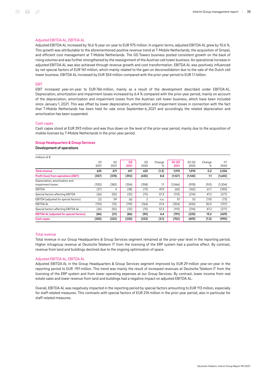#### Adjusted EBITDA AL, EBITDA AL

Adjusted EBITDA AL increased by 16.6 % year-on-year to EUR 975 million. In organic terms, adjusted EBITDA AL grew by 10.6 %. This growth was attributable to the aforementioned positive revenue trend at T‑Mobile Netherlands, the acquisition of Simpel, and efficient cost management at T‑Mobile Netherlands. The GD Towers business posted consistent growth on the back of rising volumes and was further strengthened by the reassignment of the Austrian cell tower business. An operational increase in adjusted EBITDA AL was also achieved through revenue growth and cost transformation. EBITDA AL was positively influenced by net special factors of EUR 161 million, which mainly related to the gain on deconsolidation due to the sale of the Dutch cell tower business. EBITDA AL increased by EUR 354 million compared with the prior-year period to EUR 1.1 billion.

#### EBIT

EBIT increased year-on-year to EUR 766 million, mainly as a result of the development described under EBITDA AL. Depreciation, amortization and impairment losses increased by 6.4 % compared with the prior-year period, mainly on account of the depreciation, amortization and impairment losses from the Austrian cell tower business, which have been included since January 1, 2021. This was offset by lower depreciation, amortization and impairment losses in connection with the fact that T-Mobile Netherlands has been held for sale since September 6, 2021 and accordingly the related depreciation and amortization has been suspended.

#### Cash capex

Cash capex stood at EUR 393 million and was thus down on the level of the prior-year period, mainly due to the acquisition of mobile licenses by T‑Mobile Netherlands in the prior-year period.

#### Group Headquarters & Group Services

#### Development of operations

millions of €

| O <sub>1</sub><br>2021 | O <sub>2</sub><br>2021 | 03<br>2021 | Q3<br>2020 | Change<br>℅ | $Q1 - Q3$<br>2021 | $01 - 03$<br>2020 | Change<br>℅ | FY<br>2020 |
|------------------------|------------------------|------------|------------|-------------|-------------------|-------------------|-------------|------------|
| 625                    | 671                    | 617        | 625        | (1.3)       | 1,913             | 1,910             | 0.2         | 2,556      |
| (357)                  | (378)                  | (392)      | (430)      | 8.8         | (1,127)           | (1,140)           | 1.1         | (1,655)    |
| (330)                  | (382)                  | (354)      | (358)      | 1.1         | (1,066)           | (978)             | (9.0)       | (1,304)    |
| (27)                   | 4                      | (38)       | (73)       | 47.9        | (62)              | (162)             | 61.7        | (350)      |
| (26)                   | (55)                   | (32)       | (75)       | 57.3        | (113)             | (214)             | 47.2        | (277)      |
| (2)                    | 59                     | (6)        | 2          | n.a.        | 51                | 52                | (1.9)       | (73)       |
| (110)                  | (75)                   | (119)      | (164)      | 27.4        | (304)             | (434)             | 30.0        | (707)      |
| (26)                   | (55)                   | (32)       | (75)       | 57.3        | (113)             | (214)             | 47.2        | (277)      |
| (84)                   | (21)                   | (86)       | (90)       | 4.4         | (191)             | (220)             | 13.2        | (429)      |
| (250)                  | (222)                  | (230)      | (223)      | (3.1)       | (702)             | (693)             | (1.3)       | (990)      |
|                        |                        |            |            |             |                   |                   |             |            |

#### Total revenue

Total revenue in our Group Headquarters & Group Services segment remained at the prior-year level in the reporting period. Higher intragroup revenue at Deutsche Telekom IT from the licensing of the ERP system had a positive effect. By contrast, revenue from land and buildings declined due to the ongoing optimization of space.

#### Adjusted EBITDA AL, EBITDA AL

Adjusted EBITDA AL in the Group Headquarters & Group Services segment improved by EUR 29 million year-on-year in the reporting period to EUR ‑191 million. This trend was mainly the result of increased revenues at Deutsche Telekom IT from the licensing of the ERP system and from lower operating expenses at our Group Services. By contrast, lower income from real estate sales and lower revenue from land and buildings had a negative impact on adjusted EBITDA AL.

Overall, EBITDA AL was negatively impacted in the reporting period by special factors amounting to EUR 113 million, especially for staff-related measures. This contrasts with special factors of EUR 214 million in the prior-year period, also in particular for staff-related measures.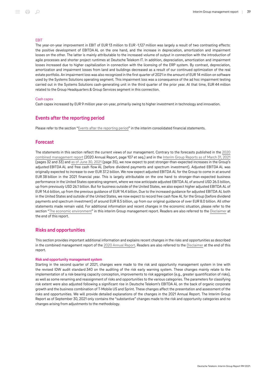#### **FRIT**

The year-on-year improvement in EBIT of EUR 13 million to EUR -1,127 million was largely a result of two contrasting effects: the positive development of EBITDA AL on the one hand, and the increase in depreciation, amortization and impairment losses on the other. The latter is mainly attributable to the increased volume of output in connection with the introduction of agile processes and shorter project runtimes at Deutsche Telekom IT. In addition, depreciation, amortization and impairment losses increased due to higher capitalization in connection with the licensing of the ERP system. By contrast, depreciation, amortization and impairment losses from land and buildings decreased as a result of our continued optimization of the real estate portfolio. An impairment loss was also recognized in the first quarter of 2021 in the amount of EUR 14 million on software used by the Systems Solutions operating segment. This impairment loss was a consequence of the ad hoc impairment testing carried out in the Systems Solutions cash-generating unit in the third quarter of the prior year. At that time, EUR 44 million related to the Group Headquarters & Group Services segment in this connection.

#### Cash capex

Cash capex increased by EUR 9 million year-on-year, primarily owing to higher investment in technology and innovation.

# Events after the reporting period

Please refer to the section "[Events after the reporting period](#page-78-0)" in the interim consolidated financial statements.

#### Forecast

The statements in this section reflect the current views of our management. Contrary to the forecasts published in the [2020](https://report.telekom.com/annual-report-2020/management-report/forecast.html) [combined management report](https://report.telekom.com/annual-report-2020/management-report/forecast.html) (2020 Annual Report, page 107 et seq.) and in the [Interim Group Reports as of March](https://report.telekom.com/interim-report-q1-2021/management-report/forecast.html) 31, 2021 (pages 32 and 33) and [as of June](https://report.telekom.com/interim-report-q2-2021/management-report/forecast.html) 30, 2021 (page 35), we now expect to post stronger-than-expected increases in the Group's adjusted EBITDA AL and free cash flow AL (before dividend payments and spectrum investment). Adjusted EBITDA AL was originally expected to increase to over EUR 37.2 billion. We now expect adjusted EBITDA AL for the Group to come in at around EUR 38 billion in the 2021 financial year. This is largely attributable on the one hand to stronger-than-expected business performance in the United States operating segment, where we now anticipate adjusted EBITDA AL of around USD 26.5 billion, up from previously USD 26.1 billion. But for business outside of the United States, we also expect higher adjusted EBITDA AL of EUR 14.6 billion, up from the previous guidance of EUR 14.4 billion. Due to the increased guidance for adjusted EBITDA AL both in the United States and outside of the United States, we now expect to record free cash flow AL for the Group (before dividend payments and spectrum investment) of around EUR 8.5 billion, up from our original guidance of over EUR 8.0 billion. All other statements made remain valid. For additional information and recent changes in the economic situation, please refer to the section ["The economic environment](#page-11-0)" in this interim Group management report. Readers are also referred to the [Disclaimer](#page-83-0) at the end of this report.

#### Risks and opportunities

This section provides important additional information and explains recent changes in the risks and opportunities as described in the combined management report of the 2020 [Annual Report](https://report.telekom.com/annual-report-2020/management-report/risk-and-opportunity-management/board-of-managements-assessment-of-the-aggregate-risk-and-opportunity-position.html). Readers are also referred to the [Disclaimer](#page-83-0) at the end of this report.

#### Risk and opportunity management system

Starting in the second quarter of 2021, changes were made to the risk and opportunity management system in line with the revised IDW audit standard 340 on the auditing of the risk early warning system. These changes mainly relate to the implementation of a risk-bearing capacity conception, improvements to risk aggregation (e.g., greater quantification of risks), as well as some renaming and reassignment of risks and opportunities to the various categories. The parameters for classifying risk extent were also adjusted following a significant rise in Deutsche Telekom's EBITDA AL on the back of organic corporate growth and the business combination of T‑Mobile US and Sprint. These changes affect the presentation and assessment of the risks and opportunities. We will provide detailed explanations of the changes in the 2021 Annual Report. The Interim Group Report as of September 30, 2021 only contains the "substantive" changes made to the risk and opportunity categories and no changes arising from adjustments to the methodology.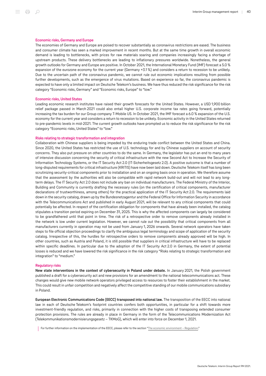#### Economic risks, Germany and Europe

The economies of Germany and Europe are poised to recover substantially as coronavirus restrictions are eased. The business and consumer climate has seen a marked improvement in recent months. But at the same time growth in overall economic demand is leading to bottlenecks, with prices for raw materials soaring and companies increasingly facing a shortage of upstream products. These delivery bottlenecks are leading to inflationary pressures worldwide. Nonetheless, the general growth outlooks for Germany and Europe are positive. In October 2021, the International Monetary Fund (IMF) forecast a 5.0 % expansion of the eurozone economy for the current year (Germany +3.1 %) and considers a return to recession to be unlikely. Due to the uncertain path of the coronavirus pandemic, we cannot rule out economic implications resulting from possible further developments, such as the emergence of virus mutations. Based on experience so far, the coronavirus pandemic is expected to have only a limited impact on Deutsche Telekom's business. We have thus reduced the risk significance for the risk category "Economic risks, Germany" and "Economic risks, Europe" to "low."

#### Economic risks, United States

Leading economic research institutes have raised their growth forecasts for the United States. However, a USD 1,900 billion relief package passed in March 2021 could also entail higher U.S. corporate income tax rates going forward, potentially increasing the tax burden for our Group company T-Mobile US. In October 2021, the IMF forecast a 6.0 % expansion of the U.S. economy for the current year and considers a return to recession to be unlikely. Economic activity in the United States returned to pre-pandemic levels in mid-2021. The current growth outlooks have prompted us to reduce the risk significance for the risk category "Economic risks, United States" to "low."

#### Risks relating to strategic transformation and integration

Collaboration with Chinese suppliers is being impeded by the enduring trade conflict between the United States and China. Since 2020, the United States has restricted the use of U.S. technology for and by Chinese suppliers on account of security concerns. They also put pressure on other countries to do the same. In Germany, the legislator has put an end to many years of intensive discussion concerning the security of critical infrastructure with the new Second Act to Increase the Security of Information Technology Systems, or the IT Security Act 2.0 (IT-Sicherheitsgesetz 2.0). A positive outcome is that a number of long-disputed requirements for critical infrastructure (KRITIS) have now been laid down. Deutsche Telekom itself has long been scrutinizing security-critical components prior to installation and on an ongoing basis once in operation. We therefore assume that the assessment by the authorities will also be compatible with rapid network build-out and will not lead to any longterm delays. The IT Security Act 2.0 does not include any ban on individual manufacturers. The Federal Ministry of the Interior, Building and Community is currently drafting the necessary rules (on the certification of critical components, manufacturer declarations of trustworthiness, among others) for the practical application of the IT Security Act 2.0. The requirements laid down in the security catalog, drawn up by the Bundesnetzagentur and the Federal Office for Information Security in accordance with the Telecommunications Act and published in early August 2021, will be relevant to any critical components that could potentially be affected. In respect of the certification obligation for components that have already been installed, the catalog stipulates a transition period expiring on December 31, 2025. This is why the affected components can largely be considered to be grandfathered until that point in time. The risk of a retrospective order to remove components already installed in the network is low under current legislation. However, we cannot rule out the possibility that critical components from all manufacturers currently in operation may not be used from January 1, 2026 onwards. Several network operators have taken steps to file official objection proceedings to clarify the ambiguous legal terminology and scope of application of the security catalog. Irrespective of this, the hurdles for retrospective orders to remove components already approved will be high. In other countries, such as Austria and Poland, it is still possible that suppliers in critical infrastructure will have to be replaced within specific deadlines. In particular due to the adoption of the IT Security Act 2.0 in Germany, the extent of potential losses is reduced and we have lowered the risk significance in the risk category "Risks relating to strategic transformation and integration" to "medium."

#### Regulatory risks

New state interventions in the context of cybersecurity in Poland under debate. In January 2021, the Polish government published a draft for a cybersecurity act and new provisions for an amendment to the national telecommunications act. These changes would give new mobile network operators privileged access to resources to foster their establishment in the market. This could result in unfair competition and negatively affect the competitive standing of our mobile communications subsidiary in Poland.

European Electronic Communications Code (EECC) transposed into national law. The transposition of the EECC into national law in each of Deutsche Telekom's footprint countries confers both opportunities, in particular for a shift towards more investment-friendly regulation, and risks, primarily in connection with the higher costs of transposing extended consumer protection provisions. The rules are already in place in Germany in the form of the Telecommunications Modernization Act (Telekommunikationsmodernisierungsgesetz – TKMoG), which will enter into force on December 1, 2021.

For further information on the implementation of the EECC, please refer to the section ["The economic environment – Regulation](#page-11-0)."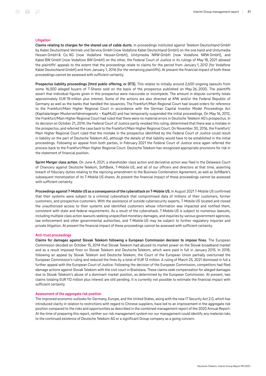#### Litigation

Claims relating to charges for the shared use of cable ducts. In proceedings instituted against Telekom Deutschland GmbH by Kabel Deutschland Vertrieb und Service GmbH (now Vodafone Kabel Deutschland GmbH) on the one hand and Unitymedia Hessen GmbH & Co. KG (now Vodafone Hessen GmbH), Unitymedia NRW GmbH (now Vodafone NRW GmbH), and Kabel BW GmbH (now Vodafone BW GmbH) on the other, the Federal Court of Justice in its rulings of May 18, 2021 allowed the plaintiffs' appeals to the extent that the proceedings relate to claims for the period from January 1, 2012 (for Vodafone Kabel Deutschland GmbH) and from January 1, 2016 (for the remaining plaintiffs). At present the financial impact of both these proceedings cannot be assessed with sufficient certainty.

Prospectus liability proceedings (third public offering, or DT3). This relates to initially around 2,600 ongoing lawsuits from some 16,000 alleged buyers of T-Shares sold on the basis of the prospectus published on May 26, 2000. The plaintiffs assert that individual figures given in this prospectus were inaccurate or incomplete. The amount in dispute currently totals approximately EUR 78 million plus interest. Some of the actions are also directed at KfW and/or the Federal Republic of Germany as well as the banks that handled the issuances. The Frankfurt/Main Regional Court had issued orders for reference to the Frankfurt/Main Higher Regional Court in accordance with the German Capital Investor Model Proceedings Act (Kapitalanleger-Musterverfahrensgesetz – KapMuG) and has temporarily suspended the initial proceedings. On May 16, 2012, the Frankfurt/Main Higher Regional Court had ruled that there were no material errors in Deutsche Telekom AG's prospectus. In its decision on October 21, 2014, the Federal Court of Justice partly revoked this ruling, determined that there was a mistake in the prospectus, and referred the case back to the Frankfurt/Main Higher Regional Court. On November 30, 2016, the Frankfurt/ Main Higher Regional Court ruled that the mistake in the prospectus identified by the Federal Court of Justice could result in liability on the part of Deutsche Telekom AG, although the details of that liability would have to be established in the initial proceedings. Following an appeal from both parties, in February 2021 the Federal Court of Justice once again referred the process back to the Frankfurt/Main Higher Regional Court. Deutsche Telekom has recognized appropriate provisions for risk in the statement of financial position.

Sprint Merger class action. On June 4, 2021, a shareholder class action and derivative action was filed in the Delaware Court of Chancery against Deutsche Telekom, SoftBank, T‑Mobile US, and all of our officers and directors at that time, asserting breach of fiduciary duties relating to the repricing amendment to the Business Combination Agreement, as well as SoftBank's subsequent monetization of its T‑Mobile US shares. At present the financial impact of these proceedings cannot be assessed with sufficient certainty.

Proceedings against T-Mobile US as a consequence of the cyberattack on T-Mobile US. In August 2021 T-Mobile US confirmed that their systems were subject to a criminal cyberattack that compromised data of millions of their customers, former customers, and prospective customers. With the assistance of outside cybersecurity experts, T‑Mobile US located and closed the unauthorized access to their systems and identified customers whose information was impacted and notified them, consistent with state and federal requirements. As a result of the cyberattack, T-Mobile US is subject to numerous lawsuits, including multiple class action lawsuits seeking unspecified monetary damages, and inquiries by various government agencies, law enforcement and other governmental authorities, and T‑Mobile US may be subject to further regulatory inquiries and private litigation. At present the financial impact of these proceedings cannot be assessed with sufficient certainty.

#### Anti-trust proceedings

Claims for damages against Slovak Telekom following a European Commission decision to impose fines. The European Commission decided on October 15, 2014 that Slovak Telekom had abused its market power on the Slovak broadband market and as a result imposed fines on Slovak Telekom and Deutsche Telekom, which were paid in full in January 2015. In 2018, following an appeal by Slovak Telekom and Deutsche Telekom, the Court of the European Union partially overturned the European Commission's ruling and reduced the fines by a total of EUR 13 million. A ruling of March 25, 2021 dismissed in full a further appeal with the European Court of Justice. Following the decision of the European Commission, competitors had filed damage actions against Slovak Telekom with the civil court in Bratislava. These claims seek compensation for alleged damages due to Slovak Telekom's abuse of a dominant market position, as determined by the European Commission. At present, two claims totaling EUR 112 million plus interest are still pending. It is currently not possible to estimate the financial impact with sufficient certainty.

#### Assessment of the aggregate risk position

The improved economic outlooks for Germany, Europe, and the United States, along with the new IT Security Act 2.0, which has introduced clarity in relation to restrictions with regard to Chinese suppliers, have led to an improvement in the aggregate risk position compared to the risks and opportunities as described in the combined management report of the 2020 Annual Report. At the time of preparing this report, neither our risk management system nor our management could identify any material risks to the continued existence of Deutsche Telekom AG or a significant Group company as a going concern.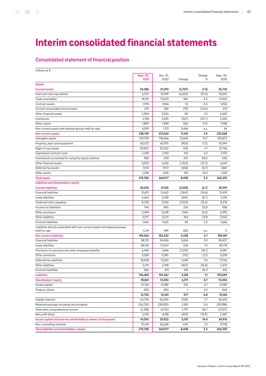# Interim consolidated financial statements

# Consolidated statement of financial position

| millions of $\epsilon$                                                      |           |          |         |        |           |
|-----------------------------------------------------------------------------|-----------|----------|---------|--------|-----------|
|                                                                             | Sept. 30, | Dec. 31, |         | Change | Sept. 30, |
|                                                                             | 2021      | 2020     | Change  | %      | 2020      |
| <b>Assets</b>                                                               |           |          |         |        |           |
| <b>Current assets</b>                                                       | 34,586    | 37,293   | (2,707) | (7.3)  | 32,725    |
| Cash and cash equivalents                                                   | 6,337     | 12,939   | (6,602) | (51.0) | 10,642    |
| Trade receivables                                                           | 14,110    | 13,523   | 587     | 4.3    | 12,960    |
| Contract assets                                                             | 1,976     | 1,966    | 10      | 0.5    | 1,926     |
| Current recoverable income taxes                                            | 270       | 349      | (79)    | (22.6) | 213       |
| Other financial assets                                                      | 3,304     | 3,224    | 80      | 2.5    | 2,650     |
| Inventories                                                                 | 2,138     | 2,695    | (557)   | (20.7) | 2,342     |
| Other assets                                                                | 1,890     | 1,484    | 406     | 27.4   | 1,948     |
| Non-current assets and disposal groups held for sale                        | 4,559     | 1,113    | 3,446   | n.a.   | 44        |
| <b>Non-current assets</b>                                                   | 238,769   | 227,624  | 11,145  | 4.9    | 232,568   |
| Intangible assets                                                           | 130,709   | 118,066  | 12,643  | 10.7   | 120,873   |
| Property, plant and equipment                                               | 60,072    | 60,975   | (903)   | (1.5)  | 61,594    |
| Right-of-use assets                                                         | 30,807    | 30,302   | 505     | 1.7    | 31,756    |
| Capitalized contract costs                                                  | 2,335     | 2,192    | 143     | 6.5    | 2,133     |
| Investments accounted for using the equity method                           | 980       | 543      | 437     | 80.5   | 550       |
| Other financial assets                                                      | 5,053     | 6,416    | (1,363) | (21.2) | 6.643     |
| Deferred tax assets                                                         | 7,514     | 7,972    | (458)   | (5.7)  | 7,861     |
| Other assets                                                                | 1,298     | 1,159    | 139     | 12.0   | 1,159     |
| <b>Total assets</b>                                                         | 273,355   | 264,917  | 8,438   | 3.2    | 265,292   |
| Liabilities and shareholders' equity                                        |           |          |         |        |           |
| <b>Current liabilities</b>                                                  | 35,035    | 37,135   | (2,100) | (5.7)  | 35,109    |
| <b>Financial liabilities</b>                                                | 10,811    | 12,652   | (1,841) | (14.6) | 12,419    |
| Lease liabilities                                                           | 4,663     | 5,108    | (445)   | (8.7)  | 5,134     |
| Trade and other payables                                                    | 8,235     | 9,760    | (1,525) | (15.6) | 8,318     |
| Income tax liabilities                                                      | 916       | 690      | 226     | 32.8   | 558       |
| Other provisions                                                            | 3,494     | 3,638    | (144)   | (4.0)  | 3,490     |
| Other liabilities                                                           | 3,977     | 3,213    | 764     | 23.8   | 3,525     |
| Contract liabilities                                                        | 1,665     | 1,625    | 40      | 2.5    | 1,666     |
| Liabilities directly associated with non-current assets and disposal groups |           |          |         |        |           |
| held for sale                                                               | 1,274     | 449      | 825     | n.a.   | 0         |
| <b>Non-current liabilities</b>                                              | 159,460   | 155,232  | 4,228   | 2.7    | 158,149   |
| <b>Financial liabilities</b>                                                | 98,110    | 94,456   | 3,654   | 3.9    | 95,437    |
| Lease liabilities                                                           | 28,143    | 27,607   | 536     | 1.9    | 28,718    |
| Provisions for pensions and other employee benefits                         | 6,445     | 7,684    | (1,239) | (16.1) | 8,481     |
| Other provisions                                                            | 5,283     | 5,395    | (112)   | (2.1)  | 5,018     |
| Deferred tax liabilities                                                    | 18,908    | 17,260   | 1,648   | 9.5    | 17,706    |
| Other liabilities                                                           | 2,011     | 2,418    | (407)   | (16.8) | 2,375     |
| Contract liabilities                                                        | 56U       | 411      | 149     | 36.3   | 414       |
| <b>Liabilities</b>                                                          | 194,495   | 192,367  | 2,128   | 1.1    | 193,259   |
| Shareholders' equity                                                        | 78,861    | 72,550   | 6,311   | 8.7    | 72,034    |
| Issued capital                                                              | 12,765    | 12,189   | 576     | 4.7    | 12,189    |
| Treasury shares                                                             | (45)      | (46)     | 1       | 2.2    | (46)      |
|                                                                             | 12,720    | 12,143   | 577     | 4.8    | 12,143    |
| Capital reserves                                                            | 63,705    | 62,640   | 1,065   | 1.7    | 62,610    |
| Retained earnings including carryforwards                                   | (36, 720) | (38,905) | 2,185   | 5.6    | (39, 398) |
| Total other comprehensive income                                            | (2,318)   | (4, 115) | 1,797   | 43.7   | (2,927)   |
| Net profit (loss)                                                           | 3,705     | 4,158    | (453)   | (10.9) | 2,487     |
| Issued capital and reserves attributable to owners of the parent            | 41,092    | 35,922   | 5,170   | 14.4   | 34,916    |
| Non-controlling interests                                                   | 37,769    | 36,628   | 1,141   | 3.1    | 37,118    |
| Total liabilities and shareholders' equity                                  | 273,355   | 264,917  | 8,438   | 3.2    | 265,292   |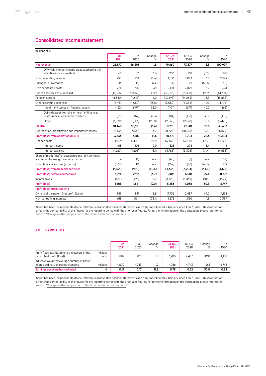# Consolidated income statement

| millions of €                                                                                    |            |            |             |                   |                   |             |                   |
|--------------------------------------------------------------------------------------------------|------------|------------|-------------|-------------------|-------------------|-------------|-------------------|
|                                                                                                  | 03<br>2021 | Q3<br>2020 | Change<br>℅ | $Q1 - Q3$<br>2021 | $Q1 - Q3$<br>2020 | Change<br>℅ | <b>FY</b><br>2020 |
| Net revenue                                                                                      | 26,877     | 26,393     | 1.8         | 79,860            | 73,377            | 8.8         | 100,999           |
| Of which: interest income calculated using the<br>effective interest method                      | 65         | 61         | 6.6         | 206               | 218               | (5.5)       | 278               |
| Other operating income                                                                           | 250        | 254        | (1.6)       | 1.091             | 1,073             | 1.7         | 2,879             |
| Changes in inventories                                                                           | 16         | (1)        | n.a.        | 12                | 29                | (58.6)      | (15)              |
| Own capitalized costs                                                                            | 724        | 702        | 3.1         | 2,104             | 2,029             | 3.7         | 2,774             |
| Goods and services purchased                                                                     | (11, 866)  | (11,065)   | (7.2)       | (35,021)          | (31, 307)         | (11.9)      | (44, 674)         |
| Personnel costs                                                                                  | (4,340)    | (4,618)    | 6.0         | (13,698)          | (14, 233)         | 3.8         | (18, 853)         |
| Other operating expenses                                                                         | (1,195)    | (1,050)    | (13.8)      | (3,050)           | (3,386)           | 9.9         | (4, 476)          |
| Impairment losses on financial assets                                                            | (132)      | (197)      | 33.0        | (401)             | (671)             | 40.2        | (862)             |
| Gains (losses) from the write-off of financial<br>assets measured at amortized cost              | (31)       | (52)       | 40.4        | (84)              | (137)             | 38.7        | (188)             |
| Other                                                                                            | (1,032)    | (801)      | (28.8)      | (2,565)           | (2,578)           | 0.5         | (3, 425)          |
| <b>EBITDA</b>                                                                                    | 10,468     | 10,615     | (1.4)       | 31,298            | 27,581            | 13.5        | 38,633            |
| Depreciation, amortization and impairment losses                                                 | (7,002)    | (7,508)    | 6.7         | (20,625)          | (18, 876)         | (9.3)       | (25, 829)         |
| Profit (loss) from operations (EBIT)                                                             | 3,466      | 3,107      | 11.6        | 10,672            | 8,704             | 22.6        | 12,804            |
| Finance costs                                                                                    | (1,159)    | (1,100)    | (5.4)       | (3, 462)          | (3,100)           | (11.7)      | (4,224)           |
| Interest income                                                                                  | 108        | 105        | 2.9         | 323               | 298               | 8.4         | 414               |
| Interest expense                                                                                 | (1, 267)   | (1,205)    | (5.1)       | (3,785)           | (3,398)           | (11.4)      | (4,638)           |
| Share of profit (loss) of associates and joint ventures<br>accounted for using the equity method | 4          | (1)        | n.a.        | (40)              | (7)               | n.a.        | (12)              |
| Other financial income (expense)                                                                 | (337)      | 111        | n.a.        | (159)             | (96)              | (65.6)      | 109               |
| <b>Profit (loss) from financial activities</b>                                                   | (1, 491)   | (990)      | (50.6)      | (3,661)           | (3,204)           | (14.3)      | (4, 128)          |
| Profit (loss) before income taxes                                                                | 1,974      | 2,116      | (6.7)       | 7,011             | 5,501             | 27.4        | 8,677             |
| Income taxes                                                                                     | (467)      | (495)      | 5.7         | (1,728)           | (1, 463)          | (18.1)      | (1,929)           |
| Profit (loss)                                                                                    | 1,508      | 1,621      | (7.0)       | 5,283             | 4,038             | 30.8        | 6,747             |
| Profit (loss) attributable to                                                                    |            |            |             |                   |                   |             |                   |
| Owners of the parent (net profit (loss))                                                         | 889        | 817        | 8.8         | 3,705             | 2,487             | 49.0        | 4.158             |
| Non-controlling interests                                                                        | 618        | 804        | (23.1)      | 1,578             | 1,550             | 1.8         | 2,589             |

Sprint has been included in Deutsche Telekom's consolidated financial statements as a fully consolidated subsidiary since April 1, 2020. This transaction affects the comparability of the figures for the reporting period with the prior-year figures. For further information on the transaction, please refer to the section ["Changes in the composition of the Group and other transactions."](#page-48-0)

#### Earnings per share

|                                                                                   |                 | 03<br>2021 | Q3<br>2020 | Change<br>% | $Q1 - Q3$<br>2021 | $01 - 03$<br>2020 | Change<br>% | FY<br>2020 |
|-----------------------------------------------------------------------------------|-----------------|------------|------------|-------------|-------------------|-------------------|-------------|------------|
| Profit (loss) attributable to the owners of the<br>parent (net profit (loss))     | millions<br>of€ | 889        | 817        | 8.8         | 3.705             | 2.487             | 49.0        | 4.158      |
| Adjusted weighted average number of basic/<br>diluted ordinary shares outstanding | millions        | 4.800      | 4.743      | 1.2         | 4.766             | 4.743             | 0.5         | 4.743      |
| Earnings per share basic/diluted                                                  | €               | 0.19       | 0.17       | 11.8        | 0.78              | 0.52              | 50.0        | 0.88       |

Sprint has been included in Deutsche Telekom's consolidated financial statements as a fully consolidated subsidiary since April 1, 2020. This transaction affects the comparability of the figures for the reporting period with the prior-year figures. For further information on the transaction, please refer to the section ["Changes in the composition of the Group and other transactions."](#page-48-0)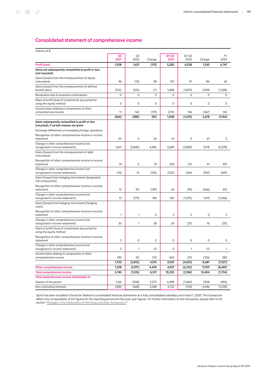# Consolidated statement of comprehensive income

| millions of €                                                                                 |                |                |        |                |                |        |           |
|-----------------------------------------------------------------------------------------------|----------------|----------------|--------|----------------|----------------|--------|-----------|
|                                                                                               | Q <sub>3</sub> | Q3             |        | $Q1 - Q3$      | Q1-Q3          |        | <b>FY</b> |
|                                                                                               | 2021           | 2020           | Change | 2021           | 2020           | Change | 2020      |
| Profit (loss)<br>Items not subsequently reclassified to profit or loss                        | 1,508          | 1,621          | (113)  | 5,283          | 4,038          | 1,245  | 6,747     |
| (not recycled)                                                                                |                |                |        |                |                |        |           |
| Gains (losses) from the remeasurement of equity<br>instruments                                | 46             | (12)           | 58     | 133            | 47             | 86     | 62        |
| Gains (losses) from the remeasurement of defined                                              |                |                |        |                |                |        |           |
| benefit plans                                                                                 | (522)          | (515)          | (7)    | 1,088          | (1,870)        | 2,958  | (1,358)   |
| Revaluation due to business combinations                                                      | 0              | 0              | 0      | 0              | 0              | 0      | 0         |
| Share of profit (loss) of investments accounted for<br>using the equity method                | 0              | 0              | 0      | 0              | 0              | 0      | 0         |
| Income taxes relating to components of other<br>comprehensive income                          | 11             | 142            | (131)  | (213)          | 154            | (367)  | 142       |
|                                                                                               | (466)          | (385)          | (81)   | 1,008          | (1,670)        | 2,678  | (1,154)   |
| Items subsequently reclassified to profit or loss<br>(recycled), if certain reasons are given |                |                |        |                |                |        |           |
| Exchange differences on translating foreign operations                                        |                |                |        |                |                |        |           |
| Recognition of other comprehensive income in income<br>statement                              | 20             | 0              | 20     | 61             | 0              | 61     | 0         |
| Change in other comprehensive income (not<br>recognized in income statement)                  | 1,641          | (2,845)        | 4,486  | 3,689          | (3,889)        | 7,578  | (6, 578)  |
| Gains (losses) from the remeasurement of debt<br>instruments                                  |                |                |        |                |                |        |           |
| Recognition of other comprehensive income in income<br>statement                              | 74             | 0              | 74     | 253            | 212            | 41     | 491       |
| Change in other comprehensive income (not<br>recognized in income statement)                  | (74)           | 51             | (125)  | (253)          | (144)          | (109)  | (481)     |
| Gains (losses) from hedging instruments (designated<br>risk components)                       |                |                |        |                |                |        |           |
| Recognition of other comprehensive income in income<br>statement                              | 12             | 151            | (139)  | 26             | 292            | (266)  | 431       |
| Change in other comprehensive income (not<br>recognized in income statement)                  | 13             | (173)          | 186    | 160            | (1,255)        | 1,415  | (1,446)   |
| Gains (losses) from hedging instruments (hedging<br>costs)                                    |                |                |        |                |                |        |           |
| Recognition of other comprehensive income in income<br>statement                              | 1              | 1              | 0      | $\overline{2}$ | $\overline{c}$ | 0      | 2         |
| Change in other comprehensive income (not<br>recognized in income statement)                  | 35             | $\overline{7}$ | 28     | 55             | (21)           | 76     | (30)      |
| Share of profit (loss) of investments accounted for<br>using the equity method                |                |                |        |                |                |        |           |
| Recognition of other comprehensive income in income<br>statement                              | 0              | 0              | 0      | 0              | 0              | 0      | 0         |
| Change in other comprehensive income (not<br>recognized in income statement)                  | 0              | 1              | $(1)$  | 0              | 1              | $(1)$  |           |
| Income taxes relating to components of other<br>comprehensive income                          | (18)           | (5)            | (13)   | (64)           | 252            | (316)  | 283       |
|                                                                                               | 1,703          | (2, 812)       | 4,515  | 3,929          | (4, 552)       | 8,481  | (7, 327)  |
| Other comprehensive income                                                                    | 1,238          | (3, 197)       | 4,435  | 4,937          | (6, 222)       | 11,159 | (8,481)   |
| <b>Total comprehensive income</b>                                                             | 2,745          | (1,576)        | 4,321  | 10,220         | (2, 184)       | 12,404 | (1,734)   |
| Total comprehensive income attributable to                                                    |                |                |        |                |                |        |           |
| Owners of the parent                                                                          | 1,165          | (908)          | 2,073  | 6,498          | (1,460)        | 7,958  | (496)     |
| Non-controlling interests                                                                     | 1,580          | (668)          | 2,248  | 3,722          | (724)          | 4,446  | (1,238)   |

Sprint has been included in Deutsche Telekom's consolidated financial statements as a fully consolidated subsidiary since April 1, 2020. This transaction affects the comparability of the figures for the reporting period with the prior-year figures. For further information on the transaction, please refer to the section ["Changes in the composition of the Group and other transactions."](#page-48-0)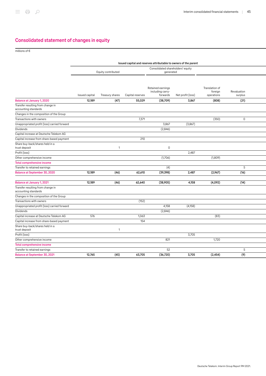# Consolidated statement of changes in equity

millions of €

|                                                           |                |                    |                  | Issued capital and reserves attributable to owners of the parent |                   |                                         |                        |  |
|-----------------------------------------------------------|----------------|--------------------|------------------|------------------------------------------------------------------|-------------------|-----------------------------------------|------------------------|--|
|                                                           |                |                    |                  | Consolidated shareholders' equity                                |                   |                                         |                        |  |
|                                                           |                | Equity contributed |                  | generated                                                        |                   |                                         |                        |  |
|                                                           |                |                    |                  |                                                                  |                   |                                         |                        |  |
|                                                           | Issued capital | Treasury shares    | Capital reserves | Retained earnings<br>including carry-<br>forwards                | Net profit (loss) | Translation of<br>foreign<br>operations | Revaluation<br>surplus |  |
| Balance at January 1, 2020                                | 12,189         | (47)               | 55,029           | (38,709)                                                         | 3,867             | (808)                                   | (21)                   |  |
| Transfer resulting from change in<br>accounting standards |                |                    |                  |                                                                  |                   |                                         |                        |  |
| Changes in the composition of the Group                   |                |                    |                  |                                                                  |                   |                                         |                        |  |
| Transactions with owners                                  |                |                    | 7,371            |                                                                  |                   | (350)                                   | $\mathbf 0$            |  |
| Unappropriated profit (loss) carried forward              |                |                    |                  | 3,867                                                            | (3,867)           |                                         |                        |  |
| Dividends                                                 |                |                    |                  | (2,846)                                                          |                   |                                         |                        |  |
| Capital increase at Deutsche Telekom AG                   |                |                    |                  |                                                                  |                   |                                         |                        |  |
| Capital increase from share-based payment                 |                |                    | 210              |                                                                  |                   |                                         |                        |  |
| Share buy-back/shares held in a<br>trust deposit          |                | 1                  |                  | $\mathsf 0$                                                      |                   |                                         |                        |  |
| Profit (loss)                                             |                |                    |                  |                                                                  | 2,487             |                                         |                        |  |
| Other comprehensive income                                |                |                    |                  | (1,706)                                                          |                   | (1,809)                                 |                        |  |
| <b>Total comprehensive income</b>                         |                |                    |                  |                                                                  |                   |                                         |                        |  |
| Transfer to retained earnings                             |                |                    |                  | (4)                                                              |                   |                                         | 5                      |  |
| Balance at September 30, 2020                             | 12,189         | (46)               | 62,610           | (39, 398)                                                        | 2,487             | (2,967)                                 | (16)                   |  |
|                                                           |                |                    |                  |                                                                  |                   |                                         |                        |  |
| Balance at January 1, 2021                                | 12,189         | (46)               | 62,640           | (38,905)                                                         | 4,158             | (4,092)                                 | (14)                   |  |
| Transfer resulting from change in<br>accounting standards |                |                    |                  |                                                                  |                   |                                         |                        |  |
| Changes in the composition of the Group                   |                |                    |                  |                                                                  |                   |                                         |                        |  |
| Transactions with owners                                  |                |                    | (152)            |                                                                  |                   |                                         |                        |  |
| Unappropriated profit (loss) carried forward              |                |                    |                  | 4,158                                                            | (4, 158)          |                                         |                        |  |
| Dividends                                                 |                |                    |                  | (2,846)                                                          |                   |                                         |                        |  |
| Capital increase at Deutsche Telekom AG                   | 576            |                    | 1,063            |                                                                  |                   | (83)                                    |                        |  |
| Capital increase from share-based payment                 |                |                    | 154              |                                                                  |                   |                                         |                        |  |
| Share buy-back/shares held in a<br>trust deposit          |                | 1                  |                  |                                                                  |                   |                                         |                        |  |
| Profit (loss)                                             |                |                    |                  |                                                                  | 3,705             |                                         |                        |  |
| Other comprehensive income                                |                |                    |                  | 821                                                              |                   | 1,720                                   |                        |  |
| <b>Total comprehensive income</b>                         |                |                    |                  |                                                                  |                   |                                         |                        |  |
| Transfer to retained earnings                             |                |                    |                  | 52                                                               |                   |                                         | 5                      |  |
| Balance at September 30, 2021                             | 12,765         | (45)               | 63,705           | (36, 720)                                                        | 3,705             | (2, 454)                                | (9)                    |  |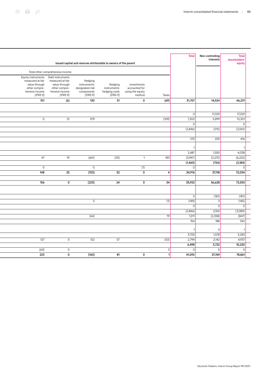|                                                                                                        |                                                                                                      |                                                                      |                                                      |                                                            |              | <b>Total</b>   | Non-controlling<br>interests | <b>Total</b><br>shareholders <sup>®</sup> |  |
|--------------------------------------------------------------------------------------------------------|------------------------------------------------------------------------------------------------------|----------------------------------------------------------------------|------------------------------------------------------|------------------------------------------------------------|--------------|----------------|------------------------------|-------------------------------------------|--|
|                                                                                                        |                                                                                                      | Issued capital and reserves attributable to owners of the parent     |                                                      |                                                            |              |                |                              | equity                                    |  |
|                                                                                                        | Total other comprehensive income                                                                     |                                                                      |                                                      |                                                            |              |                |                              |                                           |  |
| Equity instruments<br>measured at fair<br>value through<br>other compre-<br>hensive income<br>(IFRS 9) | Debt instruments<br>measured at fair<br>value through<br>other compre-<br>hensive income<br>(IFRS 9) | Hedging<br>instruments:<br>designated risk<br>components<br>(IFRS 9) | Hedging<br>instruments:<br>hedging costs<br>(IFRS 9) | Investments<br>accounted for<br>using the equity<br>method | Taxes        |                |                              |                                           |  |
| 101                                                                                                    | (6)                                                                                                  | 130                                                                  | 51                                                   | 0                                                          | (69)         | 31,707         | 14,524                       | 46,231                                    |  |
|                                                                                                        |                                                                                                      |                                                                      |                                                      |                                                            |              |                |                              |                                           |  |
|                                                                                                        |                                                                                                      |                                                                      |                                                      |                                                            |              | $\mathbf 0$    | 17,329                       | 17,329                                    |  |
| 0                                                                                                      | 12                                                                                                   | 379                                                                  |                                                      |                                                            | (109)        | 7,303          | 5,999                        | 13,301                                    |  |
|                                                                                                        |                                                                                                      |                                                                      |                                                      |                                                            |              | $\mathsf 0$    |                              | $\mathbf{0}$                              |  |
|                                                                                                        |                                                                                                      |                                                                      |                                                      |                                                            |              | (2,846)        | (215)                        | (3,061)                                   |  |
|                                                                                                        |                                                                                                      |                                                                      |                                                      |                                                            |              |                |                              |                                           |  |
|                                                                                                        |                                                                                                      |                                                                      |                                                      |                                                            |              | 210            | 205                          | 416                                       |  |
|                                                                                                        |                                                                                                      |                                                                      |                                                      |                                                            |              |                |                              |                                           |  |
|                                                                                                        |                                                                                                      |                                                                      |                                                      |                                                            |              | 2,487          | 1,550                        | 4,038                                     |  |
| 47                                                                                                     | 19                                                                                                   | (661)                                                                | (20)                                                 | $\mathbf{1}$                                               | 183          | (3,947)        | (2,275)                      | (6, 222)                                  |  |
|                                                                                                        |                                                                                                      |                                                                      |                                                      |                                                            |              | (1,460)        | (724)                        | (2, 184)                                  |  |
| $\overline{0}$                                                                                         |                                                                                                      | $\mathbf 0$                                                          |                                                      | (1)                                                        |              | $\mathbf 0$    |                              | $\mathbf 0$                               |  |
| 148                                                                                                    | 25                                                                                                   | (153)                                                                | 32                                                   | 0                                                          | 4            | 34,916         | 37,118                       | 72,034                                    |  |
|                                                                                                        |                                                                                                      |                                                                      |                                                      |                                                            |              |                |                              |                                           |  |
| 156                                                                                                    | 0                                                                                                    | (223)                                                                | 24                                                   | 0                                                          | 34           | 35,922         | 36,628                       | 72,550                                    |  |
|                                                                                                        |                                                                                                      |                                                                      |                                                      |                                                            |              |                |                              |                                           |  |
|                                                                                                        |                                                                                                      |                                                                      |                                                      |                                                            |              | $\mathsf 0$    | (181)                        | (181)                                     |  |
|                                                                                                        |                                                                                                      | 5                                                                    |                                                      |                                                            | (1)          | (149)          | 3                            | (145)                                     |  |
|                                                                                                        |                                                                                                      |                                                                      |                                                      |                                                            |              | $\overline{0}$ | $\overline{0}$               | $\overline{0}$                            |  |
|                                                                                                        |                                                                                                      |                                                                      |                                                      |                                                            |              | (2,846)        | (234)                        | (3,080)                                   |  |
|                                                                                                        |                                                                                                      | (64)                                                                 |                                                      |                                                            | 19           | 1,511          | (2,358)                      | (847)                                     |  |
|                                                                                                        |                                                                                                      |                                                                      |                                                      |                                                            |              | 154            | 188                          | 342                                       |  |
|                                                                                                        |                                                                                                      |                                                                      |                                                      |                                                            |              | 1              | $\mathsf{O}$                 | $\mathbf{\overline{1}}$                   |  |
|                                                                                                        |                                                                                                      |                                                                      |                                                      |                                                            |              | 3,705          | 1,578                        | 5,283                                     |  |
| 127                                                                                                    | $\mathsf O$                                                                                          | 122                                                                  | 57                                                   |                                                            | (53)         | 2,794          | 2,142                        | 4,937                                     |  |
|                                                                                                        |                                                                                                      |                                                                      |                                                      |                                                            |              | 6,498          | 3,722                        | 10,220                                    |  |
| (60)                                                                                                   | $\mathsf{O}\xspace$                                                                                  |                                                                      |                                                      |                                                            | 3            | $\overline{0}$ | $\mathsf 0$                  | $\mathbf 0$                               |  |
| 223                                                                                                    | 0                                                                                                    | (160)                                                                | 81                                                   | 0                                                          | $\mathbf{1}$ | 41,092         | 37,769                       | 78,861                                    |  |
|                                                                                                        |                                                                                                      |                                                                      |                                                      |                                                            |              |                |                              |                                           |  |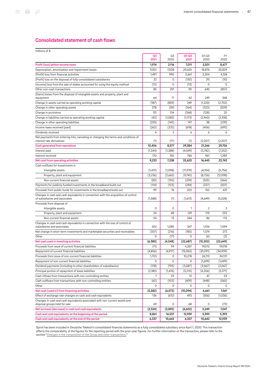# Consolidated statement of cash flows

| millions of $\epsilon$                                                                                               |            |            |                   |                   |                   |
|----------------------------------------------------------------------------------------------------------------------|------------|------------|-------------------|-------------------|-------------------|
|                                                                                                                      | Q3<br>2021 | Q3<br>2020 | $Q1 - Q3$<br>2021 | $Q1 - Q3$<br>2020 | <b>FY</b><br>2020 |
| Profit (loss) before income taxes                                                                                    | 1,974      | 2,116      | 7,011             | 5.501             | 8,677             |
| Depreciation, amortization and impairment losses                                                                     | 7,002      | 7,508      | 20,625            | 18,876            | 25,829            |
| (Profit) loss from financial activities                                                                              | 1,491      | 990        | 3,661             | 3,204             | 4,128             |
| (Profit) loss on the disposal of fully consolidated subsidiaries                                                     | 32         | 0          | (130)             | (9)               | (10)              |
| (Income) loss from the sale of stakes accounted for using the equity method<br>Other non-cash transactions           | (13)<br>85 | 0<br>251   | (13)<br>90        | 0<br>645          | 0<br>(857)        |
| (Gains) losses from the disposal of intangible assets and property, plant and                                        | 64         | 71         | 62                | 249               | 368               |
| equipment<br>Change in assets carried as operating working capital                                                   | (187)      | (859)      | 249               | (1,220)           | (2,702)           |
| Change in other operating assets                                                                                     | 378        | (59)       | (164)             | (323)             | (509)             |
| Change in provisions                                                                                                 | 131        | 134        | (368)             | (128)             | 20                |
| Change in liabilities carried as operating working capital                                                           | (43)       | (1,085)    | (1,173)           | (2,960)           | (2,108)           |
| Change in other operating liabilities                                                                                | (250)      | (145)      | 147               | 38                | (239)             |
| Income taxes received (paid)                                                                                         | (262)      | (332)      | (618)             | (406)             | (690)             |
| Dividends received                                                                                                   | 4          | 2          | 6                 | 6                 | 6                 |
| Net payments from entering into, canceling or changing the terms and conditions of                                   |            |            |                   |                   |                   |
| interest rate derivatives                                                                                            | (1)        | (17)       | (1)               | (2,207)           | (2,207)           |
| <b>Cash generated from operations</b>                                                                                | 10.406     | 8,577      | 29,384            | 21,266            | 29,706            |
| Interest paid                                                                                                        | (1,344)    | (1,388)    | (4,549)           | (5,782)           | (7,252)           |
| Interest received                                                                                                    | 170        | 150        | 786               | 961               | 1,289             |
| Net cash from operating activities                                                                                   | 9,233      | 7,338      | 25,620            | 16,445            | 23,743            |
| Cash outflows for investments in                                                                                     |            |            |                   |                   |                   |
| Intangible assets                                                                                                    | (1,431)    | (1,098)    | (11, 519)         | (4, 154)          | (5,756)           |
| Property, plant and equipment                                                                                        | (3,236)    | (3,665)    | (9,740)           | (8,726)           | (12,938)          |
| Non-current financial assets                                                                                         | (83)       | (150)      | (259)             | (525)             | (566)             |
| Payments for publicly funded investments in the broadband build-out                                                  | (114)      | (123)      | (294)             | (337)             | (507)             |
| Proceeds from public funds for investments in the broadband build-out                                                | 99         | 76         | 202               | 152               | 431               |
| Changes in cash and cash equivalents in connection with the acquisition of control<br>of subsidiaries and associates | (1,588)    | (1)        | (1,613)           | (4,649)           | (5,028)           |
| Proceeds from disposal of                                                                                            |            |            |                   |                   |                   |
| Intangible assets                                                                                                    | 0          | 0          | 1                 | 2                 | 3                 |
| Property, plant and equipment                                                                                        | 24         | 48         | 129               | 175               | 233               |
| Non-current financial assets                                                                                         | 54         | 13         | 244               | 86                | 112               |
| Changes in cash and cash equivalents in connection with the loss of control of<br>subsidiaries and associates        | 202        | 1,085      | 347               | 1,106             | 1,094             |
| Net change in short-term investments and marketable securities and receivables                                       | (307)      | (216)      | (185)             | 1,574             | 273               |
| Other                                                                                                                | 0          | (17)       | 0                 | (6)               | (2)               |
| Net cash used in investing activities                                                                                | (6,380)    | (4,048)    | (22,687)          | (15, 302)         | (22, 649)         |
| Proceeds from issue of current financial liabilities                                                                 | (11)       | 94         | 4,287             | 19,012            | 19,018            |
| Repayment of current financial liabilities                                                                           | (4,856)    | (4,917)    | (15,960)          | (31,091)          | (34,939)          |
| Proceeds from issue of non-current financial liabilities                                                             | 1,703      | 0          | 10,278            | 26,113            | 34,131            |
| Repayment of non-current financial liabilities                                                                       | 0          | 0          | 0                 | (1,699)           | (1,699)           |
| Dividend payments (including to other shareholders of subsidiaries)                                                  | (178)      | (193)      | (3,087)           | (3,067)           | (3,067)           |
| Principal portion of repayment of lease liabilities                                                                  | (2,180)    | (1, 476)   | (5,215)           | (4,206)           | (5,371)           |
| Cash inflows from transactions with non-controlling entities                                                         | 1          | 23         | 12                | 47                | 53                |
| Cash outflows from transactions with non-controlling entities                                                        | (62)       | (103)      | (409)             | (448)             | (565)             |
| Other                                                                                                                | 0          | 0          | 0                 | 0                 | 0                 |
| Net cash (used in) from financing activities                                                                         | (5,582)    | (6,573)    | (10,094)          | 4,661             | 7,561             |
| Effect of exchange rate changes on cash and cash equivalents                                                         | 136        | (612)      | 492               | (556)             | (1,036)           |
| Changes in cash and cash equivalents associated with non-current assets and<br>disposal groups held for sale         | 69         | 0          | 68                | 0                 | (73)              |
| Net increase (decrease) in cash and cash equivalents                                                                 | (2,524)    | (3,895)    | (6,602)           | 5,249             | 7,547             |
| Cash and cash equivalents, at the beginning of the period                                                            | 8,861      | 14,537     | 12,939            | 5,393             | 5,393             |
| Cash and cash equivalents, at the end of the period                                                                  | 6,337      | 10,642     | 6,337             | 10,642            | 12,939            |

Sprint has been included in Deutsche Telekom's consolidated financial statements as a fully consolidated subsidiary since April 1, 2020. This transaction affects the comparability of the figures for the reporting period with the prior-year figures. For further information on the transaction, please refer to the section ["Changes in the composition of the Group and other transactions."](#page-48-0)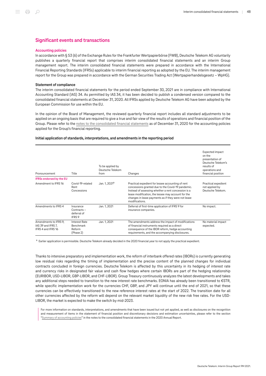### Significant events and transactions

#### <span id="page-47-0"></span>Accounting policies

In accordance with § 53 (6) of the Exchange Rules for the Frankfurter Wertpapierbörse (FWB), Deutsche Telekom AG voluntarily publishes a quarterly financial report that comprises interim consolidated financial statements and an interim Group management report. The interim consolidated financial statements were prepared in accordance with the International Financial Reporting Standards (IFRSs) applicable to interim financial reporting as adopted by the EU. The interim management report for the Group was prepared in accordance with the German Securities Trading Act (Wertpapierhandelsgesetz – WpHG).

#### Statement of compliance

The interim consolidated financial statements for the period ended September 30, 2021 are in compliance with International Accounting Standard (IAS) 34. As permitted by IAS 34, it has been decided to publish a condensed version compared to the consolidated financial statements at December 31, 2020. All IFRSs applied by Deutsche Telekom AG have been adopted by the European Commission for use within the EU.

In the opinion of the Board of Management, the reviewed quarterly financial report includes all standard adjustments to be applied on an ongoing basis that are required to give a true and fair view of the results of operations and financial position of the Group. Please refer to the [notes to the consolidated financial statements](https://report.telekom.com/annual-report-2020/notes/summary-of-accounting-policies/general-information.html) as of December 31, 2020 for the accounting policies applied for the Group's financial reporting.

#### Initial application of standards, interpretations, and amendments in the reporting period

| Pronouncement                                                     | Title                                               | To be applied by<br>Deutsche Telekom<br>from | Changes                                                                                                                                                                                                                                                                                      | Expected impact<br>on the<br>presentation of<br>Deutsche Telekom's<br>results of<br>operations and<br>financial position |
|-------------------------------------------------------------------|-----------------------------------------------------|----------------------------------------------|----------------------------------------------------------------------------------------------------------------------------------------------------------------------------------------------------------------------------------------------------------------------------------------------|--------------------------------------------------------------------------------------------------------------------------|
| <b>IFRSs endorsed by the EU</b>                                   |                                                     |                                              |                                                                                                                                                                                                                                                                                              |                                                                                                                          |
| Amendment to IFRS 16                                              | Covid-19-related<br>Rent<br>Concessions             | Jan. 1, 2021 <sup>a</sup>                    | Practical expedient for lessee accounting of rent<br>concessions granted due to the Covid-19 pandemic.<br>Instead of assessing whether a rent concession is a<br>lease modification, the lessee may account for the<br>changes in lease payments as if they were not lease<br>modifications. | Practical expedient<br>not applied by<br>Deutsche Telekom.                                                               |
| Amendments to IFRS 4                                              | Insurance<br>$Contracts -$<br>deferral of<br>IFRS 9 | Jan. 1, 2021                                 | Deferral of first-time application of IFRS 9 for<br>insurance companies.                                                                                                                                                                                                                     | No impact.                                                                                                               |
| Amendments to IFRS 9,<br>IAS 39 and IFRS 7.<br>IFRS 4 and IFRS 16 | Interest Rate<br>Benchmark<br>Reform<br>(Phase 2)   | Jan. 1, 2021                                 | The amendments address the impact of modifications<br>of financial instruments required as a direct<br>consequence of the IBOR reform, hedge accounting<br>requirements, and the accompanying disclosures.                                                                                   | No material impact<br>expected.                                                                                          |

<sup>a</sup> Earlier application is permissible. Deutsche Telekom already decided in the 2020 financial year to not apply the practical expedient.

Thanks to intensive preparatory and implementation work, the reform of interbank offered rates (IBORs) is currently generating low residual risks regarding the timing of implementation and the precise content of the planned changes for individual contracts concluded in foreign currencies. Deutsche Telekom is affected by this uncertainty in its hedging of interest rate and currency risks in designated fair value and cash flow hedges where certain IBORs are part of the hedging relationship (EURIBOR, USD-LIBOR, GBP-LIBOR, and CHF-LIBOR). Group Treasury continuously analyzes the latest developments and takes any additional steps needed to transition to the new interest rate benchmarks. EONIA has already been transitioned to €STR, while specific implementation work for the currencies CHF, GBP, and JPY will continue until the end of 2021, so that these currencies can be effectively transitioned to the new reference interest rates at the start of 2022. The transition date for all other currencies affected by the reform will depend on the relevant market liquidity of the new risk free rates. For the USD-LIBOR, the market is expected to make the switch by mid-2023.

For more information on standards, interpretations, and amendments that have been issued but not yet applied, as well as disclosures on the recognition and measurement of items in the statement of financial position and discretionary decisions and estimation uncertainties, please refer to the section "[Summary of accounting policies"](https://report.telekom.com/annual-report-2020/notes/summary-of-accounting-policies/general-information.html) in the notes to the consolidated financial statements in the 2020 Annual Report.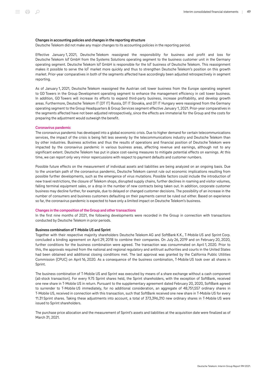#### Changes in accounting policies and changes in the reporting structure

Deutsche Telekom did not make any major changes to its accounting policies in the reporting period.

Effective January 1, 2021, Deutsche Telekom reassigned the responsibility for business and profit and loss for Deutsche Telekom IoT GmbH from the Systems Solutions operating segment to the business customer unit in the Germany operating segment. Deutsche Telekom IoT GmbH is responsible for the IoT business of Deutsche Telekom. This reassignment makes it possible to serve the IoT market more quickly and thus to strengthen Deutsche Telekom's position on this growth market. Prior-year comparatives in both of the segments affected have accordingly been adjusted retrospectively in segment reporting.

As of January 1, 2021, Deutsche Telekom reassigned the Austrian cell tower business from the Europe operating segment to GD Towers in the Group Development operating segment to enhance the management efficiency in cell tower business. In addition, GD Towers will increase its efforts to expand third-party business, increase profitability, and develop growth areas. Furthermore, Deutsche Telekom IT (DT IT) Russia, DT IT Slovakia, and DT IT Hungary were reassigned from the Germany operating segment to the Group Headquarters & Group Services segment effective January 1, 2021. Prior-year comparatives in the segments affected have not been adjusted retrospectively, since the effects are immaterial for the Group and the costs for preparing the adjustment would outweigh the benefit.

#### Coronavirus pandemic

The coronavirus pandemic has developed into a global economic crisis. Due to higher demand for certain telecommunications services, the impact of the crisis is being felt less severely by the telecommunications industry and Deutsche Telekom than by other industries. Business activities and thus the results of operations and financial position of Deutsche Telekom were impacted by the coronavirus pandemic in various business areas, affecting revenue and earnings, although not to any significant extent. Deutsche Telekom has put in place cost-saving measures to mitigate potential effects on earnings. At this time, we can report only very minor repercussions with respect to payment defaults and customer numbers.

Possible future effects on the measurement of individual assets and liabilities are being analyzed on an ongoing basis. Due to the uncertain path of the coronavirus pandemic, Deutsche Telekom cannot rule out economic implications resulting from possible further developments, such as the emergence of virus mutations. Possible factors could include the introduction of new travel restrictions, the closure of Telekom shops, disrupted supply chains, further declines in roaming and visitor volumes, falling terminal equipment sales, or a drop in the number of new contracts being taken out. In addition, corporate customer business may decline further, for example, due to delayed or changed customer decisions. The possibility of an increase in the number of consumers and business customers defaulting on their payments cannot be ruled out either. Based on experience so far, the coronavirus pandemic is expected to have only a limited impact on Deutsche Telekom's business.

#### <span id="page-48-0"></span>Changes in the composition of the Group and other transactions

In the first nine months of 2021, the following developments were recorded in the Group in connection with transactions conducted by Deutsche Telekom in prior periods.

#### Business combination of T‑Mobile US and Sprint

Together with their respective majority shareholders Deutsche Telekom AG and SoftBank K.K., T‑Mobile US and Sprint Corp. concluded a binding agreement on April 29, 2018 to combine their companies. On July 26, 2019 and on February 20, 2020, further conditions for the business combination were agreed. The transaction was consummated on April 1, 2020. Prior to this, the approvals required from the national and regional regulatory and antitrust authorities and courts in the United States had been obtained and additional closing conditions met. The last approval was granted by the California Public Utilities Commission (CPUC) on April 16, 2020. As a consequence of the business combination, T‑Mobile US took over all shares in Sprint.

The business combination of T‑Mobile US and Sprint was executed by means of a share exchange without a cash component (all-stock transaction). For every 9.75 Sprint shares held, the Sprint shareholders, with the exception of SoftBank, received one new share in T‑Mobile US in return. Pursuant to the supplementary agreement dated February 20, 2020, SoftBank agreed to surrender to T-Mobile US immediately, for no additional consideration, an aggregate of 48,751,557 ordinary shares in T‑Mobile US, received in connection with this transaction, such that SoftBank received one new share in T‑Mobile US for every 11.31 Sprint shares. Taking these adjustments into account, a total of 373,396,310 new ordinary shares in T‑Mobile US were issued to Sprint shareholders.

The purchase price allocation and the measurement of Sprint's assets and liabilities at the acquisition date were finalized as of March 31, 2021.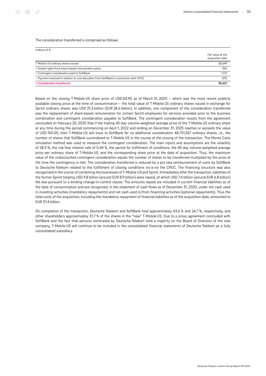#### The consideration transferred is comprised as follows:

| millions of $\epsilon$                                                                  | Fair value at the<br>acquisition date |
|-----------------------------------------------------------------------------------------|---------------------------------------|
| T-Mobile US ordinary shares issued                                                      | 28.649                                |
| + Vested rights from share-based remuneration plans                                     | 350                                   |
| + Contingent consideration paid to SoftBank                                             | 1,721                                 |
| - Payment received in relation to cost allocation from SoftBank in connection with CPUC | (93)                                  |
| = Consideration transferred                                                             | 30.627                                |

Based on the closing T‑Mobile US share price of USD 83.90 as of March 31, 2020 – which was the most recent publicly available closing price at the time of consummation – the total value of T‑Mobile US ordinary shares issued in exchange for Sprint ordinary shares was USD 31.3 billion (EUR 28.6 billion). In addition, one component of the consideration transferred was the replacement of share-based remuneration for certain Sprint employees for services provided prior to the business combination and contingent consideration payable to SoftBank. The contingent consideration results from the agreement concluded on February 20, 2020 that if the trailing 45-day volume-weighted average price of the T‑Mobile US ordinary share at any time during the period commencing on April 1, 2022 and ending on December 31, 2025 reaches or exceeds the value of USD 150.00, then T‑Mobile US will issue to SoftBank for no additional consideration 48,751,557 ordinary shares, i.e., the number of shares that SoftBank surrendered to T‑Mobile US in the course of the closing of the transaction. The Monte Carlo simulation method was used to measure the contingent consideration. The main inputs and assumptions are the volatility of 28.5 %, the risk-free interest rate of 0.44 %, the period for fulfillment of conditions, the 45-day volume-weighted average price per ordinary share of T-Mobile US, and the corresponding share price at the date of acquisition. Thus, the maximum value of the undiscounted contingent consideration equals the number of shares to be transferred multiplied by the price at the time the contingency is met. The consideration transferred is reduced by a pro rata reimbursement of costs by SoftBank to Deutsche Telekom related to the fulfillment of closing conditions vis-à-vis the CPUC. The financing structure was also reorganized in the course of combining the businesses of T‑Mobile US and Sprint. Immediately after the transaction, liabilities of the former Sprint totaling USD 9.8 billion (around EUR 8.9 billion) were repaid, of which USD 7.4 billion (around EUR 6.8 billion) fell due pursuant to a binding change-in-control clause. The amounts repaid are included in current financial liabilities as of the date of consummation and are recognized, in the statement of cash flows as of December 31, 2020, under net cash used in investing activities (mandatory repayments) and net cash used in/from financing activities (optional repayments). Thus the total costs of the acquisition, including the mandatory repayment of financial liabilities as of the acquisition date, amounted to EUR 37.4 billion.

On completion of the transaction, Deutsche Telekom and SoftBank held approximately 43.6 % and 24.7 %, respectively, and other shareholders approximately 31.7 % of the shares in the "new" T‑Mobile US. Due to a proxy agreement concluded with SoftBank and the fact that persons nominated by Deutsche Telekom hold a majority on the Board of Directors of the new company, T-Mobile US will continue to be included in the consolidated financial statements of Deutsche Telekom as a fully consolidated subsidiary.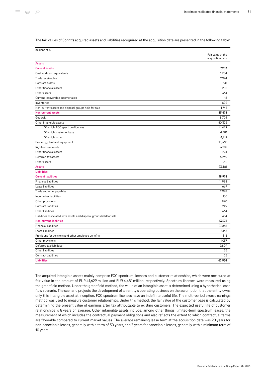The fair values of Sprint's acquired assets and liabilities recognized at the acquisition date are presented in the following table:

| millions of $\epsilon$                                               |                   |
|----------------------------------------------------------------------|-------------------|
|                                                                      | Fair value at the |
|                                                                      | acquisition date  |
| <b>Assets</b>                                                        |                   |
| <b>Current assets</b>                                                | 7,903             |
| Cash and cash equivalents                                            | 1,904             |
| Trade receivables                                                    | 2,924             |
| Contract assets                                                      | 141               |
| Other financial assets                                               | 205               |
| Other assets                                                         | 364               |
| Current recoverable income taxes                                     | 18                |
| Inventories                                                          | 602               |
| Non-current assets and disposal groups held for sale                 | 1,745             |
| <b>Non-current assets</b>                                            | 85,678            |
| Goodwill                                                             | 8,704             |
| Other intangible assets                                              | 50,322            |
| Of which: FCC spectrum licenses                                      | 41,629            |
| Of which: customer base                                              | 4,481             |
| Of which: other                                                      | 4,212             |
| Property, plant and equipment                                        | 13,660            |
| Right-of-use assets                                                  | 6,287             |
| Other financial assets                                               | 224               |
| Deferred tax assets                                                  | 6,269             |
| Other assets                                                         | 212               |
| <b>Assets</b>                                                        | 93,581            |
| <b>Liabilities</b>                                                   |                   |
| <b>Current liabilities</b>                                           | 18,978            |
| <b>Financial liabilities</b>                                         | 11,988            |
| Lease liabilities                                                    | 1,669             |
| Trade and other payables                                             | 2,948             |
| Income tax liabilities                                               | 136               |
| Other provisions                                                     | 890               |
| Contract liabilities                                                 | 249               |
| Other liabilities                                                    | 664               |
| Liabilities associated with assets and disposal groups held for sale | 434               |
| <b>Non-current liabilities</b>                                       | 43,976            |
| <b>Financial liabilities</b>                                         | 27,068            |
| Lease liabilities                                                    | 5,146             |
| Provisions for pensions and other employee benefits                  | 816               |
| Other provisions                                                     | 1,057             |
| Deferred tax liabilities                                             | 9,809             |
| Other liabilities                                                    | 55                |
| Contract liabilities                                                 | 25                |
| <b>Liabilities</b>                                                   | 62,954            |
|                                                                      |                   |

The acquired intangible assets mainly comprise FCC spectrum licenses and customer relationships, which were measured at fair value in the amount of EUR 41,629 million and EUR 4,481 million, respectively. Spectrum licenses were measured using the greenfield method. Under the greenfield method, the value of an intangible asset is determined using a hypothetical cash flow scenario. The scenario projects the development of an entity's operating business on the assumption that the entity owns only this intangible asset at inception. FCC spectrum licenses have an indefinite useful life. The multi-period excess earnings method was used to measure customer relationships. Under this method, the fair value of the customer base is calculated by determining the present value of earnings after tax attributable to existing customers. The expected useful life of customer relationships is 8 years on average. Other intangible assets include, among other things, limited-term spectrum leases, the measurement of which includes the contractual payment obligations and also reflects the extent to which contractual terms are favorable compared to current market values. The average remaining lease term at the acquisition date was 20 years for non-cancelable leases, generally with a term of 30 years, and 7 years for cancelable leases, generally with a minimum term of 10 years.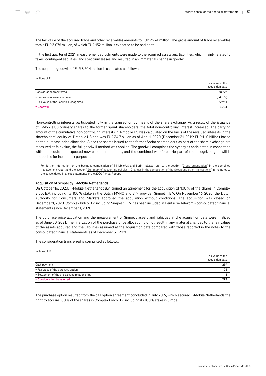The fair value of the acquired trade and other receivables amounts to EUR 2,924 million. The gross amount of trade receivables totals EUR 3,076 million, of which EUR 152 million is expected to be bad debt.

In the first quarter of 2021, measurement adjustments were made to the acquired assets and liabilities, which mainly related to taxes, contingent liabilities, and spectrum leases and resulted in an immaterial change in goodwill.

The acquired goodwill of EUR 8,704 million is calculated as follows:

| millions of $\epsilon$                     |                                       |
|--------------------------------------------|---------------------------------------|
|                                            | Fair value at the<br>acquisition date |
| Consideration transferred                  | 30,627                                |
| - Fair value of assets acquired            | (84, 877)                             |
| + Fair value of the liabilities recognized | 62,954                                |
| $=$ Goodwill                               | 8,704                                 |

Non-controlling interests participated fully in the transaction by means of the share exchange. As a result of the issuance of T‑Mobile US ordinary shares to the former Sprint shareholders, the total non-controlling interest increased. The carrying amount of the cumulative non-controlling interests in T‑Mobile US was calculated on the basis of the revalued interests in the shareholders' equity of T‑Mobile US and was EUR 34.7 billion as of April 1, 2020 (December 31, 2019: EUR 11.0 billion) based on the purchase price allocation. Since the shares issued to the former Sprint shareholders as part of the share exchange are measured at fair value, the full goodwill method was applied. The goodwill comprises the synergies anticipated in connection with the acquisition, expected new customer additions, and the combined workforce. No part of the recognized goodwill is deductible for income tax purposes.

For further information on the business combination of T-Mobile US and Sprint, please refer to the section "[Group organization"](https://report.telekom.com/annual-report-2020/management-report/group-organization/business-activities-and-segment-structure.html) in the combined management report and the section ["Summary of accounting policies – Changes in the composition of the Group and other transactions](https://report.telekom.com/annual-report-2020/notes/summary-of-accounting-policies/changes-in-the-composition-of-the-group-and-other-transactions.html)" in the notes to the consolidated financial statements in the 2020 Annual Report.

#### Acquisition of Simpel by T‑Mobile Netherlands

On October 16, 2020, T‑Mobile Netherlands B.V. signed an agreement for the acquisition of 100 % of the shares in Complex Bidco B.V. including its 100 % stake in the Dutch MVNO and SIM provider Simpel.nl B.V. On November 16, 2020, the Dutch Authority for Consumers and Markets approved the acquisition without conditions. The acquisition was closed on December 1, 2020. Complex Bidco B.V. including Simpel.nl B.V. has been included in Deutsche Telekom's consolidated financial statements since December 1, 2020.

The purchase price allocation and the measurement of Simpel's assets and liabilities at the acquisition date were finalized as of June 30, 2021. The finalization of the purchase price allocation did not result in any material changes to the fair values of the assets acquired and the liabilities assumed at the acquisition date compared with those reported in the notes to the consolidated financial statements as of December 31, 2020.

The consideration transferred is comprised as follows:

| millions of $\epsilon$                         |                                       |
|------------------------------------------------|---------------------------------------|
|                                                | Fair value at the<br>acquisition date |
| Cash payment                                   | 259                                   |
| + Fair value of the purchase option            | 26                                    |
| + Settlement of the pre-existing relationships |                                       |
| = Consideration transferred                    | 293                                   |

The purchase option resulted from the call option agreement concluded in July 2019, which secured T‑Mobile Netherlands the right to acquire 100 % of the shares in Complex Bidco B.V. including its 100 % stake in Simpel.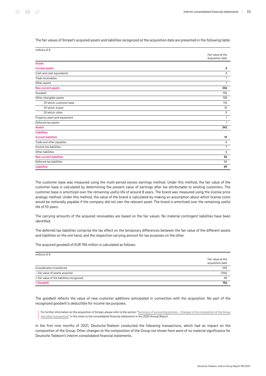The fair values of Simpel's acquired assets and liabilities recognized at the acquisition date are presented in the following table:

| millions of €                  |                                       |
|--------------------------------|---------------------------------------|
|                                | Fair value at the<br>acquisition date |
| <b>Assets</b>                  |                                       |
| <b>Current assets</b>          | 6                                     |
| Cash and cash equivalents      | 4                                     |
| Trade receivables              | 1                                     |
| Other assets                   | 1                                     |
| <b>Non-current assets</b>      | 336                                   |
| Goodwill                       | 196                                   |
| Other intangible assets        | 138                                   |
| Of which: customer base        | 114                                   |
| Of which: brand                | 15                                    |
| Of which: other                | 9                                     |
| Property, plant and equipment  | 1                                     |
| Deferred tax assets            | 1                                     |
| <b>Assets</b>                  | 342                                   |
| <b>Liabilities</b>             |                                       |
| <b>Current liabilities</b>     | 15                                    |
| Trade and other payables       | $\overline{4}$                        |
| Income tax liabilities         | $\overline{7}$                        |
| Other liabilities              | $\overline{4}$                        |
| <b>Non-current liabilities</b> | 34                                    |
| Deferred tax liabilities       | 34                                    |
| <b>Liabilities</b>             | 49                                    |

The customer base was measured using the multi-period excess earnings method. Under this method, the fair value of the customer base is calculated by determining the present value of earnings after tax attributable to existing customers. The customer base is amortized over the remaining useful life of around 8 years. The brand was measured using the license price analogy method. Under this method, the value of the brand is calculated by making an assumption about which license costs would be notionally payable if the company did not own the relevant asset. The brand is amortized over the remaining useful life of 10 years.

The carrying amounts of the acquired receivables are based on the fair values. No material contingent liabilities have been identified.

The deferred tax liabilities comprise the tax effect on the temporary differences between the fair value of the different assets and liabilities on the one hand, and the respective carrying amount for tax purposes on the other.

The acquired goodwill of EUR 196 million is calculated as follows:

| millions of $\epsilon$                     |                                       |
|--------------------------------------------|---------------------------------------|
|                                            | Fair value at the<br>acquisition date |
| Consideration transferred                  | 293                                   |
| - Fair value of assets acquired            | (146)                                 |
| + Fair value of the liabilities recognized | 49                                    |
| $=$ Goodwill                               | 196                                   |

The goodwill reflects the value of new customer additions anticipated in connection with the acquisition. No part of the recognized goodwill is deductible for income tax purposes.

For further information on the acquisition of Simpel, please refer to the section ["Summary of accounting policies – Changes in the composition of the Group](https://report.telekom.com/annual-report-2020/notes/summary-of-accounting-policies/changes-in-the-composition-of-the-group-and-other-transactions.html) [and other transactions](https://report.telekom.com/annual-report-2020/notes/summary-of-accounting-policies/changes-in-the-composition-of-the-group-and-other-transactions.html)" in the notes to the consolidated financial statements in the 2020 Annual Report.

In the first nine months of 2021, Deutsche Telekom conducted the following transactions, which had an impact on the composition of the Group. Other changes to the composition of the Group not shown here were of no material significance for Deutsche Telekom's interim consolidated financial statements.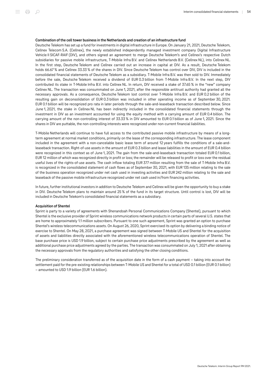#### Combination of the cell tower business in the Netherlands and creation of an infrastructure fund

Deutsche Telekom has set up a fund for investments in digital infrastructure in Europe. On January 21, 2021, Deutsche Telekom, Cellnex Telecom S.A. (Cellnex), the newly established independently managed investment company Digital Infrastructure Vehicle II SICAF-RAIF (DIV), and others signed an agreement to merge Deutsche Telekom's and Cellnex's respective Dutch subsidiaries for passive mobile infrastructure, T‑Mobile Infra B.V. and Cellnex Netherlands B.V. (Cellnex NL), into Cellnex NL. In the first step, Deutsche Telekom and Cellnex carried out an increase in capital at DIV. As a result, Deutsche Telekom holds 66.67 % and Cellnex 33.33 % of the shares in DIV. Since Deutsche Telekom has control over DIV, DIV is included in the consolidated financial statements of Deutsche Telekom as a subsidiary. T‑Mobile Infra B.V. was then sold to DIV. Immediately before the sale, Deutsche Telekom received a dividend of EUR 0.3 billion from T-Mobile Infra B.V. In the next step, DIV contributed its stake in T‑Mobile Infra B.V. into Cellnex NL. In return, DIV received a stake of 37.65 % in the "new" company Cellnex NL. The transaction was consummated on June 1, 2021, after the responsible antitrust authority had granted all the necessary approvals. As a consequence, Deutsche Telekom lost control over T‑Mobile Infra B.V. and EUR 0.2 billion of the resulting gain on deconsolidation of EUR 0.3 billion was included in other operating income as of September 30, 2021. EUR 0.1 billion will be recognized pro rata in later periods through the sale-and-leaseback transaction described below. Since June 1, 2021, the stake in Cellnex NL has been indirectly included in the consolidated financial statements through the investment in DIV as an investment accounted for using the equity method with a carrying amount of EUR 0.4 billion. The carrying amount of the non-controlling interest of 33.33 % in DIV amounted to EUR 0.1 billion as of June 1, 2021. Since the shares in DIV are puttable, the non-controlling interests were recognized under non-current financial liabilities.

T‑Mobile Netherlands will continue to have full access to the contributed passive mobile infrastructure by means of a longterm agreement at normal market conditions, primarily on the lease of the corresponding infrastructure. The lease component included in the agreement with a non-cancelable basic lease term of around 12 years fulfills the conditions of a sale-andleaseback transaction. Right-of-use assets in the amount of EUR 0.3 billion and lease liabilities in the amount of EUR 0.4 billion were recognized in this context as of June 1, 2021. The gain from the sale-and-leaseback transaction totaled EUR 0.1 billion, EUR 12 million of which was recognized directly in profit or loss; the remainder will be released to profit or loss over the residual useful lives of the rights-of-use assets. The cash inflow totaling EUR 377 million resulting from the sale of T-Mobile Infra B.V. is recognized in the consolidated statement of cash flows as of September 30, 2021, with EUR 135 million relating to the sale of the business operation recognized under net cash used in investing activities and EUR 242 million relating to the sale and leaseback of the passive mobile infrastructure recognized under net cash used in/from financing activities.

In future, further institutional investors in addition to Deutsche Telekom and Cellnex will be given the opportunity to buy a stake in DIV. Deutsche Telekom plans to maintain around 25 % of the fund in its target structure. Until control is lost, DIV will be included in Deutsche Telekom's consolidated financial statements as a subsidiary.

#### Acquisition of Shentel

Sprint is party to a variety of agreements with Shenandoah Personal Communications Company (Shentel), pursuant to which Shentel is the exclusive provider of Sprint wireless communications network products in certain parts of several U.S. states that are home to approximately 1.1 million subscribers. Pursuant to one such agreement, Sprint was granted an option to purchase Shentel's wireless telecommunications assets. On August 26, 2020, Sprint exercised its option by delivering a binding notice of exercise to Shentel. On May 28, 2021, a purchase agreement was signed between T‑Mobile US and Shentel for the acquisition of assets and liabilities directly associated with the aforementioned wireless telecommunications operation of Shentel. The base purchase price is USD 1.9 billion, subject to certain purchase price adjustments prescribed by the agreement as well as additional purchase price adjustments agreed by the parties. The transaction was consummated on July 1, 2021 after obtaining the necessary approvals from the regulatory authorities and satisfying the other closing conditions.

The preliminary consideration transferred as of the acquisition date in the form of a cash payment – taking into account the settlement paid for the pre-existing relationships between T-Mobile US and Shentel for a total of USD 0.1 billion (EUR 0.1 billion) – amounted to USD 1.9 billion (EUR 1.6 billion).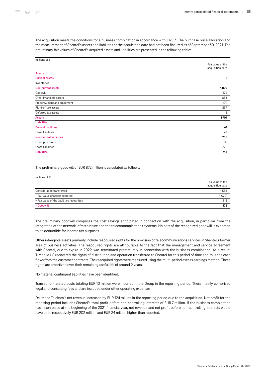The acquisition meets the conditions for a business combination in accordance with IFRS 3. The purchase price allocation and the measurement of Shentel's assets and liabilities at the acquisition date had not been finalized as of September 30, 2021. The preliminary fair values of Shentel's acquired assets and liabilities are presented in the following table:

| millions of $\epsilon$         |                                       |
|--------------------------------|---------------------------------------|
|                                | Fair value at the<br>acquisition date |
|                                |                                       |
| <b>Assets</b>                  |                                       |
| <b>Current assets</b>          | $\overline{2}$                        |
| Inventories                    | $\overline{2}$                        |
| <b>Non-current assets</b>      | 1,899                                 |
| Goodwill                       | 872                                   |
| Other intangible assets        | 654                                   |
| Property, plant and equipment  | 109                                   |
| Right-of-use assets            | 259                                   |
| Deferred tax assets            | 5                                     |
| <b>Assets</b>                  | 1,901                                 |
| <b>Liabilities</b>             |                                       |
| <b>Current liabilities</b>     | 61                                    |
| Lease liabilities              | 61                                    |
| <b>Non-current liabilities</b> | 252                                   |
| Other provisions               | 30                                    |
| Lease liabilities              | 222                                   |
| <b>Liabilities</b>             | 313                                   |

The preliminary goodwill of EUR 872 million is calculated as follows:

| millions of $\epsilon$                     |                                       |
|--------------------------------------------|---------------------------------------|
|                                            | Fair value at the<br>acquisition date |
| Consideration transferred                  | 1,588                                 |
| - Fair value of assets acquired            | (1,029)                               |
| + Fair value of the liabilities recognized | 313                                   |
| $=$ Goodwill                               | 872                                   |

The preliminary goodwill comprises the cost savings anticipated in connection with the acquisition, in particular from the integration of the network infrastructure and the telecommunications systems. No part of the recognized goodwill is expected to be deductible for income tax purposes.

Other intangible assets primarily include reacquired rights for the provision of telecommunications services in Shentel's former area of business activities. The reacquired rights are attributable to the fact that the management and service agreement with Shentel, due to expire in 2029, was terminated prematurely in connection with the business combination. As a result, T‑Mobile US recovered the rights of distribution and operation transferred to Shentel for this period of time and thus the cash flows from the customer contracts. The reacquired rights were measured using the multi-period excess earnings method. These rights are amortized over their remaining useful life of around 9 years.

No material contingent liabilities have been identified.

Transaction-related costs totaling EUR 10 million were incurred in the Group in the reporting period. These mainly comprised legal and consulting fees and are included under other operating expenses.

Deutsche Telekom's net revenue increased by EUR 124 million in the reporting period due to the acquisition. Net profit for the reporting period includes Shentel's total profit before non-controlling interests of EUR 7 million. If the business combination had taken place at the beginning of the 2021 financial year, net revenue and net profit before non-controlling interests would have been respectively EUR 202 million and EUR 24 million higher than reported.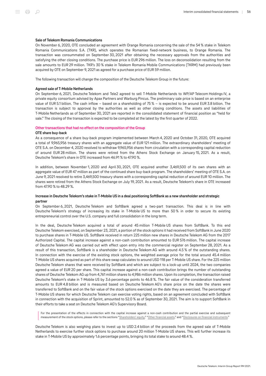#### Sale of Telekom Romania Communications

On November 6, 2020, OTE concluded an agreement with Orange Romania concerning the sale of the 54 % stake in Telekom Romania Communications S.A. (TKR), which operates the Romanian fixed-network business, to Orange Romania. The transaction was consummated on September 30, 2021 after obtaining the necessary approvals from the authorities and satisfying the other closing conditions. The purchase price is EUR 296 million. The loss on deconsolidation resulting from the sale amounts to EUR 29 million. TKR's 30 % stake in Telekom Romania Mobile Communications (TKRM) had previously been acquired by OTE on September 9, 2021 as agreed for a purchase price of EUR 59 million.

The following transaction will change the composition of the Deutsche Telekom Group in the future:

#### Agreed sale of T‑Mobile Netherlands

On September 6, 2021, Deutsche Telekom and Tele2 agreed to sell T‑Mobile Netherlands to WP/AP Telecom Holdings IV, a private equity consortium advised by Apax Partners and Warburg Pincus. The preliminary sale price is based on an enterprise value of EUR 5.1 billion. The cash inflow – based on a shareholding of 75 % – is expected to be around EUR 3.8 billion. The transaction is subject to approval by the authorities as well as other closing conditions. The assets and liabilities of T‑Mobile Netherlands as of September 30, 2021 are reported in the consolidated statement of financial position as "held for sale." The closing of the transaction is expected to be completed at the latest by the first quarter of 2022.

#### <span id="page-55-0"></span>Other transactions that had no effect on the composition of the Group

#### OTE share buy-back

As a consequence of a share buy-back program implemented between March 4, 2020 and October 31, 2020, OTE acquired a total of 9,965,956 treasury shares with an aggregate value of EUR 121 million. The extraordinary shareholders' meeting of OTE S.A. on December 4, 2020 resolved to withdraw 9,965,956 shares from circulation with a corresponding capital reduction of around EUR 28 million. The shares were retired from the Athens Stock Exchange on January 15, 2021. As a result, Deutsche Telekom's share in OTE increased from 46.91 % to 47.90 %.

In addition, between November 1, 2020 and April 30, 2021, OTE acquired another 3,469,500 of its own shares with an aggregate value of EUR 47 million as part of the continued share buy-back program. The shareholders' meeting of OTE S.A. on June 9, 2021 resolved to retire 3,469,500 treasury shares with a corresponding capital reduction of around EUR 10 million. The shares were retired from the Athens Stock Exchange on July 19, 2021. As a result, Deutsche Telekom's share in OTE increased from 47.90 % to 48.29 %.

#### Increase in Deutsche Telekom's stake in T‑Mobile US in a deal positioning SoftBank as a new shareholder and strategic partner

On September 6, 2021, Deutsche Telekom and SoftBank agreed a two-part transaction. This deal is in line with Deutsche Telekom's strategy of increasing its stake in T-Mobile US to more than 50% in order to secure its existing entrepreneurial control over the U.S. company and full consolidation in the long term.

In the deal, Deutsche Telekom acquired a total of around 45 million T-Mobile US shares from SoftBank. To this end Deutsche Telekom exercised, on September 23, 2021, a portion of the stock options it had received from SoftBank in June 2020 to purchase shares in T‑Mobile US. SoftBank received in return 225 million new shares in Deutsche Telekom AG from the 2017 Authorized Capital. The capital increase against a non-cash contribution amounted to EUR 576 million. The capital increase of Deutsche Telekom AG was carried out with effect upon entry into the commercial register on September 28, 2021. As a result of this transaction, SoftBank is a shareholder in Deutsche Telekom AG with around 4.5 % of the outstanding shares. In connection with the exercise of the existing stock options, the weighted average price for the total around 45.4 million T‑Mobile US shares acquired as part of this share swap calculates to around USD 118 per T‑Mobile US share. For the 225 million Deutsche Telekom shares that were received by SoftBank and which are subject to a lock-up until 2024, the two companies agreed a value of EUR 20 per share. This capital increase against a non-cash contribution brings the number of outstanding shares of Deutsche Telekom AG up from 4,761 million shares to 4,986 million shares. Upon its completion, the transaction raised Deutsche Telekom's stake in T‑Mobile US by 3.6 percentage points to 46.8 %. The fair value of the consideration transferred amounts to EUR 4.8 billion and is measured based on Deutsche Telekom AG's share price on the date the shares were transferred to SoftBank and on the fair value of the stock options exercised on the date they are exercised. The percentage of T‑Mobile US shares for which Deutsche Telekom can exercise voting rights, based on an agreement concluded with SoftBank in connection with the acquisition of Sprint, amounted to 52.0 % as of September 30, 2021. The aim is to support SoftBank in their efforts to take a seat on Deutsche Telekom AG's Supervisory Board.

For the presentation of the effects in connection with the capital increase against a non-cash contribution and the partial exercise and subsequent measurement of the stock options, please refer to the sections ["Shareholders' equity,](#page-56-0)" ["Other financial assets,](#page-56-0)" and ["Disclosures on financial instruments](#page-69-0)."

Deutsche Telekom is also weighing plans to invest up to USD 2.4 billion of the proceeds from the agreed sale of T-Mobile Netherlands to exercise further stock options to purchase around 20 million T‑Mobile US shares. This will further increase its stake in T‑Mobile US by approximately 1.6 percentage points, bringing its total stake to around 48.4 %.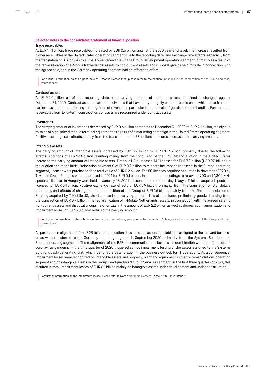#### <span id="page-56-0"></span>Selected notes to the consolidated statement of financial position Trade receivables

At EUR 14.1 billion, trade receivables increased by EUR 0.6 billion against the 2020 year-end level. The increase resulted from higher receivables in the United States operating segment due to the reporting date, and exchange rate effects, especially from the translation of U.S. dollars to euros. Lower receivables in the Group Development operating segment, primarily as a result of the reclassification of T-Mobile Netherlands' assets to non-current assets and disposal groups held for sale in connection with the agreed sale, and in the Germany operating segment had an offsetting effect.

For further information on the agreed sale of T-Mobile Netherlands, please refer to the section "[Changes in the composition of the Group and other](#page-48-0) [transactions](#page-48-0)."

#### Contract assets

At EUR 2.0 billion as of the reporting date, the carrying amount of contract assets remained unchanged against December 31, 2020. Contract assets relate to receivables that have not yet legally come into existence, which arise from the earlier – as compared to billing – recognition of revenue, in particular from the sale of goods and merchandise. Furthermore, receivables from long-term construction contracts are recognized under contract assets.

#### Inventories

The carrying amount of inventories decreased by EUR 0.6 billion compared to December 31, 2020 to EUR 2.1 billion, mainly due to sales of high-priced mobile terminal equipment as a result of a marketing campaign in the United States operating segment. Positive exchange rate effects, mainly from the translation from U.S. dollars into euros, increased the carrying amount.

#### Intangible assets

The carrying amount of intangible assets increased by EUR 12.6 billion to EUR 130.7 billion, primarily due to the following effects: Additions of EUR 12.4 billion resulting mainly from the conclusion of the FCC C-band auction in the United States increased the carrying amount of intangible assets. T-Mobile US purchased 142 licenses for EUR 7.8 billion (USD 9.3 billion) in the auction and made initial "relocation payments" of EUR 0.2 billion to relocate incumbent licensees. In the Europe operating segment, licenses were purchased for a total value of EUR 0.2 billion. The 5G licenses acquired at auction in November 2020 by T‑Mobile Czech Republic were purchased in 2021 for EUR 0.1 billion. In addition, proceedings to re-award 900 and 1,800 MHz spectrum licenses in Hungary were held on January 28, 2021 and concluded the same day. Magyar Telekom acquired spectrum licenses for EUR 0.1 billion. Positive exchange rate effects of EUR 5.9 billion, primarily from the translation of U.S. dollars into euros, and effects of changes in the composition of the Group of EUR 1.6 billion, mainly from the first-time inclusion of Shentel, acquired by T-Mobile US, also increased the carrying amount. This also includes preliminary goodwill arising from the transaction of EUR 0.9 billion. The reclassification of T-Mobile Netherlands' assets, in connection with the agreed sale, to non-current assets and disposal groups held for sale in the amount of EUR 2.2 billion as well as depreciation, amortization and impairment losses of EUR 5.0 billion reduced the carrying amount.

For further information on these business transactions and others, please refer to the section "[Changes in the composition of the Group and other](#page-48-0) [transactions](#page-48-0)."

As part of the realignment of the B2B telecommunications business, the assets and liabilities assigned to the relevant business areas were transferred to the Germany operating segment in September 2020, primarily from the Systems Solutions and Europe operating segments. The realignment of the B2B telecommunications business in combination with the effects of the coronavirus pandemic in the third quarter of 2020 triggered ad hoc impairment testing of the assets assigned to the Systems Solutions cash-generating unit, which identified a deterioration in the business outlook for IT operations. As a consequence, impairment losses were recognized on intangible assets and property, plant and equipment in the Systems Solutions operating segment and on intangible assets in the Group Headquarters & Group Services segment. In the first three quarters of 2021, this resulted in total impairment losses of EUR 0.1 billion mainly on intangible assets under development and under construction.

For further information on the impairment losses, please refer to Note 6 "[Intangible assets](https://report.telekom.com/annual-report-2020/notes/notes-to-the-statement-of-financial-position/6-intangible-assets.html)" in the 2020 Annual Report.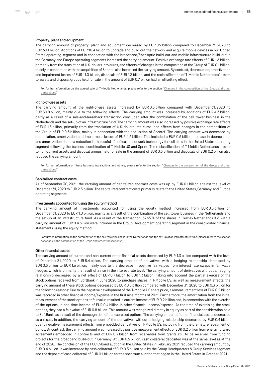#### Property, plant and equipment

The carrying amount of property, plant and equipment decreased by EUR 0.9 billion compared to December 31, 2020 to EUR 60.1 billion. Additions of EUR 10.4 billion to upgrade and build out the network and acquire mobile devices in our United States operating segment and in connection with the broadband/fiber-optic build-out and mobile infrastructure build-out in the Germany and Europe operating segments increased the carrying amount. Positive exchange rate effects of EUR 1.6 billion, primarily from the translation of U.S. dollars into euros, and effects of changes in the composition of the Group of EUR 0.1 billion, mainly in connection with the acquisition of Shentel also increased the carrying amount. By contrast, depreciation, amortization and impairment losses of EUR 11.0 billion, disposals of EUR 1.3 billion, and the reclassification of T‑Mobile Netherlands' assets to assets and disposal groups held for sale in the amount of EUR 0.7 billion had an offsetting effect.

For further information on the agreed sale of T-Mobile Netherlands, please refer to the section "[Changes in the composition of the Group and other](#page-48-0) [transactions](#page-48-0)."

#### Right-of-use assets

The carrying amount of the right-of-use assets increased by EUR 0.5 billion compared with December 31, 2020 to EUR 30.8 billion, mainly due to the following effects: The carrying amount was increased by additions of EUR 4.3 billion, partly as a result of a sale-and-leaseback transaction concluded after the combination of the cell tower business in the Netherlands and the set-up of an infrastructure fund. The carrying amount was also increased by positive exchange rate effects of EUR 1.5 billion, primarily from the translation of U.S. dollars into euros, and effects from changes in the composition of the Group of EUR 0.3 billion, mainly in connection with the acquisition of Shentel. The carrying amount was decreased by depreciation, amortization and impairment losses of EUR 4.6 billion. This included a EUR 0.6 billion increase in depreciation and amortization due to a reduction in the useful life of leased network technology for cell sites in the United States operating segment following the business combination of T-Mobile US and Sprint. The reclassification of T-Mobile Netherlands' assets to non-current assets and disposal groups held for sale in the amount of EUR 0.5 billion and disposals of EUR 0.2 billion also reduced the carrying amount.

For further information on these business transactions and others, please refer to the section "[Changes in the composition of the Group and other](#page-48-0) [transactions](#page-48-0)."

#### Capitalized contract costs

As of September 30, 2021, the carrying amount of capitalized contract costs was up by EUR 0.1 billion against the level of December 31, 2020 to EUR 2.3 billion. The capitalized contract costs primarily relate to the United States, Germany, and Europe operating segments.

#### Investments accounted for using the equity method

The carrying amount of investments accounted for using the equity method increased from EUR 0.5 billion on December 31, 2020 to EUR 1.0 billion, mainly as a result of the combination of the cell tower business in the Netherlands and the set-up of an infrastructure fund. As a result of the transaction, 37.65 % of the shares in Cellnex Netherlands B.V. with a carrying amount of EUR 0.4 billion were included in the Group Development operating segment in the consolidated financial statements using the equity method.

For further information on the combination of the cell tower business in the Netherlands and the set-up of an infrastructure fund, please refer to the section "[Changes in the composition of the Group and other transactions](#page-48-0)."

#### Other financial assets

The carrying amount of current and non-current other financial assets decreased by EUR 1.3 billion compared with the level of December 31, 2020 to EUR 8.4 billion. The carrying amount of derivatives with a hedging relationship decreased by EUR 0.5 billion to EUR 1.6 billion, mainly due to the decrease in positive fair values from interest rate swaps in fair value hedges, which is primarily the result of a rise in the interest rate level. The carrying amount of derivatives without a hedging relationship decreased by a net effect of EUR 0.7 billion to EUR 1.3 billion. Taking into account the partial exercise of the stock options received from SoftBank in June 2020 to purchase shares in T‑Mobile US, as well as measurement effects, the carrying amount of these stock options decreased by EUR 0.5 billion compared with December 31, 2020 to EUR 0.3 billion for the following reasons: Due to the negative development of the T-Mobile US share price, a remeasurement loss of EUR 0.2 billion was recorded in other financial income/expense in the first nine months of 2021. Furthermore, the amortization from the initial measurement of the stock options at fair value resulted in current income of EUR 0.2 billion and, in connection with the exercise of the options, in one-time income of EUR 0.4 billion in other financial income/expense. At the time of exercising the stock options, they had a fair value of EUR 0.8 billion. This amount was recognized directly in equity as part of the consideration paid to SoftBank, as a result of the derecognition of the exercised options. The carrying amount of other financial assets decreased as a result. In addition, the carrying amount of the derivatives without a hedging relationship decreased by EUR 0.4 billion due to negative measurement effects from embedded derivatives of T-Mobile US, including from the premature repayment of bonds. By contrast, the carrying amount was increased by positive measurement effects of EUR 0.2 billion from energy forward agreements embedded in contracts and of EUR 0.2 billion from receivables from grants still to be received from funding projects for the broadband build-out in Germany. At EUR 0.5 billion, cash collateral deposited was at the same level as at the end of 2020. The conclusion of the FCC C-band auction in the United States in February 2021 reduced the carrying amount by EUR 0.4 billion. It was increased by cash collateral of EUR 0.3 billion paid by the Group Headquarters & Group Services segment and the deposit of cash collateral of EUR 0.1 billion for the spectrum auction that began in the United States in October 2021.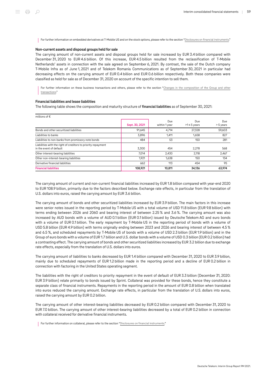For further information on embedded derivatives at T-Mobile US and on the stock options, please refer to the section ["Disclosures on financial instruments](#page-69-0)."

#### Non-current assets and disposal groups held for sale

The carrying amount of non-current assets and disposal groups held for sale increased by EUR 3.4 billion compared with December 31, 2020 to EUR 4.6 billion. Of this increase, EUR 4.5 billion resulted from the reclassification of T-Mobile Netherlands' assets in connection with the sale agreed on September 6, 2021. By contrast, the sale of the Dutch company T‑Mobile Infra as of June 1, 2021 and of Telekom Romania Communications as of September 30, 2021 in particular had decreasing effects on the carrying amount of EUR 0.4 billion and EUR 0.6 billion respectively. Both these companies were classified as held for sale as of December 31, 2020 on account of the specific intention to sell them.

For further information on these business transactions and others, please refer to the section "[Changes in the composition of the Group and other](#page-48-0) [transactions](#page-48-0)."

#### Financial liabilities and lease liabilities

The following table shows the composition and maturity structure of financial liabilities as of September 30, 2021:

| millions of $\epsilon$                                                                   |                |                      |                          |                  |
|------------------------------------------------------------------------------------------|----------------|----------------------|--------------------------|------------------|
|                                                                                          | Sept. 30, 2021 | Due<br>within 1 year | Due<br>$>1 \leq 5$ years | Due<br>> 5 years |
| Bonds and other securitized liabilities                                                  | 91.645         | 4,714                | 27,328                   | 59,603           |
| Liabilities to banks                                                                     | 3,896          | 1,411                | 1,658                    | 827              |
| Liabilities to non-banks from promissory note bonds                                      | 484            | 53                   | 150                      | 281              |
| Liabilities with the right of creditors to priority repayment<br>in the event of default | 3,300          | 454                  | 2,278                    | 568              |
| Other interest-bearing liabilities                                                       | 7.014          | 2,430                | 2.118                    | 2,467            |
| Other non-interest-bearing liabilities                                                   | 1,921          | 1,638                | 150                      | 134              |
| Derivative financial liabilities                                                         | 662            | 113                  | 454                      | 95               |
| <b>Financial liabilities</b>                                                             | 108,921        | 10,811               | 34,136                   | 63.974           |

The carrying amount of current and non-current financial liabilities increased by EUR 1.8 billion compared with year-end 2020 to EUR 108.9 billion, primarily due to the factors described below. Exchange rate effects, in particular from the translation of U.S. dollars into euros, raised the carrying amount by EUR 3.6 billion.

The carrying amount of bonds and other securitized liabilities increased by EUR 3.9 billion. The main factors in this increase were senior notes issued in the reporting period by T-Mobile US with a total volume of USD 11.8 billion (EUR 9.8 billion) with terms ending between 2026 and 2060 and bearing interest of between 2.25 % and 3.6 %. The carrying amount was also increased by AUD bonds with a volume of AUD 0.1 billion (EUR 0.1 billion) issued by Deutsche Telekom AG and euro bonds with a volume of EUR 0.1 billion. The early repayment by T-Mobile US in the reporting period of bonds with a volume of USD 5.8 billion (EUR 4.9 billion) with terms originally ending between 2023 and 2026 and bearing interest of between 4.5 % and 6.5 %, and scheduled repayments by T‑Mobile US of bonds with a volume of USD 2.3 billion (EUR 1.9 billion) and in the Group of euro bonds with a volume of EUR 1.7 billion and U.S. dollar bonds with a volume of USD 0.3 billion (EUR 0.2 billion) had a contrasting effect. The carrying amount of bonds and other securitized liabilities increased by EUR 3.2 billion due to exchange rate effects, especially from the translation of U.S. dollars into euros.

The carrying amount of liabilities to banks decreased by EUR 1.4 billion compared with December 31, 2020 to EUR 3.9 billion, mainly due to scheduled repayments of EUR 1.2 billion made in the reporting period and a decline of EUR 0.2 billion in connection with factoring in the United States operating segment.

The liabilities with the right of creditors to priority repayment in the event of default of EUR 3.3 billion (December 31, 2020: EUR 3.9 billion) relate primarily to bonds issued by Sprint. Collateral was provided for these bonds, hence they constitute a separate class of financial instruments. Repayments in the reporting period in the amount of EUR 0.8 billion when translated into euros reduced the carrying amount. Exchange rate effects, in particular from the translation of U.S. dollars into euros, raised the carrying amount by EUR 0.2 billion.

The carrying amount of other interest-bearing liabilities decreased by EUR 0.2 billion compared with December 31, 2020 to EUR 7.0 billion. The carrying amount of other interest-bearing liabilities decreased by a total of EUR 0.2 billion in connection with collateral received for derivative financial instruments.

For further information on collateral, please refer to the section "[Disclosures on financial instruments.](#page-69-0)"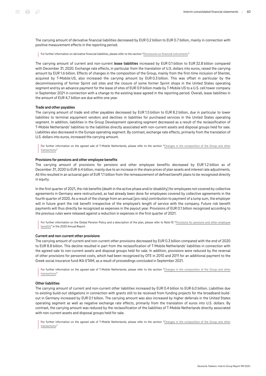The carrying amount of derivative financial liabilities decreased by EUR 0.2 billion to EUR 0.7 billion, mainly in connection with positive measurement effects in the reporting period.

For further information on derivative financial liabilities, please refer to the section "[Disclosures on financial instruments](#page-69-0)."

The carrying amount of current and non-current lease liabilities increased by EUR 0.1 billion to EUR 32.8 billion compared with December 31, 2020. Exchange rate effects, in particular from the translation of U.S. dollars into euros, raised the carrying amount by EUR 1.6 billion. Effects of changes in the composition of the Group, mainly from the first-time inclusion of Shentel, acquired by T‑Mobile US, also increased the carrying amount by EUR 0.3 billion. This was offset in particular by the decommissioning of former Sprint cell sites and the closure of some former Sprint shops in the United States operating segment and by an advance payment for the lease of sites of EUR 0.9 billion made by T-Mobile US to a U.S. cell tower company in September 2021 in connection with a change to the existing lease agreed in the reporting period. Overall, lease liabilities in the amount of EUR 4.7 billion are due within one year.

#### Trade and other payables

The carrying amount of trade and other payables decreased by EUR 1.5 billion to EUR 8.2 billion, due in particular to lower liabilities to terminal equipment vendors and declines in liabilities for purchased services in the United States operating segment. In addition, liabilities in the Group Development operating segment decreased as a result of the reclassification of T‑Mobile Netherlands' liabilities to the liabilities directly associated with non-current assets and disposal groups held for sale. Liabilities also decreased in the Europe operating segment. By contrast, exchange rate effects, primarily from the translation of U.S. dollars into euros, increased the carrying amount.

For further information on the agreed sale of T-Mobile Netherlands, please refer to the section "[Changes in the composition of the Group and other](#page-48-0) [transactions](#page-48-0)."

#### Provisions for pensions and other employee benefits

The carrying amount of provisions for pensions and other employee benefits decreased by EUR 1.2 billion as of December 31, 2020 to EUR 6.4 billion, mainly due to an increase in the share prices of plan assets and interest rate adjustments. All this resulted in an actuarial gain of EUR 1.1 billion from the remeasurement of defined benefit plans to be recognized directly in equity.

In the first quarter of 2021, the risk benefits (death in the active phase and/or disability) for employees not covered by collective agreements in Germany were restructured, as had already been done for employees covered by collective agreements in the fourth quarter of 2020. As a result of the change from an annual (pro rata) contribution to payment of a lump sum, the employer will in future grant the risk benefit irrespective of the employee's length of service with the company. Future risk benefit payments will thus directly be recognized as expenses in the payout year. Provisions of EUR 0.1 billion recognized according to the previous rules were released against a reduction in expenses in the first quarter of 2021.

For further information on the Global Pension Policy and a description of the plan, please refer to Note 15 ["Provisions for pensions and other employee](https://report.telekom.com/annual-report-2020/notes/notes-to-the-statement-of-financial-position/15-provisions-for-pensions-and-other-employee-benefits.html) [benefits"](https://report.telekom.com/annual-report-2020/notes/notes-to-the-statement-of-financial-position/15-provisions-for-pensions-and-other-employee-benefits.html) in the 2020 Annual Report.

#### Current and non-current other provisions

The carrying amount of current and non-current other provisions decreased by EUR 0.3 billion compared with the end of 2020 to EUR 8.8 billion. This decline resulted in part from the reclassification of T‑Mobile Netherlands' liabilities in connection with the agreed sale to non-current assets and disposal groups held for sale. In addition, provisions were reduced by the reversal of other provisions for personnel costs, which had been recognized by OTE in 2010 and 2011 for an additional payment to the Greek social insurance fund IKA-ETAM, as a result of proceedings concluded in September 2021.

For further information on the agreed sale of T-Mobile Netherlands, please refer to the section "[Changes in the composition of the Group and other](#page-48-0) [transactions](#page-48-0)."

#### Other liabilities

The carrying amount of current and non-current other liabilities increased by EUR 0.4 billion to EUR 6.0 billion. Liabilities due to existing build-out obligations in connection with grants still to be received from funding projects for the broadband buildout in Germany increased by EUR 0.1 billion. The carrying amount was also increased by higher deferrals in the United States operating segment as well as negative exchange rate effects, primarily from the translation of euros into U.S. dollars. By contrast, the carrying amount was reduced by the reclassification of the liabilities of T‑Mobile Netherlands directly associated with non-current assets and disposal groups held for sale.

For further information on the agreed sale of T-Mobile Netherlands, please refer to the section "[Changes in the composition of the Group and other](#page-48-0) [transactions](#page-48-0)."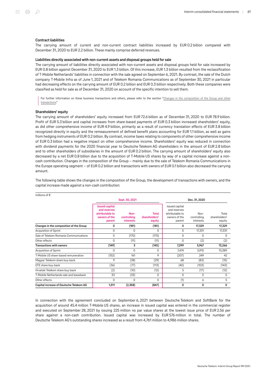The carrying amount of current and non-current contract liabilities increased by EUR 0.2 billion compared with December 31, 2020 to EUR 2.2 billion. These mainly comprise deferred revenues.

#### Liabilities directly associated with non-current assets and disposal groups held for sale

The carrying amount of liabilities directly associated with non-current assets and disposal groups held for sale increased by EUR 0.8 billion against December 31, 2020 to EUR 1.3 billion. Of this increase, EUR 1.3 billion resulted from the reclassification of T‑Mobile Netherlands' liabilities in connection with the sale agreed on September 6, 2021. By contrast, the sale of the Dutch company T‑Mobile Infra as of June 1, 2021 and of Telekom Romania Communications as of September 30, 2021 in particular had decreasing effects on the carrying amount of EUR 0.2 billion and EUR 0.3 billion respectively. Both these companies were classified as held for sale as of December 31, 2020 on account of the specific intention to sell them.

For further information on these business transactions and others, please refer to the section "[Changes in the composition of the Group and other](#page-48-0) [transactions](#page-48-0)."

#### Shareholders' equity

The carrying amount of shareholders' equity increased from EUR 72.6 billion as of December 31, 2020 to EUR 78.9 billion. Profit of EUR 5.3 billion and capital increases from share-based payments of EUR 0.3 billion increased shareholders' equity, as did other comprehensive income of EUR 4.9 billion, primarily as a result of currency translation effects of EUR 3.8 billion recognized directly in equity and the remeasurement of defined benefit plans accounting for EUR 1.1 billion, as well as gains from hedging instruments of EUR 0.2 billion. By contrast, income taxes relating to components of other comprehensive income of EUR 0.3 billion had a negative impact on other comprehensive income. Shareholders' equity was reduced in connection with dividend payments for the 2020 financial year to Deutsche Telekom AG shareholders in the amount of EUR 2.8 billion and to other shareholders of subsidiaries in the amount of EUR 0.2 billion. The carrying amount of shareholders' equity also decreased by a net EUR 0.8 billion due to the acquisition of T‑Mobile US shares by way of a capital increase against a noncash contribution. Changes in the composition of the Group – mainly due to the sale of Telekom Romania Communications in the Europe operating segment – of EUR 0.2 billion and transactions with owners of EUR 0.1 billion also decreased the carrying amount.

| millions of $\epsilon$                  |                                                                                     |                                  |                                         |                                                                              |                                  |                                  |
|-----------------------------------------|-------------------------------------------------------------------------------------|----------------------------------|-----------------------------------------|------------------------------------------------------------------------------|----------------------------------|----------------------------------|
|                                         | Sept. 30, 2021                                                                      |                                  |                                         | Dec. 31, 2020                                                                |                                  |                                  |
|                                         | <b>Issued capital</b><br>and reserves<br>attributable to<br>owners of the<br>parent | Non-<br>controlling<br>interests | <b>Total</b><br>shareholders'<br>equity | Issued capital<br>and reserves<br>attributable to<br>owners of the<br>parent | Non-<br>controlling<br>interests | Total<br>shareholders'<br>equity |
| Changes in the composition of the Group | 0                                                                                   | (181)                            | (181)                                   | 0                                                                            | 17,329                           | 17,329                           |
| Acquisition of Sprint                   | 0                                                                                   | 0                                | $\Omega$                                | 0                                                                            | 17,331                           | 17,331                           |
| Sale of Telekom Romania Communications  | 0                                                                                   | (170)                            | (170)                                   | 0                                                                            | 0                                | 0                                |
| Other effects                           | 0                                                                                   | (11)                             | (11)                                    | 0                                                                            | (2)                              | (2)                              |
| <b>Transactions with owners</b>         | (149)                                                                               | 3                                | (145)                                   | 7,299                                                                        | 5,967                            | 13,266                           |
| Acquisition of Sprint                   | 0                                                                                   | $\Omega$                         | $\Omega$                                | 7,474                                                                        | 5,915                            | 13,389                           |
| T-Mobile US share-based remuneration    | (152)                                                                               | 161                              | 9                                       | (207)                                                                        | 249                              | 42                               |
| Magyar Telekom share buy-back           | 9                                                                                   | (38)                             | (29)                                    | 68                                                                           | (83)                             | (15)                             |
| OTE share buy-back                      | (36)                                                                                | (77)                             | (113)                                   | (40)                                                                         | (103)                            | (143)                            |
| Hrvatski Telekom share buy-back         | (2)                                                                                 | (10)                             | (12)                                    | 5                                                                            | (17)                             | (12)                             |
| T-Mobile Netherlands sale and leaseback | 33                                                                                  | (33)                             | 0                                       | $\Omega$                                                                     | 0                                | 0                                |
| Other effects                           | 0                                                                                   | 0                                | 0                                       | (1)                                                                          | 6                                | 5                                |
| Capital increase of Deutsche Telekom AG | 1,511                                                                               | (2,358)                          | (847)                                   | 0                                                                            | 0                                | <sup>0</sup>                     |

The following table shows the changes in the composition of the Group, the development of transactions with owners, and the capital increase made against a non-cash contribution:

In connection with the agreement concluded on September 6, 2021 between Deutsche Telekom and SoftBank for the acquisition of around 45.4 million T-Mobile US shares, an increase in issued capital was entered in the commercial register and executed on September 28, 2021 by issuing 225 million no par value shares at the lowest issue price of EUR 2.56 per share against a non-cash contribution. Issued capital was increased by EUR 576 million in total. The number of Deutsche Telekom AG's outstanding shares increased as a result from 4,761 million to 4,986 million shares.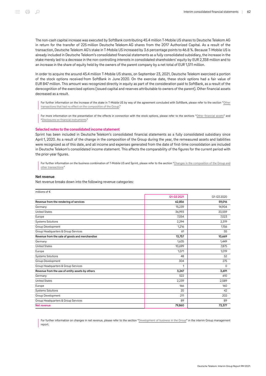The non-cash capital increase was executed by SoftBank contributing 45.4 million T‑Mobile US shares to Deutsche Telekom AG in return for the transfer of 225 million Deutsche Telekom AG shares from the 2017 Authorized Capital. As a result of the transaction, Deutsche Telekom AG's stake in T‑Mobile US increased by 3.6 percentage points to 46.8 %. Because T‑Mobile US is already included in Deutsche Telekom's consolidated financial statements as a fully consolidated subsidiary, the increase in the stake merely led to a decrease in the non-controlling interests in consolidated shareholders' equity by EUR 2,358 million and to an increase in the share of equity held by the owners of the parent company by a net total of EUR 1,511 million.

In order to acquire the around 45.4 million T-Mobile US shares, on September 23, 2021, Deutsche Telekom exercised a portion of the stock options received from SoftBank in June 2020. On the exercise date, these stock options had a fair value of EUR 847 million. This amount was recognized directly in equity as part of the consideration paid to SoftBank, as a result of the derecognition of the exercised options (issued capital and reserves attributable to owners of the parent). Other financial assets decreased as a result.

For further information on the increase of the stake in T-Mobile US by way of the agreement concluded with SoftBank, please refer to the section ["Other](#page-55-0) [transactions that had no effect on the composition of the Group.](#page-55-0)"

For more information on the presentation of the effects in connection with the stock options, please refer to the sections "[Other financial assets"](#page-56-0) and "[Disclosures on financial instruments](#page-69-0)."

#### Selected notes to the consolidated income statement

Sprint has been included in Deutsche Telekom's consolidated financial statements as a fully consolidated subsidiary since April 1, 2020. As a result of the change in the composition of the Group during the year, the remeasured assets and liabilities were recognized as of this date, and all income and expenses generated from the date of first-time consolidation are included in Deutsche Telekom's consolidated income statement. This affects the comparability of the figures for the current period with the prior-year figures.

For further information on the business combination of T-Mobile US and Sprint, please refer to the section "[Changes in the composition of the Group and](#page-48-0) [other transactions.](#page-48-0)"

#### Net revenue

Net revenue breaks down into the following revenue categories:

| millions of €                                   |            |            |
|-------------------------------------------------|------------|------------|
|                                                 | Q1-Q3 2021 | Q1-Q3 2020 |
| Revenue from the rendering of services          | 62,856     | 59,016     |
| Germany                                         | 15,239     | 14,904     |
| <b>United States</b>                            | 36,993     | 33,559     |
| Europe                                          | 7,054      | 7,023      |
| <b>Systems Solutions</b>                        | 2,294      | 2,319      |
| Group Development                               | 1,216      | 1,156      |
| Group Headquarters & Group Services             | 61         | 55         |
| Revenue from the sale of goods and merchandise  | 13,757     | 10,669     |
| Germany                                         | 1,635      | 1,449      |
| <b>United States</b>                            | 10,699     | 7,875      |
| Europe                                          | 1,071      | 1,019      |
| <b>Systems Solutions</b>                        | 48         | 52         |
| Group Development                               | 304        | 275        |
| Group Headquarters & Group Services             | 1          | $\Omega$   |
| Revenue from the use of entity assets by others | 3,247      | 3,691      |
| Germany                                         | 522        | 610        |
| <b>United States</b>                            | 2,239      | 2,589      |
| Europe                                          | 166        | 160        |
| <b>Systems Solutions</b>                        | 20         | 42         |
| Group Development                               | 211        | 202        |
| Group Headquarters & Group Services             | 89         | 89         |
| Net revenue                                     | 79,860     | 73,377     |

For further information on changes in net revenue, please refer to the section ["Development of business in the Group"](#page-13-0) in the interim Group management report.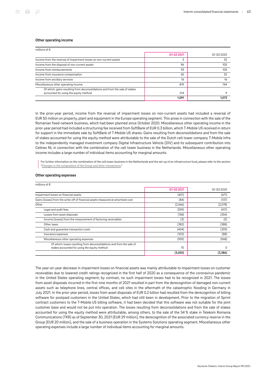#### Other operating income

| millions of $\epsilon$                                                                                               |            |            |  |
|----------------------------------------------------------------------------------------------------------------------|------------|------------|--|
|                                                                                                                      | 01-03 2021 | 01-03 2020 |  |
| Income from the reversal of impairment losses on non-current assets                                                  | 3          | 52         |  |
| Income from the disposal of non-current assets                                                                       | 96         | 105        |  |
| Income from reimbursements                                                                                           | 93         | 105        |  |
| Income from insurance compensation                                                                                   | 65         | 52         |  |
| Income from ancillary services                                                                                       | 16         | 16         |  |
| Miscellaneous other operating income                                                                                 | 819        | 744        |  |
| Of which: gains resulting from deconsolidations and from the sale of stakes<br>accounted for using the equity method | 214        |            |  |
|                                                                                                                      | 1.091      | 1.073      |  |

In the prior-year period, income from the reversal of impairment losses on non-current assets had included a reversal of EUR 50 million on property, plant and equipment in the Europe operating segment. This arose in connection with the sale of the Romanian fixed-network business, which had been planned since October 2020. Miscellaneous other operating income in the prior-year period had included a structuring fee received from SoftBank of EUR 0.3 billion, which T-Mobile US received in return for support in the immediate sale by SoftBank of T-Mobile US shares. Gains resulting from deconsolidations and from the sale of stakes accounted for using the equity method were attributable to the sale of the Dutch cell tower company T‑Mobile Infra to the independently managed investment company Digital Infrastructure Vehicle (DIV) and its subsequent contribution into Cellnex NL in connection with the combination of the cell tower business in the Netherlands. Miscellaneous other operating income includes a large number of individual items accounting for marginal amounts.

For further information on the combination of the cell tower business in the Netherlands and the set-up of an infrastructure fund, please refer to the section "[Changes in the composition of the Group and other transactions](#page-48-0)."

#### Other operating expenses

| millions of $\epsilon$                                                                                                |            |            |
|-----------------------------------------------------------------------------------------------------------------------|------------|------------|
|                                                                                                                       | 01-03 2021 | 01-03 2020 |
| Impairment losses on financial assets                                                                                 | (401)      | (671)      |
| Gains (losses) from the write-off of financial assets measured at amortized cost                                      | (84)       | (137)      |
| Other                                                                                                                 | (2,566)    | (2,578)    |
| Legal and audit fees                                                                                                  | (559)      | (417)      |
| Losses from asset disposals                                                                                           | (158)      | (354)      |
| Income (losses) from the measurement of factoring receivables                                                         | (3)        | (5)        |
| Other taxes                                                                                                           | (382)      | (388)      |
| Cash and quarantee transaction costs                                                                                  | (404)      | (359)      |
| Insurance expenses                                                                                                    | (103)      | (88)       |
| Miscellaneous other operating expenses                                                                                | (959)      | (968)      |
| Of which: losses resulting from deconsolidations and from the sale of<br>stakes accounted for using the equity method | 70         | O          |
|                                                                                                                       | (3,050)    | (3,386)    |

The year-on-year decrease in impairment losses on financial assets was mainly attributable to impairment losses on customer receivables due to lowered credit ratings recognized in the first half of 2020 as a consequence of the coronavirus pandemic in the United States operating segment; by contrast, no such impairment losses had to be recognized in 2021. The losses from asset disposals incurred in the first nine months of 2021 resulted in part from the derecognition of damaged non-current assets such as telephone lines, central offices, and cell sites in the aftermath of the catastrophic flooding in Germany in July 2021. In the prior-year period, losses from asset disposals of EUR 0.2 billion had resulted from the derecognition of billing software for postpaid customers in the United States, which had still been in development. Prior to the migration of Sprint contract customers to the T‑Mobile US billing software, it had been decided that this software was not suitable for the joint customer base and would not be put into operation. The losses resulting from deconsolidations and from the sale of stakes accounted for using the equity method were attributable, among others, to the sale of the 54 % stake in Telekom Romania Communications (TKR) as of September 30, 2021 (EUR 29 million), the derecognition of the associated currency reserve in the Group (EUR 20 million), and the sale of a business operation in the Systems Solutions operating segment. Miscellaneous other operating expenses include a large number of individual items accounting for marginal amounts.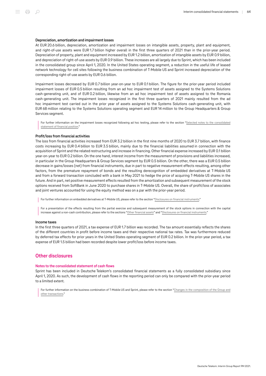#### Depreciation, amortization and impairment losses

At EUR 20.6 billion, depreciation, amortization and impairment losses on intangible assets, property, plant and equipment, and right-of-use assets were EUR 1.7 billion higher overall in the first three quarters of 2021 than in the prior-year period. Depreciation of property, plant and equipment increased by EUR 1.2 billion, amortization of intangible assets by EUR 0.9 billion, and depreciation of right-of-use assets by EUR 0.9 billion. These increases are all largely due to Sprint, which has been included in the consolidated group since April 1, 2020. In the United States operating segment, a reduction in the useful life of leased network technology for cell sites following the business combination of T‑Mobile US and Sprint increased depreciation of the corresponding right-of-use assets by EUR 0.6 billion.

Impairment losses decreased by EUR 0.7 billion year-on-year to EUR 0.1 billion. The figure for the prior-year period included impairment losses of EUR 0.5 billion resulting from an ad hoc impairment test of assets assigned to the Systems Solutions cash-generating unit, and of EUR 0.2 billion, likewise from an ad hoc impairment test of assets assigned to the Romania cash-generating unit. The impairment losses recognized in the first three quarters of 2021 mainly resulted from the ad hoc impairment test carried out in the prior year of assets assigned to the Systems Solutions cash-generating unit, with EUR 68 million relating to the Systems Solutions operating segment and EUR 14 million to the Group Headquarters & Group Services segment.

For further information on the impairment losses recognized following ad hoc testing, please refer to the section "[Selected notes to the consolidated](#page-56-0) [statement of financial position](#page-56-0)<sup>1</sup>

#### Profit/loss from financial activities

The loss from financial activities increased from EUR 3.2 billion in the first nine months of 2020 to EUR 3.7 billion, with finance costs increasing by EUR 0.4 billion to EUR 3.5 billion, mainly due to the financial liabilities assumed in connection with the acquisition of Sprint and the related restructuring and increase in financing. Other financial expense increased by EUR 0.1 billion year-on-year to EUR 0.2 billion. On the one hand, interest income from the measurement of provisions and liabilities increased, in particular in the Group Headquarters & Group Services segment by EUR 0.5 billion. On the other, there was a EUR 0.5 billion decrease in gains/losses (net) from financial instruments, due in part to negative measurement effects resulting, among other factors, from the premature repayment of bonds and the resulting derecognition of embedded derivatives at T-Mobile US and from a forward transaction concluded with a bank in May 2021 to hedge the price of acquiring T-Mobile US shares in the future. And in part, net positive measurement effects resulted from the amortization and subsequent measurement of the stock options received from SoftBank in June 2020 to purchase shares in T‑Mobile US. Overall, the share of profit/loss of associates and joint ventures accounted for using the equity method was on a par with the prior-year period.

For further information on embedded derivatives at T-Mobile US, please refer to the section ["Disclosures on financial instruments.](#page-69-0)"

For a presentation of the effects resulting from the partial exercise and subsequent measurement of the stock options in connection with the capital increase against a non-cash contribution, please refer to the sections "[Other financial assets](#page-56-0)" and "[Disclosures on financial instruments](#page-69-0)."

#### Income taxes

In the first three quarters of 2021, a tax expense of EUR 1.7 billion was recorded. The tax amount essentially reflects the shares of the different countries in profit before income taxes and their respective national tax rates. Tax was furthermore reduced by deferred tax effects for prior years in the United States operating segment of EUR 0.2 billion. In the prior-year period, a tax expense of EUR 1.5 billion had been recorded despite lower profit/loss before income taxes.

# Other disclosures

#### Notes to the consolidated statement of cash flows

Sprint has been included in Deutsche Telekom's consolidated financial statements as a fully consolidated subsidiary since April 1, 2020. As such, the development of cash flows in the reporting period can only be compared with the prior-year period to a limited extent.

For further information on the business combination of T-Mobile US and Sprint, please refer to the section "[Changes in the composition of the Group and](#page-48-0) [other transactions.](#page-48-0)"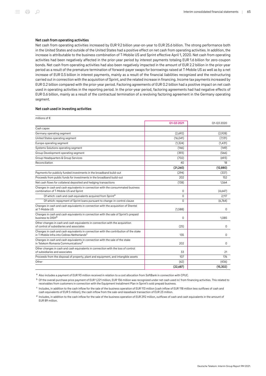#### Net cash from operating activities

Net cash from operating activities increased by EUR 9.2 billion year-on-year to EUR 25.6 billion. The strong performance both in the United States and outside of the United States had a positive effect on net cash from operating activities. In addition, the increase is attributable to the business combination of T-Mobile US and Sprint effective April 1, 2020. Net cash from operating activities had been negatively affected in the prior-year period by interest payments totaling EUR 1.6 billion for zero-coupon bonds. Net cash from operating activities had also been negatively impacted in the amount of EUR 2.2 billion in the prior-year period as a result of the premature termination of forward-payer swaps for borrowings raised at T‑Mobile US as well as by a net increase of EUR 0.5 billion in interest payments, mainly as a result of the financial liabilities recognized and the restructuring carried out in connection with the acquisition of Sprint, and the related increase in financing. Income tax payments increased by EUR 0.2 billion compared with the prior-year period. Factoring agreements of EUR 0.2 billion had a positive impact on net cash used in operating activities in the reporting period. In the prior-year period, factoring agreements had had negative effects of EUR 0.6 billion, mainly as a result of the contractual termination of a revolving factoring agreement in the Germany operating segment.

#### Net cash used in investing activities

| millions of $\epsilon$                                                                                                                           |            |            |
|--------------------------------------------------------------------------------------------------------------------------------------------------|------------|------------|
|                                                                                                                                                  | Q1-Q3 2021 | Q1-Q3 2020 |
| Cash capex                                                                                                                                       |            |            |
| Germany operating segment                                                                                                                        | (2,692)    | (2,928)    |
| United States operating segment                                                                                                                  | (16, 041)  | (7,131)    |
| Europe operating segment                                                                                                                         | (1, 324)   | (1,431)    |
| Systems Solutions operating segment                                                                                                              | (146)      | (149)      |
| Group Development operating segment                                                                                                              | (393)      | (566)      |
| Group Headquarters & Group Services                                                                                                              | (702)      | (693)      |
| Reconciliation                                                                                                                                   | 40         | 18         |
|                                                                                                                                                  | (21, 260)  | (12, 880)  |
| Payments for publicly funded investments in the broadband build-out                                                                              | (294)      | (337)      |
| Proceeds from public funds for investments in the broadband build-out                                                                            | 202        | 152        |
| Net cash flows for collateral deposited and hedging transactions                                                                                 | (138)      | 1.564      |
| Changes in cash and cash equivalents in connection with the consummated business<br>combination of T-Mobile US and Sprint                        | $\Omega$   | (4,647)    |
| Of which: cash and cash equivalents acquired from Sprint <sup>a</sup>                                                                            | $\Omega$   | 2.117      |
| Of which: repayment of Sprint loans pursuant to change-in-control clause                                                                         | $\Omega$   | (6,764)    |
| Changes in cash and cash equivalents in connection with the acquisition of Shentel<br>at T-Mobile US                                             | (1,588)    | 0          |
| Changes in cash and cash equivalents in connection with the sale of Sprint's prepaid<br>business to DISH <sup>b</sup>                            | $\Omega$   | 1,085      |
| Other changes in cash and cash equivalents in connection with the acquisition<br>of control of subsidiaries and associates                       | (25)       | 0          |
| Changes in cash and cash equivalents in connection with the contribution of the stake<br>in T-Mobile Infra into Cellnex Netherlands <sup>c</sup> | 135        | 0          |
| Changes in cash and cash equivalents in connection with the sale of the stake<br>in Telekom Romania Communications <sup>d</sup>                  | 202        | $\Omega$   |
| Other changes in cash and cash equivalents in connection with the loss of control<br>of subsidiaries and associates                              | 33         | 21         |
| Proceeds from the disposal of property, plant and equipment, and intangible assets                                                               | 107        | 176        |
| Other                                                                                                                                            | (62)       | (436)      |
|                                                                                                                                                  | (22.687)   | (15.302)   |

a Also includes a payment of EUR 93 million received in relation to a cost allocation from SoftBank in connection with CPUC.

b Of the overall purchase price payment of EUR 1,221 million, EUR 136 million was recognized under net cash used in/ from financing activities. This related to receivables from customers in connection with the Equipment Installment Plan in Sprint's sold prepaid business.

 $^{\circ}$  Includes, in addition to the cash inflow for the sale of the business operation of EUR 113 million (cash inflow of EUR 118 million less outflows of cash and cash equivalents of EUR 5 million), the cash inflow from the sale-and-leaseback transaction of EUR 23 million.

 $^{\mathsf{d}}$  Includes, in addition to the cash inflow for the sale of the business operation of EUR 292 million, outflows of cash and cash equivalents in the amount of EUR 89 million.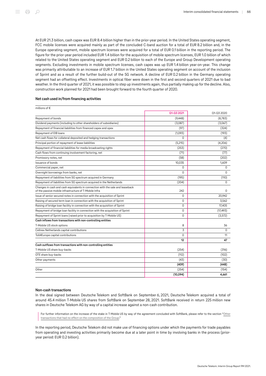At EUR 21.3 billion, cash capex was EUR 8.4 billion higher than in the prior-year period. In the United States operating segment, FCC mobile licenses were acquired mainly as part of the concluded C-band auction for a total of EUR 8.2 billion and, in the Europe operating segment, mobile spectrum licenses were acquired for a total of EUR 0.1 billion in the reporting period. The figure for the prior-year period included EUR 1.4 billion for the acquisition of mobile spectrum licenses, EUR 1.0 billion of which related to the United States operating segment and EUR 0.2 billion to each of the Europe and Group Development operating segments. Excluding investments in mobile spectrum licenses, cash capex was up EUR 1.4 billion year-on-year. This change was primarily attributable to an increase of EUR 1.7 billion in the United States operating segment on account of the inclusion of Sprint and as a result of the further build-out of the 5G network. A decline of EUR 0.2 billion in the Germany operating segment had an offsetting effect. Investments in optical fiber were down in the first and second quarters of 2021 due to bad weather. In the third quarter of 2021, it was possible to step up investments again, thus partially making up for the decline. Also, construction work planned for 2021 had been brought forward to the fourth quarter of 2020.

#### Net cash used in/from financing activities

| millions of $\epsilon$                                                                                                                   |            |            |
|------------------------------------------------------------------------------------------------------------------------------------------|------------|------------|
|                                                                                                                                          | 01-03 2021 | Q1-Q3 2020 |
| Repayment of bonds                                                                                                                       | (9, 448)   | (8,783)    |
| Dividend payments (including to other shareholders of subsidiaries)                                                                      | (3,087)    | (3,067)    |
| Repayment of financial liabilities from financed capex and opex                                                                          | (97)       | (324)      |
| Repayment of EIB loans                                                                                                                   | (1,093)    | (193)      |
| Net cash flows for collateral deposited and hedging transactions                                                                         | $\Omega$   | (4)        |
| Principal portion of repayment of lease liabilities                                                                                      | (5,215)    | (4,206)    |
| Repayment of financial liabilities for media broadcasting rights                                                                         | (253)      | (270)      |
| Cash flows from continuing involvement factoring, net                                                                                    | (71)       | (77)       |
| Promissory notes, net                                                                                                                    | (58)       | (202)      |
| Issuance of bonds                                                                                                                        | 10.035     | 1.609      |
| Commercial paper, net                                                                                                                    | 0          | 0          |
| Overnight borrowings from banks, net                                                                                                     | $\Omega$   | 0          |
| Repayment of liabilities from 5G spectrum acquired in Germany                                                                            | (195)      | (110)      |
| Repayment of liabilities from 5G spectrum acquired in the Netherlands                                                                    | (204)      | $\Omega$   |
| Changes in cash and cash equivalents in connection with the sale and leaseback<br>of the passive mobile infrastructure of T-Mobile Infra | 242        | $\Omega$   |
| Issue of senior secured notes in connection with the acquisition of Sprint                                                               | $\Omega$   | 20.942     |
| Raising of secured term loan in connection with the acquisition of Sprint                                                                | $\Omega$   | 3,562      |
| Raising of bridge loan facility in connection with the acquisition of Sprint                                                             | $\Omega$   | 17,405     |
| Repayment of bridge loan facility in connection with the acquisition of Sprint                                                           | $\Omega$   | (17, 493)  |
| Repayment of Sprint loans (raised prior to acquisition by T-Mobile US)                                                                   | 0          | (3, 572)   |
| Cash inflows from transactions with non-controlling entities                                                                             |            |            |
| T-Mobile US stock options                                                                                                                | 8          | 36         |
| Cellnex Netherlands capital contributions                                                                                                | 3          | $\Omega$   |
| Toll4Europe capital contributions                                                                                                        | $\Omega$   | 11         |
|                                                                                                                                          | 12         | 47         |
| Cash outflows from transactions with non-controlling entities                                                                            |            |            |
| T-Mobile US share buy-backs                                                                                                              | (254)      | (316)      |
| OTE share buy-backs                                                                                                                      | (112)      | (102)      |
| Other payments                                                                                                                           | (43)       | (30)       |
|                                                                                                                                          | (409)      | (448)      |
| Other                                                                                                                                    | (254)      | (154)      |
|                                                                                                                                          | (10, 094)  | 4,661      |

#### Non-cash transactions

In the deal signed between Deutsche Telekom and SoftBank on September 6, 2021, Deutsche Telekom acquired a total of around 45.4 million T‑Mobile US shares from SoftBank on September 28, 2021. SoftBank received in return 225 million new shares in Deutsche Telekom AG by way of a capital increase against a non-cash contribution.

For further information on the increase of the stake in T-Mobile US by way of the agreement concluded with SoftBank, please refer to the section ["Other](#page-55-0) [transactions that had no effect on the composition of the Group.](#page-55-0)"

In the reporting period, Deutsche Telekom did not make use of financing options under which the payments for trade payables from operating and investing activities primarily become due at a later point in time by involving banks in the process (prioryear period: EUR 0.2 billion).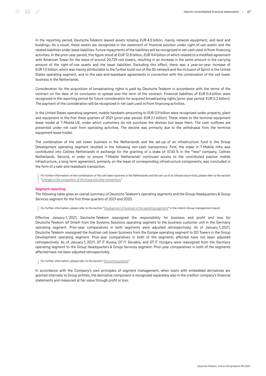In the reporting period, Deutsche Telekom leased assets totaling EUR 4.5 billion, mainly network equipment, and land and buildings. As a result, these assets are recognized in the statement of financial position under right-of-use assets and the related liabilities under lease liabilities. Future repayments of the liabilities will be recognized in net cash used in/from financing activities. In the prior-year period, this figure stood at EUR 12.8 billion, EUR 9.4 billion of which related to a modified agreement with American Tower for the lease of around 20,729 cell towers, resulting in an increase in the same amount in the carrying amount of the right-of-use assets and the lease liabilities. Excluding this effect, there was a year-on-year increase of EUR 1.0 billion, which was mainly attributable to the further build-out of the 5G network and the inclusion of Sprint in the United States operating segment, and to the sale-and-leaseback agreements in connection with the combination of the cell tower business in the Netherlands.

Consideration for the acquisition of broadcasting rights is paid by Deutsche Telekom in accordance with the terms of the contract on the date of its conclusion or spread over the term of the contract. Financial liabilities of EUR 0.4 billion were recognized in the reporting period for future consideration for acquired broadcasting rights (prior-year period: EUR 0.2 billion). The payment of the consideration will be recognized in net cash used in/from financing activities.

In the United States operating segment, mobile handsets amounting to EUR 0.9 billion were recognized under property, plant and equipment in the first three quarters of 2021 (prior-year period: EUR 2.1 billion). These relate to the terminal equipment lease model at T‑Mobile US, under which customers do not purchase the devices but lease them. The cash outflows are presented under net cash from operating activities. The decline was primarily due to the withdrawal from the terminal equipment lease model.

The combination of the cell tower business in the Netherlands and the set-up of an infrastructure fund in the Group Development operating segment resulted in the following non-cash transactions: First, the stake in T‑Mobile Infra was contributed into Cellnex Netherlands in exchange for the granting of a stake of 37.65 % in the "new" company, Cellnex Netherlands. Second, in order to ensure T‑Mobile Netherlands' continued access to the contributed passive mobile infrastructure, a long-term agreement, primarily on the lease of corresponding infrastructure components, was concluded in the form of a sale-and-leaseback transaction.

For further information on the combination of the cell tower business in the Netherlands and the set-up of an infrastructure fund, please refer to the section "[Changes in the composition of the Group and other transactions](#page-48-0)."

#### Segment reporting

The following table gives an overall summary of Deutsche Telekom's operating segments and the Group Headquarters & Group Services segment for the first three quarters of 2021 and 2020.

For further information, please refer to the section ["Development of business in the operating segments](#page-24-0)" in the interim Group management report.

Effective January 1, 2021, Deutsche Telekom reassigned the responsibility for business and profit and loss for Deutsche Telekom IoT GmbH from the Systems Solutions operating segment to the business customer unit in the Germany operating segment. Prior-year comparatives in both segments were adjusted retrospectively. As of January 1, 2021, Deutsche Telekom reassigned the Austrian cell tower business from the Europe operating segment to GD Towers in the Group Development operating segment. Prior-year comparatives in both of the segments affected have not been adjusted retrospectively. As of January 1, 2021, DT IT Russia, DT IT Slovakia, and DT IT Hungary were reassigned from the Germany operating segment to the Group Headquarters & Group Services segment. Prior-year comparatives in both of the segments affected have not been adjusted retrospectively.

#### For further information, please refer to the section ["Accounting policies](#page-47-0)."

In accordance with the Company's own principles of segment management, when loans with embedded derivatives are granted internally to Group entities, the derivative component is recognized separately also in the creditor company's financial statements and measured at fair value through profit or loss.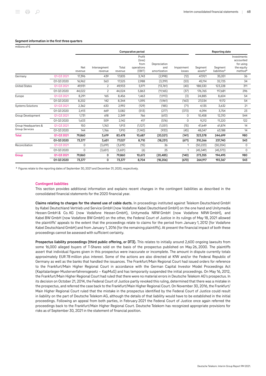#### Segment information in the first three quarters

| millions of $\epsilon$   |            |                |                         |                  |                                                  |                                     |                      |                                |                                     |                                                                            |
|--------------------------|------------|----------------|-------------------------|------------------|--------------------------------------------------|-------------------------------------|----------------------|--------------------------------|-------------------------------------|----------------------------------------------------------------------------|
|                          |            |                |                         |                  | Comparative period                               |                                     |                      |                                | <b>Reporting date</b>               |                                                                            |
|                          |            | Net<br>revenue | Intersegment<br>revenue | Total<br>revenue | Profit<br>(loss)<br>from<br>operations<br>(EBIT) | Depreciation<br>and<br>amortization | Impairment<br>losses | Segment<br>assets <sup>a</sup> | Segment<br>liabilities <sup>a</sup> | Investments<br>accounted<br>for using<br>the equity<br>method <sup>a</sup> |
| Germany                  | Q1-Q3 2021 | 17,396         | 439                     | 17,835           | 3,743                                            | (2,998)                             | (12)                 | 47,921                         | 35,051                              | 36                                                                         |
|                          | Q1-Q3 2020 | 16,962         | 563                     | 17,525           | 2,988                                            | (3,319)                             | (53)                 | 45,114                         | 32,725                              | 34                                                                         |
| <b>United States</b>     | Q1-Q3 2021 | 49,931         | $\overline{c}$          | 49,933           | 5,971                                            | (13,761)                            | (40)                 | 188,530                        | 123,228                             | 311                                                                        |
|                          | Q1-Q3 2020 | 44,022         | $\overline{2}$          | 44,024           | 5,863                                            | (11,165)                            | (37)                 | 176,765                        | 117,681                             | 296                                                                        |
| Europe                   | Q1-Q3 2021 | 8,291          | 165                     | 8,456            | 1,463                                            | (1,913)                             | (3)                  | 24,885                         | 8,604                               | 54                                                                         |
|                          | Q1-Q3 2020 | 8,202          | 142                     | 8,344            | 1,095                                            | (1,961)                             | (163)                | 27,034                         | 9,172                               | 54                                                                         |
| <b>Systems Solutions</b> | Q1-Q3 2021 | 2,362          | 630                     | 2,992            | (129)                                            | (185)                               | (71)                 | 4,135                          | 3,632                               | 21                                                                         |
|                          | Q1-Q3 2020 | 2,413          | 669                     | 3,082            | (513)                                            | (277)                               | (373)                | 4,094                          | 3,754                               | 23                                                                         |
| Group Development        | Q1-Q3 2021 | 1,731          | 618                     | 2,349            | 766                                              | (613)                               | 0                    | 10,458                         | 12,310                              | 544                                                                        |
|                          | Q1-Q3 2020 | 1,633          | 509                     | 2,142            | 417                                              | (576)                               | 0                    | 9,212                          | 11,220                              | 122                                                                        |
| Group Headquarters &     | Q1-Q3 2021 | 150            | 1,763                   | 1,913            | (1,127)                                          | (1,051)                             | (15)                 | 47,649                         | 61,874                              | 14                                                                         |
| <b>Group Services</b>    | Q1-Q3 2020 | 144            | 1,766                   | 1,910            | (1,140)                                          | (933)                               | (45)                 | 48,047                         | 63,188                              | 14                                                                         |
| <b>Total</b>             | Q1-Q3 2021 | 79,860         | 3,619                   | 83,478           | 10,687                                           | (20, 521)                           | (141)                | 323,578                        | 244,699                             | 980                                                                        |
|                          | Q1-Q3 2020 | 73,377         | 3,651                   | 77,027           | 8,710                                            | (18, 231)                           | (671)                | 310,266                        | 237,740                             | 543                                                                        |
| Reconciliation           | Q1-Q3 2021 | 0              | (3,619)                 | (3,619)          | (15)                                             | 36                                  | 1                    | (50, 223)                      | (50, 204)                           | 0                                                                          |
|                          | Q1-Q3 2020 | 0              | (3,651)                 | (3,651)          | (6)                                              | 25                                  | 1                    | (45, 349)                      | (45, 373)                           | $\mathbf 0$                                                                |
| Group                    | Q1-Q3 2021 | 79,860         | 0                       | 79,860           | 10,672                                           | (20, 485)                           | (140)                | 273,355                        | 194,495                             | 980                                                                        |
|                          | Q1-Q3 2020 | 73,377         | 0                       | 73,377           | 8.704                                            | (18, 206)                           | (670)                | 264,917                        | 192,367                             | 543                                                                        |

<sup>a</sup> Figures relate to the reporting dates of September 30, 2021 and December 31, 2020, respectively.

#### Contingent liabilities

This section provides additional information and explains recent changes in the contingent liabilities as described in the consolidated financial statements for the 2020 financial year.

Claims relating to charges for the shared use of cable ducts. In proceedings instituted against Telekom Deutschland GmbH by Kabel Deutschland Vertrieb und Service GmbH (now Vodafone Kabel Deutschland GmbH) on the one hand and Unitymedia Hessen GmbH & Co. KG (now Vodafone Hessen GmbH), Unitymedia NRW GmbH (now Vodafone NRW GmbH), and Kabel BW GmbH (now Vodafone BW GmbH) on the other, the Federal Court of Justice in its rulings of May 18, 2021 allowed the plaintiffs' appeals to the extent that the proceedings relate to claims for the period from January 1, 2012 (for Vodafone Kabel Deutschland GmbH) and from January 1, 2016 (for the remaining plaintiffs). At present the financial impact of both these proceedings cannot be assessed with sufficient certainty.

Prospectus liability proceedings (third public offering, or DT3). This relates to initially around 2,600 ongoing lawsuits from some 16,000 alleged buyers of T-Shares sold on the basis of the prospectus published on May 26, 2000. The plaintiffs assert that individual figures given in this prospectus were inaccurate or incomplete. The amount in dispute currently totals approximately EUR 78 million plus interest. Some of the actions are also directed at KfW and/or the Federal Republic of Germany as well as the banks that handled the issuances. The Frankfurt/Main Regional Court had issued orders for reference to the Frankfurt/Main Higher Regional Court in accordance with the German Capital Investor Model Proceedings Act (Kapitalanleger-Musterverfahrensgesetz – KapMuG) and has temporarily suspended the initial proceedings. On May 16, 2012, the Frankfurt/Main Higher Regional Court had ruled that there were no material errors in Deutsche Telekom AG's prospectus. In its decision on October 21, 2014, the Federal Court of Justice partly revoked this ruling, determined that there was a mistake in the prospectus, and referred the case back to the Frankfurt/Main Higher Regional Court. On November 30, 2016, the Frankfurt/ Main Higher Regional Court ruled that the mistake in the prospectus identified by the Federal Court of Justice could result in liability on the part of Deutsche Telekom AG, although the details of that liability would have to be established in the initial proceedings. Following an appeal from both parties, in February 2021 the Federal Court of Justice once again referred the proceedings back to the Frankfurt/Main Higher Regional Court. Deutsche Telekom has recognized appropriate provisions for risks as of September 30, 2021 in the statement of financial position.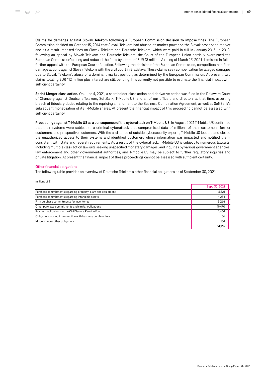Claims for damages against Slovak Telekom following a European Commission decision to impose fines. The European Commission decided on October 15, 2014 that Slovak Telekom had abused its market power on the Slovak broadband market and as a result imposed fines on Slovak Telekom and Deutsche Telekom, which were paid in full in January 2015. In 2018, following an appeal by Slovak Telekom and Deutsche Telekom, the Court of the European Union partially overturned the European Commission's ruling and reduced the fines by a total of EUR 13 million. A ruling of March 25, 2021 dismissed in full a further appeal with the European Court of Justice. Following the decision of the European Commission, competitors had filed damage actions against Slovak Telekom with the civil court in Bratislava. These claims seek compensation for alleged damages due to Slovak Telekom's abuse of a dominant market position, as determined by the European Commission. At present, two claims totaling EUR 112 million plus interest are still pending. It is currently not possible to estimate the financial impact with sufficient certainty.

Sprint Merger class action. On June 4, 2021, a shareholder class action and derivative action was filed in the Delaware Court of Chancery against Deutsche Telekom, SoftBank, T‑Mobile US, and all of our officers and directors at that time, asserting breach of fiduciary duties relating to the repricing amendment to the Business Combination Agreement, as well as SoftBank's subsequent monetization of its T-Mobile shares. At present the financial impact of this proceeding cannot be assessed with sufficient certainty.

Proceedings against T-Mobile US as a consequence of the cyberattack on T-Mobile US. In August 2021 T-Mobile US confirmed that their systems were subject to a criminal cyberattack that compromised data of millions of their customers, former customers, and prospective customers. With the assistance of outside cybersecurity experts, T‑Mobile US located and closed the unauthorized access to their systems and identified customers whose information was impacted and notified them, consistent with state and federal requirements. As a result of the cyberattack, T-Mobile US is subject to numerous lawsuits, including multiple class action lawsuits seeking unspecified monetary damages, and inquiries by various government agencies, law enforcement and other governmental authorities, and T‑Mobile US may be subject to further regulatory inquiries and private litigation. At present the financial impact of these proceedings cannot be assessed with sufficient certainty.

#### Other financial obligations

The following table provides an overview of Deutsche Telekom's other financial obligations as of September 30, 2021:

| millions of $\epsilon$                                       |                |
|--------------------------------------------------------------|----------------|
|                                                              | Sept. 30, 2021 |
| Purchase commitments regarding property, plant and equipment | 6,521          |
| Purchase commitments regarding intangible assets             | 1,254          |
| Firm purchase commitments for inventories                    | 5,266          |
| Other purchase commitments and similar obligations           | 19,470         |
| Payment obligations to the Civil Service Pension Fund        | 1,464          |
| Obligations arising in connection with business combinations | 36             |
| Miscellaneous other obligations                              | 154            |
|                                                              | 34,165         |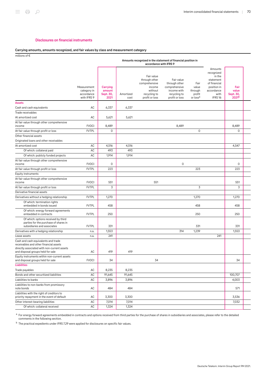#### Disclosures on financial instruments

#### <span id="page-69-0"></span>Carrying amounts, amounts recognized, and fair values by class and measurement category

millions of €

|                                                                                                                                                                   |                                                         | Amounts recognized in the statement of financial position in<br>accordance with IFRS 9 |                   |                                                                                                     |                                                                                               |                                                            |                                                                                                                         |                                                 |  |
|-------------------------------------------------------------------------------------------------------------------------------------------------------------------|---------------------------------------------------------|----------------------------------------------------------------------------------------|-------------------|-----------------------------------------------------------------------------------------------------|-----------------------------------------------------------------------------------------------|------------------------------------------------------------|-------------------------------------------------------------------------------------------------------------------------|-------------------------------------------------|--|
|                                                                                                                                                                   | Measurement<br>category in<br>accordance<br>with IFRS 9 | Carrying<br>amount<br>Sept. 30,<br>2021                                                | Amortized<br>cost | Fair value<br>through other<br>comprehensive<br>income<br>without<br>recycling to<br>profit or loss | Fair value<br>through other<br>comprehensive<br>income with<br>recycling to<br>profit or loss | Fair<br>value<br>through<br>profit<br>or loss <sup>a</sup> | Amounts<br>recognized<br>in the<br>statement<br>of financial<br>position in<br>accordance<br>with<br>IFRS <sub>16</sub> | Fair<br>value<br>Sept. 30,<br>2021 <sup>b</sup> |  |
| <b>Assets</b>                                                                                                                                                     |                                                         |                                                                                        |                   |                                                                                                     |                                                                                               |                                                            |                                                                                                                         |                                                 |  |
| Cash and cash equivalents                                                                                                                                         | AC                                                      | 6,337                                                                                  | 6,337             |                                                                                                     |                                                                                               |                                                            |                                                                                                                         |                                                 |  |
| Trade receivables                                                                                                                                                 |                                                         |                                                                                        |                   |                                                                                                     |                                                                                               |                                                            |                                                                                                                         |                                                 |  |
| At amortized cost                                                                                                                                                 | AC                                                      | 5,621                                                                                  | 5,621             |                                                                                                     |                                                                                               |                                                            |                                                                                                                         |                                                 |  |
| At fair value through other comprehensive<br>income                                                                                                               | <b>FVOCI</b>                                            | 8,489                                                                                  |                   |                                                                                                     | 8,489                                                                                         |                                                            |                                                                                                                         | 8,489                                           |  |
| At fair value through profit or loss                                                                                                                              | <b>FVTPL</b>                                            | $\mathbf 0$                                                                            |                   |                                                                                                     |                                                                                               | 0                                                          |                                                                                                                         | 0                                               |  |
| Other financial assets                                                                                                                                            |                                                         |                                                                                        |                   |                                                                                                     |                                                                                               |                                                            |                                                                                                                         |                                                 |  |
| Originated loans and other receivables                                                                                                                            |                                                         |                                                                                        |                   |                                                                                                     |                                                                                               |                                                            |                                                                                                                         |                                                 |  |
| At amortized cost                                                                                                                                                 | AC                                                      | 4,516                                                                                  | 4,516             |                                                                                                     |                                                                                               |                                                            |                                                                                                                         | 4,547                                           |  |
| Of which: collateral paid                                                                                                                                         | AC                                                      | 493                                                                                    | 493               |                                                                                                     |                                                                                               |                                                            |                                                                                                                         |                                                 |  |
| Of which: publicly funded projects                                                                                                                                | AC                                                      | 1,914                                                                                  | 1,914             |                                                                                                     |                                                                                               |                                                            |                                                                                                                         |                                                 |  |
| At fair value through other comprehensive                                                                                                                         |                                                         |                                                                                        |                   |                                                                                                     |                                                                                               |                                                            |                                                                                                                         |                                                 |  |
| income                                                                                                                                                            | <b>FVOCI</b>                                            | 0                                                                                      |                   |                                                                                                     | 0                                                                                             |                                                            |                                                                                                                         | 0                                               |  |
| At fair value through profit or loss                                                                                                                              | <b>FVTPL</b>                                            | 223                                                                                    |                   |                                                                                                     |                                                                                               | 223                                                        |                                                                                                                         | 223                                             |  |
| Equity instruments                                                                                                                                                |                                                         |                                                                                        |                   |                                                                                                     |                                                                                               |                                                            |                                                                                                                         |                                                 |  |
| At fair value through other comprehensive<br>income                                                                                                               | <b>FVOCI</b>                                            | 551                                                                                    |                   | 551                                                                                                 |                                                                                               |                                                            |                                                                                                                         | 551                                             |  |
| At fair value through profit or loss                                                                                                                              | <b>FVTPL</b>                                            | 3                                                                                      |                   |                                                                                                     |                                                                                               | 3                                                          |                                                                                                                         | 3                                               |  |
| Derivative financial assets                                                                                                                                       |                                                         |                                                                                        |                   |                                                                                                     |                                                                                               |                                                            |                                                                                                                         |                                                 |  |
| Derivatives without a hedging relationship                                                                                                                        | <b>FVTPL</b>                                            | 1,270                                                                                  |                   |                                                                                                     |                                                                                               | 1,270                                                      |                                                                                                                         | 1,270                                           |  |
| Of which: termination rights<br>embedded in bonds issued                                                                                                          | <b>FVTPL</b>                                            | 458                                                                                    |                   |                                                                                                     |                                                                                               | 458                                                        |                                                                                                                         | 458                                             |  |
| Of which: energy forward agreements<br>embedded in contracts                                                                                                      | <b>FVTPL</b>                                            | 250                                                                                    |                   |                                                                                                     |                                                                                               | 250                                                        |                                                                                                                         | 250                                             |  |
| Of which: options received by third<br>parties for the purchase of shares in<br>subsidiaries and associates                                                       | <b>FVTPL</b>                                            | 331                                                                                    |                   |                                                                                                     |                                                                                               | 331                                                        |                                                                                                                         | 331                                             |  |
| Derivatives with a hedging relationship                                                                                                                           | n.a.                                                    | 1,553                                                                                  |                   |                                                                                                     | 314                                                                                           | 1,239                                                      |                                                                                                                         | 1,553                                           |  |
| Lease assets                                                                                                                                                      | n.a.                                                    | 241                                                                                    |                   |                                                                                                     |                                                                                               |                                                            | 241                                                                                                                     |                                                 |  |
| Cash and cash equivalents and trade<br>receivables and other financial assets<br>directly associated with non-current assets<br>and disposal groups held for sale | AC                                                      | 419                                                                                    | 419               |                                                                                                     |                                                                                               |                                                            |                                                                                                                         |                                                 |  |
| Equity instruments within non-current assets<br>and disposal groups held for sale                                                                                 | <b>FVOCI</b>                                            | 34                                                                                     |                   | 34                                                                                                  |                                                                                               |                                                            |                                                                                                                         | 34                                              |  |
| <b>Liabilities</b>                                                                                                                                                |                                                         |                                                                                        |                   |                                                                                                     |                                                                                               |                                                            |                                                                                                                         |                                                 |  |
| Trade payables                                                                                                                                                    | AC                                                      | 8,235                                                                                  | 8,235             |                                                                                                     |                                                                                               |                                                            |                                                                                                                         |                                                 |  |
| Bonds and other securitized liabilities                                                                                                                           | AC                                                      | 91,645                                                                                 | 91,645            |                                                                                                     |                                                                                               |                                                            |                                                                                                                         | 100,707                                         |  |
| Liabilities to banks                                                                                                                                              | $\mathsf{AC}$                                           | 3,896                                                                                  | 3,896             |                                                                                                     |                                                                                               |                                                            |                                                                                                                         | 4,003                                           |  |
| Liabilities to non-banks from promissory<br>note bonds                                                                                                            | $\sf AC$                                                | 484                                                                                    | 484               |                                                                                                     |                                                                                               |                                                            |                                                                                                                         | 571                                             |  |
| Liabilities with the right of creditors to<br>priority repayment in the event of default                                                                          | AC                                                      | 3,300                                                                                  | 3,300             |                                                                                                     |                                                                                               |                                                            |                                                                                                                         | 3,536                                           |  |
| Other interest-bearing liabilities                                                                                                                                | $\sf AC$                                                | 7,014                                                                                  | 7,014             |                                                                                                     |                                                                                               |                                                            |                                                                                                                         | 7,032                                           |  |
| Of which: collateral received                                                                                                                                     | $\mathsf{AC}$                                           | 1,324                                                                                  | 1,324             |                                                                                                     |                                                                                               |                                                            |                                                                                                                         |                                                 |  |

 $^{\rm a}$  For energy forward agreements embedded in contracts and options received from third parties for the purchase of shares in subsidiaries and associates, please refer to the detailed comments in the following section.

<sup>b</sup> The practical expedients under IFRS 7.29 were applied for disclosures on specific fair values.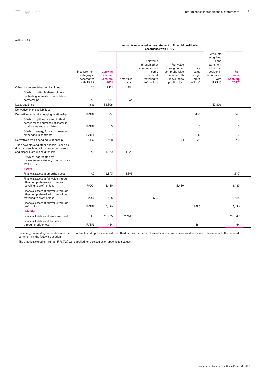| millions of $\epsilon$ |
|------------------------|
|------------------------|

#### Amounts recognized in the statement of financial position in accordance with IFRS 9

|                                                                                                                                    | Measurement<br>category in<br>accordance<br>with IFRS 9 | Carrying<br>amount<br>Sept. 30,<br>2021 | Amortized<br>cost | Fair value<br>through other<br>comprehensive<br>income<br>without<br>recycling to<br>profit or loss | Fair value<br>through other<br>comprehensive<br>income with<br>recycling to<br>profit or loss | Fair<br>value<br>through<br>profit<br>or loss <sup>a</sup> | Amounts<br>recognized<br>in the<br>statement<br>of financial<br>position in<br>accordance<br>with<br>IFRS <sub>16</sub> | Fair<br>value<br>Sept. 30,<br>2021 <sup>b</sup> |  |
|------------------------------------------------------------------------------------------------------------------------------------|---------------------------------------------------------|-----------------------------------------|-------------------|-----------------------------------------------------------------------------------------------------|-----------------------------------------------------------------------------------------------|------------------------------------------------------------|-------------------------------------------------------------------------------------------------------------------------|-------------------------------------------------|--|
| Other non-interest-bearing liabilities                                                                                             | AC                                                      | 1,921                                   | 1,921             |                                                                                                     |                                                                                               |                                                            |                                                                                                                         |                                                 |  |
| Of which: puttable shares of non-<br>controlling interests in consolidated<br>partnerships                                         | AC                                                      | 134                                     | 134               |                                                                                                     |                                                                                               |                                                            |                                                                                                                         |                                                 |  |
| Lease liabilities                                                                                                                  | n.a.                                                    | 32,806                                  |                   |                                                                                                     |                                                                                               |                                                            | 32,806                                                                                                                  |                                                 |  |
| Derivative financial liabilities                                                                                                   |                                                         |                                         |                   |                                                                                                     |                                                                                               |                                                            |                                                                                                                         |                                                 |  |
| Derivatives without a hedging relationship                                                                                         | <b>FVTPL</b>                                            | 464                                     |                   |                                                                                                     |                                                                                               | 464                                                        |                                                                                                                         | 464                                             |  |
| Of which: options granted to third<br>parties for the purchase of shares in<br>subsidiaries and associates                         | <b>FVTPL</b>                                            | $\Omega$                                |                   |                                                                                                     |                                                                                               | $\mathbf 0$                                                |                                                                                                                         | $\Omega$                                        |  |
| Of which: energy forward agreements<br>embedded in contracts                                                                       | <b>FVTPL</b>                                            | 17                                      |                   |                                                                                                     |                                                                                               | 17                                                         |                                                                                                                         | 17                                              |  |
| Derivatives with a hedging relationship                                                                                            | n.a.                                                    | 198                                     |                   |                                                                                                     | 171                                                                                           | 28                                                         |                                                                                                                         | 198                                             |  |
| Trade payables and other financial liabilities<br>directly associated with non-current assets<br>and disposal groups held for sale | AC                                                      | 1.020                                   | 1.020             |                                                                                                     |                                                                                               |                                                            |                                                                                                                         |                                                 |  |
| Of which: aggregated by<br>measurement category in accordance<br>with IFRS 9                                                       |                                                         |                                         |                   |                                                                                                     |                                                                                               |                                                            |                                                                                                                         |                                                 |  |
| <b>Assets</b>                                                                                                                      |                                                         |                                         |                   |                                                                                                     |                                                                                               |                                                            |                                                                                                                         |                                                 |  |
| Financial assets at amortized cost                                                                                                 | AC                                                      | 16,893                                  | 16,893            |                                                                                                     |                                                                                               |                                                            |                                                                                                                         | 4.547                                           |  |
| Financial assets at fair value through<br>other comprehensive income with<br>recycling to profit or loss                           | <b>FVOCI</b>                                            | 8,489                                   |                   |                                                                                                     | 8,489                                                                                         |                                                            |                                                                                                                         | 8,489                                           |  |
| Financial assets at fair value through<br>other comprehensive income without<br>recycling to profit or loss                        | <b>FVOCI</b>                                            | 585                                     |                   | 585                                                                                                 |                                                                                               |                                                            |                                                                                                                         | 585                                             |  |
| Financial assets at fair value through<br>profit or loss                                                                           | <b>FVTPL</b>                                            | 1,496                                   |                   |                                                                                                     |                                                                                               | 1,496                                                      |                                                                                                                         | 1,496                                           |  |
| <b>Liabilities</b>                                                                                                                 |                                                         |                                         |                   |                                                                                                     |                                                                                               |                                                            |                                                                                                                         |                                                 |  |
| Financial liabilities at amortized cost                                                                                            | AC                                                      | 117,515                                 | 117,515           |                                                                                                     |                                                                                               |                                                            |                                                                                                                         | 115,849                                         |  |
| Financial liabilities at fair value<br>through profit or loss                                                                      | <b>FVTPL</b>                                            | 464                                     |                   |                                                                                                     |                                                                                               | 464                                                        |                                                                                                                         | 464                                             |  |

 $^{\rm a}$  For energy forward agreements embedded in contracts and options received from third parties for the purchase of shares in subsidiaries and associates, please refer to the detailed comments in the following section.

<sup>b</sup> The practical expedients under IFRS 7.29 were applied for disclosures on specific fair values.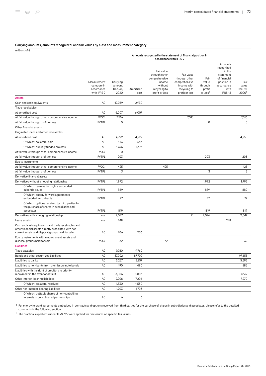#### Carrying amounts, amounts recognized, and fair values by class and measurement category

millions of €

|                                                                                                                                                                 |                                                         |                                        | Amounts recognized in the statement of financial position in<br>accordance with IFRS 9 |                                                                                                     |                                                                                               |                                                            |                                                                                                                         |                                                |
|-----------------------------------------------------------------------------------------------------------------------------------------------------------------|---------------------------------------------------------|----------------------------------------|----------------------------------------------------------------------------------------|-----------------------------------------------------------------------------------------------------|-----------------------------------------------------------------------------------------------|------------------------------------------------------------|-------------------------------------------------------------------------------------------------------------------------|------------------------------------------------|
|                                                                                                                                                                 | Measurement<br>category in<br>accordance<br>with IFRS 9 | Carrying<br>amount<br>Dec. 31,<br>2020 | Amortized<br>cost                                                                      | Fair value<br>through other<br>comprehensive<br>income<br>without<br>recycling to<br>profit or loss | Fair value<br>through other<br>comprehensive<br>income with<br>recycling to<br>profit or loss | Fair<br>value<br>through<br>profit<br>or loss <sup>a</sup> | Amounts<br>recognized<br>in the<br>statement<br>of financial<br>position in<br>accordance<br>with<br>IFRS <sub>16</sub> | Fair<br>value<br>Dec. 31,<br>2020 <sup>b</sup> |
| <b>Assets</b>                                                                                                                                                   |                                                         |                                        |                                                                                        |                                                                                                     |                                                                                               |                                                            |                                                                                                                         |                                                |
| Cash and cash equivalents                                                                                                                                       | AC                                                      | 12,939                                 | 12,939                                                                                 |                                                                                                     |                                                                                               |                                                            |                                                                                                                         |                                                |
| Trade receivables                                                                                                                                               |                                                         |                                        |                                                                                        |                                                                                                     |                                                                                               |                                                            |                                                                                                                         |                                                |
| At amortized cost                                                                                                                                               | AC                                                      | 6,007                                  | 6,007                                                                                  |                                                                                                     |                                                                                               |                                                            |                                                                                                                         |                                                |
| At fair value through other comprehensive income                                                                                                                | <b>FVOCI</b>                                            | 7,516                                  |                                                                                        |                                                                                                     | 7,516                                                                                         |                                                            |                                                                                                                         | 7,516                                          |
| At fair value through profit or loss                                                                                                                            | <b>FVTPL</b>                                            | $\mathbf 0$                            |                                                                                        |                                                                                                     |                                                                                               | $\mathbf 0$                                                |                                                                                                                         | $\mathbf 0$                                    |
| Other financial assets                                                                                                                                          |                                                         |                                        |                                                                                        |                                                                                                     |                                                                                               |                                                            |                                                                                                                         |                                                |
| Originated loans and other receivables                                                                                                                          |                                                         |                                        |                                                                                        |                                                                                                     |                                                                                               |                                                            |                                                                                                                         |                                                |
| At amortized cost                                                                                                                                               | AC                                                      | 4,722                                  | 4,722                                                                                  |                                                                                                     |                                                                                               |                                                            |                                                                                                                         | 4,758                                          |
| Of which: collateral paid                                                                                                                                       | AC                                                      | 543                                    | 543                                                                                    |                                                                                                     |                                                                                               |                                                            |                                                                                                                         |                                                |
| Of which: publicly funded projects                                                                                                                              | AC                                                      | 1,676                                  | 1,676                                                                                  |                                                                                                     |                                                                                               |                                                            |                                                                                                                         |                                                |
| At fair value through other comprehensive income                                                                                                                | <b>FVOCI</b>                                            | 0                                      |                                                                                        |                                                                                                     | $\mathsf 0$                                                                                   |                                                            |                                                                                                                         | $\mathsf{O}$                                   |
| At fair value through profit or loss                                                                                                                            | <b>FVTPL</b>                                            | 203                                    |                                                                                        |                                                                                                     |                                                                                               | 203                                                        |                                                                                                                         | 203                                            |
| Equity instruments                                                                                                                                              |                                                         |                                        |                                                                                        |                                                                                                     |                                                                                               |                                                            |                                                                                                                         |                                                |
| At fair value through other comprehensive income                                                                                                                | <b>FVOCI</b>                                            | 425                                    |                                                                                        | 425                                                                                                 |                                                                                               |                                                            |                                                                                                                         | 425                                            |
| At fair value through profit or loss                                                                                                                            | <b>FVTPL</b>                                            | 3                                      |                                                                                        |                                                                                                     |                                                                                               | 3                                                          |                                                                                                                         | 3                                              |
| Derivative financial assets                                                                                                                                     |                                                         |                                        |                                                                                        |                                                                                                     |                                                                                               |                                                            |                                                                                                                         |                                                |
| Derivatives without a hedging relationship                                                                                                                      | <b>FVTPL</b>                                            | 1,992                                  |                                                                                        |                                                                                                     |                                                                                               | 1,992                                                      |                                                                                                                         | 1,992                                          |
| Of which: termination rights embedded<br>in bonds issued                                                                                                        | <b>FVTPL</b>                                            | 889                                    |                                                                                        |                                                                                                     |                                                                                               | 889                                                        |                                                                                                                         | 889                                            |
| Of which: energy forward agreements<br>embedded in contracts                                                                                                    | <b>FVTPL</b>                                            | 77                                     |                                                                                        |                                                                                                     |                                                                                               | 77                                                         |                                                                                                                         | 77                                             |
| Of which: options received by third parties for<br>the purchase of shares in subsidiaries and<br>associates                                                     | <b>FVTPL</b>                                            | 819                                    |                                                                                        |                                                                                                     |                                                                                               | 819                                                        |                                                                                                                         | 819                                            |
| Derivatives with a hedging relationship                                                                                                                         | n.a.                                                    | 2,047                                  |                                                                                        |                                                                                                     | 21                                                                                            | 2,026                                                      |                                                                                                                         | 2,047                                          |
| Lease assets                                                                                                                                                    | n.a.                                                    | 248                                    |                                                                                        |                                                                                                     |                                                                                               |                                                            | 248                                                                                                                     |                                                |
| Cash and cash equivalents and trade receivables and<br>other financial assets directly associated with non-<br>current assets and disposal groups held for sale | АC                                                      | 206                                    | 206                                                                                    |                                                                                                     |                                                                                               |                                                            |                                                                                                                         |                                                |
| Equity instruments within non-current assets and<br>disposal groups held for sale                                                                               | <b>FVOCI</b>                                            | 32                                     |                                                                                        | 32                                                                                                  |                                                                                               |                                                            |                                                                                                                         | 32                                             |
| <b>Liabilities</b>                                                                                                                                              |                                                         |                                        |                                                                                        |                                                                                                     |                                                                                               |                                                            |                                                                                                                         |                                                |
| Trade payables                                                                                                                                                  | AC                                                      | 9,760                                  | 9,760                                                                                  |                                                                                                     |                                                                                               |                                                            |                                                                                                                         |                                                |
| Bonds and other securitized liabilities                                                                                                                         | AC                                                      | 87,702                                 | 87,702                                                                                 |                                                                                                     |                                                                                               |                                                            |                                                                                                                         | 97,655                                         |
| Liabilities to banks                                                                                                                                            | AC                                                      | 5,257                                  | 5,257                                                                                  |                                                                                                     |                                                                                               |                                                            |                                                                                                                         | 5,393                                          |
| Liabilities to non-banks from promissory note bonds                                                                                                             | AC                                                      | 490                                    | 490                                                                                    |                                                                                                     |                                                                                               |                                                            |                                                                                                                         | 586                                            |
| Liabilities with the right of creditors to priority<br>repayment in the event of default                                                                        | AC                                                      | 3,886                                  | 3,886                                                                                  |                                                                                                     |                                                                                               |                                                            |                                                                                                                         | 4,167                                          |
| Other interest-bearing liabilities                                                                                                                              | AC                                                      | 7,206                                  | 7,206                                                                                  |                                                                                                     |                                                                                               |                                                            |                                                                                                                         | 7,270                                          |
| Of which: collateral received                                                                                                                                   | AC                                                      | 1,530                                  | 1,530                                                                                  |                                                                                                     |                                                                                               |                                                            |                                                                                                                         |                                                |
| Other non-interest-bearing liabilities                                                                                                                          | AC                                                      | 1,703                                  | 1,703                                                                                  |                                                                                                     |                                                                                               |                                                            |                                                                                                                         |                                                |
| Of which: puttable shares of non-controlling<br>interests in consolidated partnerships                                                                          | AC                                                      | 6                                      | 6                                                                                      |                                                                                                     |                                                                                               |                                                            |                                                                                                                         |                                                |

 $^{\rm a}$  For energy forward agreements embedded in contracts and options received from third parties for the purchase of shares in subsidiaries and associates, please refer to the detailed comments in the following section.

<sup>b</sup> The practical expedients under IFRS 7.29 were applied for disclosures on specific fair values.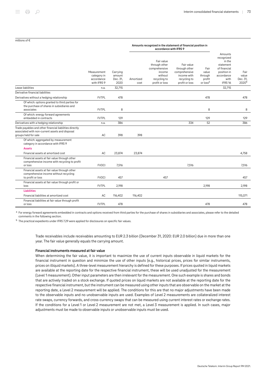#### millions of €

#### Amounts recognized in the statement of financial position in accordance with IFRS 9

|                                                                                                                                    | Measurement<br>category in<br>accordance<br>with IFRS 9 | Carrying<br>amount<br>Dec. 31,<br>2020 | Amortized<br>cost | Fair value<br>through other<br>comprehensive<br>income<br>without<br>recycling to<br>profit or loss | Fair value<br>through other<br>comprehensive<br>income with<br>recycling to<br>profit or loss | Fair<br>value<br>through<br>profit<br>or loss <sup>a</sup> | Amounts<br>recognized<br>in the<br>statement<br>of financial<br>position in<br>accordance<br>with<br>IFRS <sub>16</sub> | Fair<br>value<br>Dec. 31,<br>2020 <sup>b</sup> |
|------------------------------------------------------------------------------------------------------------------------------------|---------------------------------------------------------|----------------------------------------|-------------------|-----------------------------------------------------------------------------------------------------|-----------------------------------------------------------------------------------------------|------------------------------------------------------------|-------------------------------------------------------------------------------------------------------------------------|------------------------------------------------|
| Lease liabilities                                                                                                                  | n.a.                                                    | 32,715                                 |                   |                                                                                                     |                                                                                               |                                                            | 32,715                                                                                                                  |                                                |
| Derivative financial liabilities                                                                                                   |                                                         |                                        |                   |                                                                                                     |                                                                                               |                                                            |                                                                                                                         |                                                |
| Derivatives without a hedging relationship                                                                                         | <b>FVTPL</b>                                            | 478                                    |                   |                                                                                                     |                                                                                               | 478                                                        |                                                                                                                         | 478                                            |
| Of which: options granted to third parties for<br>the purchase of shares in subsidiaries and<br>associates                         | <b>FVTPL</b>                                            | 8                                      |                   |                                                                                                     |                                                                                               | 8                                                          |                                                                                                                         | 8                                              |
| Of which: energy forward agreements<br>embedded in contracts                                                                       | <b>FVTPL</b>                                            | 129                                    |                   |                                                                                                     |                                                                                               | 129                                                        |                                                                                                                         | 129                                            |
| Derivatives with a hedging relationship                                                                                            | n.a.                                                    | 386                                    |                   |                                                                                                     | 334                                                                                           | 52                                                         |                                                                                                                         | 386                                            |
| Trade payables and other financial liabilities directly<br>associated with non-current assets and disposal<br>groups held for sale | AC                                                      | 398                                    | 398               |                                                                                                     |                                                                                               |                                                            |                                                                                                                         |                                                |
| Of which: aggregated by measurement<br>category in accordance with IFRS 9                                                          |                                                         |                                        |                   |                                                                                                     |                                                                                               |                                                            |                                                                                                                         |                                                |
| <b>Assets</b>                                                                                                                      |                                                         |                                        |                   |                                                                                                     |                                                                                               |                                                            |                                                                                                                         |                                                |
| Financial assets at amortized cost                                                                                                 | AC                                                      | 23,874                                 | 23,874            |                                                                                                     |                                                                                               |                                                            |                                                                                                                         | 4,758                                          |
| Financial assets at fair value through other<br>comprehensive income with recycling to profit<br>or loss                           | <b>FVOCI</b>                                            | 7,516                                  |                   |                                                                                                     | 7,516                                                                                         |                                                            |                                                                                                                         | 7,516                                          |
| Financial assets at fair value through other<br>comprehensive income without recycling<br>to profit or loss                        | <b>FVOCI</b>                                            | 457                                    |                   | 457                                                                                                 |                                                                                               |                                                            |                                                                                                                         | 457                                            |
| Financial assets at fair value through profit or<br>loss                                                                           | <b>FVTPL</b>                                            | 2,198                                  |                   |                                                                                                     |                                                                                               | 2,198                                                      |                                                                                                                         | 2,198                                          |
| <b>Liabilities</b>                                                                                                                 |                                                         |                                        |                   |                                                                                                     |                                                                                               |                                                            |                                                                                                                         |                                                |
| Financial liabilities at amortized cost                                                                                            | AC                                                      | 116,402                                | 116,402           |                                                                                                     |                                                                                               |                                                            |                                                                                                                         | 115,071                                        |
| Financial liabilities at fair value through profit<br>or loss                                                                      | <b>FVTPL</b>                                            | 478                                    |                   |                                                                                                     |                                                                                               | 478                                                        |                                                                                                                         | 478                                            |

 $^{\rm a}$  For energy forward agreements embedded in contracts and options received from third parties for the purchase of shares in subsidiaries and associates, please refer to the detailed comments in the following section.

<sup>b</sup> The practical expedients under IFRS 7.29 were applied for disclosures on specific fair values.

Trade receivables include receivables amounting to EUR 2.3 billion (December 31, 2020: EUR 2.0 billion) due in more than one year. The fair value generally equals the carrying amount.

#### Financial instruments measured at fair value

When determining the fair value, it is important to maximize the use of current inputs observable in liquid markets for the financial instrument in question and minimize the use of other inputs (e.g., historical prices, prices for similar instruments, prices on illiquid markets). A three-level measurement hierarchy is defined for these purposes. If prices quoted in liquid markets are available at the reporting date for the respective financial instrument, these will be used unadjusted for the measurement (Level 1 measurement). Other input parameters are then irrelevant for the measurement. One such example is shares and bonds that are actively traded on a stock exchange. If quoted prices on liquid markets are not available at the reporting date for the respective financial instrument, but the instrument can be measured using other inputs that are observable on the market at the reporting date, a Level 2 measurement will be applied. The conditions for this are that no major adjustments have been made to the observable inputs and no unobservable inputs are used. Examples of Level 2 measurements are collateralized interest rate swaps, currency forwards, and cross-currency swaps that can be measured using current interest rates or exchange rates. If the conditions for a Level 1 or Level 2 measurement are not met, a Level 3 measurement is applied. In such cases, major adjustments must be made to observable inputs or unobservable inputs must be used.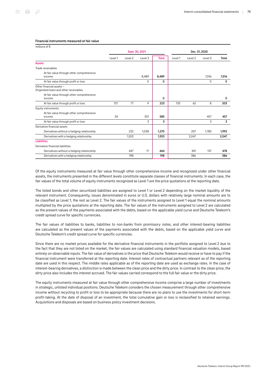| millions of $\epsilon$                                             |                |                    |          |              |               |         |         |       |
|--------------------------------------------------------------------|----------------|--------------------|----------|--------------|---------------|---------|---------|-------|
|                                                                    | Sept. 30, 2021 |                    |          |              | Dec. 31, 2020 |         |         |       |
|                                                                    | Level 1        | Level <sub>2</sub> | Level 3  | <b>Total</b> | Level 1       | Level 2 | Level 3 | Total |
| <b>Assets</b>                                                      |                |                    |          |              |               |         |         |       |
| Trade receivables                                                  |                |                    |          |              |               |         |         |       |
| At fair value through other comprehensive                          |                |                    |          |              |               |         |         |       |
| income                                                             |                |                    | 8,489    | 8,489        |               |         | 7,516   | 7,516 |
| At fair value through profit or loss                               |                |                    | $\Omega$ | 0            |               |         | 0       | 0     |
| Other financial assets -<br>Originated loans and other receivables |                |                    |          |              |               |         |         |       |
| At fair value through other comprehensive<br>income                |                |                    |          | 0            |               |         |         | 0     |
| At fair value through profit or loss                               | 137            | 77                 | 9        | 223          | 133           | 62      | 8       | 203   |
| Equity instruments                                                 |                |                    |          |              |               |         |         |       |
| At fair value through other comprehensive<br>income                | 34             |                    | 551      | 585          |               |         | 457     | 457   |
| At fair value through profit or loss                               |                |                    | 3        | 3            |               |         | 3       | 3     |
| Derivative financial assets                                        |                |                    |          |              |               |         |         |       |
| Derivatives without a hedging relationship                         |                | 232                | 1,038    | 1,270        |               | 207     | 1,785   | 1,992 |
| Derivatives with a hedging relationship                            |                | 1,553              |          | 1,553        |               | 2,047   |         | 2,047 |
| <b>Liabilities</b>                                                 |                |                    |          |              |               |         |         |       |
| Derivative financial liabilities                                   |                |                    |          |              |               |         |         |       |
| Derivatives without a hedging relationship                         |                | 447                | 17       | 464          |               | 341     | 137     | 478   |
| Derivatives with a hedging relationship                            |                | 198                |          | 198          |               | 386     |         | 386   |

#### Financial instruments measured at fair value

Of the equity instruments measured at fair value through other comprehensive income and recognized under other financial assets, the instruments presented in the different levels constitute separate classes of financial instruments. In each case, the fair values of the total volume of equity instruments recognized as Level 1 are the price quotations at the reporting date.

The listed bonds and other securitized liabilities are assigned to Level 1 or Level 2 depending on the market liquidity of the relevant instrument. Consequently, issues denominated in euros or U.S. dollars with relatively large nominal amounts are to be classified as Level 1, the rest as Level 2. The fair values of the instruments assigned to Level 1 equal the nominal amounts multiplied by the price quotations at the reporting date. The fair values of the instruments assigned to Level 2 are calculated as the present values of the payments associated with the debts, based on the applicable yield curve and Deutsche Telekom's credit spread curve for specific currencies.

The fair values of liabilities to banks, liabilities to non-banks from promissory notes, and other interest-bearing liabilities are calculated as the present values of the payments associated with the debts, based on the applicable yield curve and Deutsche Telekom's credit spread curve for specific currencies.

Since there are no market prices available for the derivative financial instruments in the portfolio assigned to Level 2 due to the fact that they are not listed on the market, the fair values are calculated using standard financial valuation models, based entirely on observable inputs. The fair value of derivatives is the price that Deutsche Telekom would receive or have to pay if the financial instrument were transferred at the reporting date. Interest rates of contractual partners relevant as of the reporting date are used in this respect. The middle rates applicable as of the reporting date are used as exchange rates. In the case of interest-bearing derivatives, a distinction is made between the clean price and the dirty price. In contrast to the clean price, the dirty price also includes the interest accrued. The fair values carried correspond to the full fair value or the dirty price.

The equity instruments measured at fair value through other comprehensive income comprise a large number of investments in strategic, unlisted individual positions. Deutsche Telekom considers the chosen measurement through other comprehensive income without recycling to profit or loss to be appropriate because there are no plans to use the investments for short-term profit-taking. At the date of disposal of an investment, the total cumulative gain or loss is reclassified to retained earnings. Acquisitions and disposals are based on business policy investment decisions.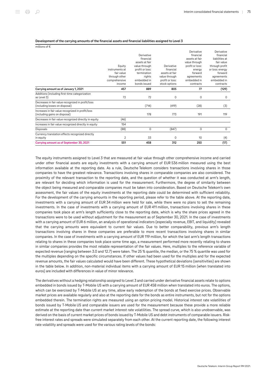#### Development of the carrying amounts of the financial assets and financial liabilities assigned to Level 3

millions of €

|                                                       |                |                 |                 | Derivative      | Derivative      |
|-------------------------------------------------------|----------------|-----------------|-----------------|-----------------|-----------------|
|                                                       |                | Derivative      |                 | financial       | financial       |
|                                                       |                | financial       |                 | assets at fair  | liabilities at  |
|                                                       |                | assets at fair  |                 | value through   | fair value      |
|                                                       | Equity         | value through   | Derivative      | profit or loss: | through profit  |
|                                                       | instruments at | profit or loss: | financial       | enerav          | or loss: energy |
|                                                       | fair value     | termination     | assets at fair  | forward         | forward         |
|                                                       | through other  | rights          | value through   | agreements      | agreements      |
|                                                       | comprehensive  | embedded in     | profit or loss: | embedded in     | embedded in     |
|                                                       | income         | bonds issued    | stock options   | contracts       | contracts       |
| Carrying amount as of January 1, 2021                 | 457            | 889             | 805             | 77              | (129)           |
| Additions (including first-time categorization        |                |                 |                 |                 |                 |
| as Level 3)                                           | 72             | 72              | 0               | 0               | 0               |
| Decreases in fair value recognized in profit/loss     |                |                 |                 |                 |                 |
| (including losses on disposal)                        |                | (714)           | (419)           | (28)            | (3)             |
| Increases in fair value recognized in profit/loss     |                |                 |                 |                 |                 |
| (including gains on disposal)                         |                | 178             | 773             | 191             | 119             |
| Decreases in fair value recognized directly in equity | (46)           |                 |                 |                 |                 |
| Increases in fair value recognized directly in equity | 154            |                 |                 |                 |                 |
| Disposals                                             | (88)           | 0               | (847)           | 0               | 0               |
| Currency translation effects recognized directly      |                |                 |                 |                 |                 |
| in equity                                             | 2              | 33              | $\Omega$        | 10              | (4)             |
| Carrying amount as of September 30, 2021              | 551            | 458             | 312             | 250             | (17)            |

The equity instruments assigned to Level 3 that are measured at fair value through other comprehensive income and carried under other financial assets are equity investments with a carrying amount of EUR 536 million measured using the best information available at the reporting date. As a rule, Deutsche Telekom considers transactions involving shares in those companies to have the greatest relevance. Transactions involving shares in comparable companies are also considered. The proximity of the relevant transaction to the reporting date, and the question of whether it was conducted at arm's length, are relevant for deciding which information is used for the measurement. Furthermore, the degree of similarity between the object being measured and comparable companies must be taken into consideration. Based on Deutsche Telekom's own assessment, the fair values of the equity investments at the reporting date could be determined with sufficient reliability. For the development of the carrying amounts in the reporting period, please refer to the table above. At the reporting date, investments with a carrying amount of EUR 34 million were held for sale, while there were no plans to sell the remaining investments. In the case of investments with a carrying amount of EUR 411 million, transactions involving shares in these companies took place at arm's length sufficiently close to the reporting date, which is why the share prices agreed in the transactions were to be used without adjustment for the measurement as of September 30, 2021. In the case of investments with a carrying amount of EUR 6 million, an analysis of operational indicators (especially revenue, EBIT, and liquidity) revealed that the carrying amounts were equivalent to current fair values. Due to better comparability, previous arm's length transactions involving shares in these companies are preferable to more recent transactions involving shares in similar companies. In the case of investments with a carrying amount of EUR 119 million, for which the last arm's length transactions relating to shares in these companies took place some time ago, a measurement performed more recently relating to shares in similar companies provides the most reliable representation of the fair values. Here, multiples to the reference variable of expected revenue (ranging between 3.0 and 12.7) were taken. The 25 % quantile, the median, or the 75 % quantile was used for the multiples depending on the specific circumstances. If other values had been used for the multiples and for the expected revenue amounts, the fair values calculated would have been different. These hypothetical deviations (sensitivities) are shown in the table below. In addition, non-material individual items with a carrying amount of EUR 15 million (when translated into euros) are included with differences in value of minor relevance.

The derivatives without a hedging relationship assigned to Level 3 and carried under derivative financial assets relate to options embedded in bonds issued by T-Mobile US with a carrying amount of EUR 458 million when translated into euros. The options, which can be exercised by T-Mobile US at any time, allow early redemption of the bonds at fixed exercise prices. Observable market prices are available regularly and also at the reporting date for the bonds as entire instruments, but not for the options embedded therein. The termination rights are measured using an option pricing model. Historical interest rate volatilities of bonds issued by T‑Mobile US and comparable issuers are used for the measurement because these provide a more reliable estimate at the reporting date than current market interest rate volatilities. The spread curve, which is also unobservable, was derived on the basis of current market prices of bonds issued by T-Mobile US and debt instruments of comparable issuers. Riskfree interest rates and spreads were simulated separately from each other. At the current reporting date, the following interest rate volatility and spreads were used for the various rating levels of the bonds: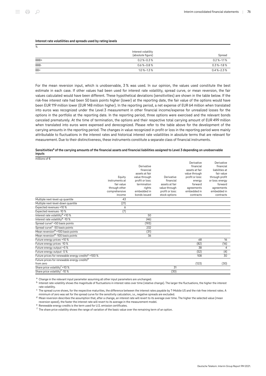#### Interest rate volatilities and spreads used by rating levels

| %    |                                          |                      |
|------|------------------------------------------|----------------------|
|      | Interest volatility<br>(absolute figure) | Spread               |
| BBB+ | $0.2\% - 0.3\%$                          | $0.2$ % $-1.1$ %     |
| BBB- | $0.6 - 0.8$ %                            | $0.3\,$ %-1.8 %      |
| BB+  | $1.0\% - 1.3\%$                          | $0.4\text{ %}-2.3\%$ |

For the mean reversion input, which is unobservable, 3 % was used. In our opinion, the values used constitute the best estimate in each case. If other values had been used for interest rate volatility, spread curve, or mean reversion, the fair values calculated would have been different. These hypothetical deviations (sensitivities) are shown in the table below. If the risk-free interest rate had been 50 basis points higher (lower) at the reporting date, the fair value of the options would have been EUR 119 million lower (EUR 148 million higher). In the reporting period, a net expense of EUR 64 million when translated into euros was recognized under the Level 3 measurement in other financial income/expense for unrealized losses for the options in the portfolio at the reporting date. In the reporting period, three options were exercised and the relevant bonds canceled prematurely. At the time of termination, the options and their respective total carrying amount of EUR 499 million when translated into euros were expensed and derecognized. Please refer to the table above for the development of the carrying amounts in the reporting period. The changes in value recognized in profit or loss in the reporting period were mainly attributable to fluctuations in the interest rates and historical interest rate volatilities in absolute terms that are relevant for measurement. Due to their distinctiveness, these instruments constitute a separate class of financial instruments.

| Sensitivities <sup>a</sup> of the carrying amounts of the financial assets and financial liabilities assigned to Level 3 depending on unobservable |  |
|----------------------------------------------------------------------------------------------------------------------------------------------------|--|
| inputs                                                                                                                                             |  |

| millions of $\epsilon$                                         |                                                                                    |                                                                                                                                       |                                                                                                |                                                                                                                                              |                                                                                                                                                   |
|----------------------------------------------------------------|------------------------------------------------------------------------------------|---------------------------------------------------------------------------------------------------------------------------------------|------------------------------------------------------------------------------------------------|----------------------------------------------------------------------------------------------------------------------------------------------|---------------------------------------------------------------------------------------------------------------------------------------------------|
|                                                                | Equity<br>instruments at<br>fair value<br>through other<br>comprehensive<br>income | Derivative<br>financial<br>assets at fair<br>value through<br>profit or loss:<br>termination<br>rights<br>embedded in<br>bonds issued | Derivative<br>financial<br>assets at fair<br>value through<br>profit or loss:<br>stock options | Derivative<br>financial<br>assets at fair<br>value through<br>profit or loss:<br>energy<br>forward<br>agreements<br>embedded in<br>contracts | Derivative<br>financial<br>liabilities at<br>fair value<br>through profit<br>or loss: energy<br>forward<br>agreements<br>embedded in<br>contracts |
| Multiple next-level-up quantile                                | 43                                                                                 |                                                                                                                                       |                                                                                                |                                                                                                                                              |                                                                                                                                                   |
| Multiple next-level-down quantile                              | (21)                                                                               |                                                                                                                                       |                                                                                                |                                                                                                                                              |                                                                                                                                                   |
| Expected revenues +10 %                                        | 6                                                                                  |                                                                                                                                       |                                                                                                |                                                                                                                                              |                                                                                                                                                   |
| Expected revenues -10 %                                        | (7)                                                                                |                                                                                                                                       |                                                                                                |                                                                                                                                              |                                                                                                                                                   |
| Interest rate volatility <sup>b</sup> +10 %                    |                                                                                    | 50                                                                                                                                    |                                                                                                |                                                                                                                                              |                                                                                                                                                   |
| Interest rate volatility <sup>b</sup> -10 %                    |                                                                                    | (46)                                                                                                                                  |                                                                                                |                                                                                                                                              |                                                                                                                                                   |
| Spread curve <sup>c</sup> +50 basis points                     |                                                                                    | (193)                                                                                                                                 |                                                                                                |                                                                                                                                              |                                                                                                                                                   |
| Spread curve <sup>c</sup> -50 basis points                     |                                                                                    | 232                                                                                                                                   |                                                                                                |                                                                                                                                              |                                                                                                                                                   |
| Mean reversion <sup>d</sup> +100 basis points                  |                                                                                    | (31)                                                                                                                                  |                                                                                                |                                                                                                                                              |                                                                                                                                                   |
| Mean reversion <sup>d</sup> -100 basis points                  |                                                                                    | 36                                                                                                                                    |                                                                                                |                                                                                                                                              |                                                                                                                                                   |
| Future energy prices +10 %                                     |                                                                                    |                                                                                                                                       |                                                                                                | 68                                                                                                                                           | 16                                                                                                                                                |
| Future energy prices -10 %                                     |                                                                                    |                                                                                                                                       |                                                                                                | (82)                                                                                                                                         | (16)                                                                                                                                              |
| Future energy output +5 %                                      |                                                                                    |                                                                                                                                       |                                                                                                | 38                                                                                                                                           | $\overline{4}$                                                                                                                                    |
| Future energy output -5 %                                      |                                                                                    |                                                                                                                                       |                                                                                                | (52)                                                                                                                                         | (4)                                                                                                                                               |
| Future prices for renewable energy credits <sup>e</sup> +100 % |                                                                                    |                                                                                                                                       |                                                                                                | 108                                                                                                                                          | 30                                                                                                                                                |
| Future prices for renewable energy credits <sup>e</sup>        |                                                                                    |                                                                                                                                       |                                                                                                |                                                                                                                                              |                                                                                                                                                   |
| from zero                                                      |                                                                                    |                                                                                                                                       |                                                                                                | (123)                                                                                                                                        | (30)                                                                                                                                              |
| Share price volatility <sup>†</sup> +10 %                      |                                                                                    |                                                                                                                                       | 31                                                                                             |                                                                                                                                              |                                                                                                                                                   |
| Share price volatility <sup>†</sup> -10 %                      |                                                                                    |                                                                                                                                       | (30)                                                                                           |                                                                                                                                              |                                                                                                                                                   |

a Change in the relevant input parameter assuming all other input parameters are unchanged.

 $^{\rm b}$  Interest rate volatility shows the magnitude of fluctuations in interest rates over time (relative change). The larger the fluctuations, the higher the interest rate volatility.

 $^{\rm c}$  The spread curve shows, for the respective maturities, the difference between the interest rates payable by T-Mobile US and the risk-free interest rates. A minimum of zero was set for the spread curve for the sensitivity calculation, i.e., negative spreads are excluded.

<sup>d</sup> Mean reversion describes the assumption that, after a change, an interest rate will revert to its average over time. The higher the selected value (mean reversion speed), the faster the interest rate will revert to its average in the measurement model.

<sup>e</sup> Renewable energy credits is the term used for U.S. emission certificates.

 $^{\mathsf{f}}$  The share price volatility shows the range of variation of the basic value over the remaining term of an option.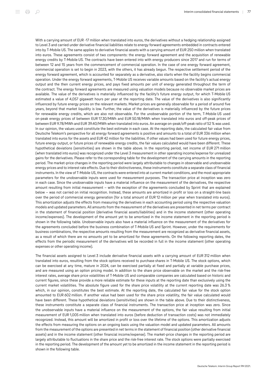With a carrying amount of EUR -17 million when translated into euros, the derivatives without a hedging relationship assigned to Level 3 and carried under derivative financial liabilities relate to energy forward agreements embedded in contracts entered into by T‑Mobile US. The same applies to derivative financial assets with a carrying amount of EUR 250 million when translated into euros. These agreements consist of two components: the energy forward agreement and the acquisition of renewable energy credits by T-Mobile US. The contracts have been entered into with energy producers since 2017 and run for terms of between 12 and 15 years from the commencement of commercial operation. In the case of one energy forward agreement, commercial operation is set to begin in 2023, with the others, it has already begun. The respective settlement period of the energy forward agreement, which is accounted for separately as a derivative, also starts when the facility begins commercial operation. Under the energy forward agreements, T‑Mobile US receives variable amounts based on the facility's actual energy output and the then current energy prices, and pays fixed amounts per unit of energy generated throughout the term of the contract. The energy forward agreements are measured using valuation models because no observable market prices are available. The value of the derivatives is materially influenced by the facility's future energy output, for which T-Mobile US estimated a value of 4,057 gigawatt hours per year at the reporting date. The value of the derivatives is also significantly influenced by future energy prices on the relevant markets. Market prices are generally observable for a period of around five years, beyond that market liquidity is low. Further, the value of the derivatives is materially influenced by the future prices for renewable energy credits, which are also not observable. For the unobservable portion of the term, T-Mobile US used on-peak energy prices of between EUR 17.30/MWh and EUR 50.18/MWh when translated into euros and off-peak prices of between EUR 9.78/MWh and EUR 39.40/MWh when translated into euros. An average on-peak/off-peak ratio of 52 % was used. In our opinion, the values used constitute the best estimate in each case. At the reporting date, the calculated fair value from Deutsche Telekom's perspective for all energy forward agreements is positive and amounts to a total of EUR 336 million when translated into euros for the assets and EUR 42 million for the liabilities. If other values had been used for future energy prices, future energy output, or future prices of renewable energy credits, the fair values calculated would have been different. These hypothetical deviations (sensitivities) are shown in the table above. In the reporting period, net income of EUR 271 million (when translated into euros) was recognized under the Level 3 measurement in other operating income/expense for unrealized gains for the derivatives. Please refer to the corresponding table for the development of the carrying amounts in the reporting period. The market-price changes in the reporting period were largely attributable to changes in observable and unobservable energy prices and to interest rate effects. Due to their distinctiveness, these instruments constitute a separate class of financial instruments. In the view of T‑Mobile US, the contracts were entered into at current market conditions, and the most appropriate parameters for the unobservable inputs were used for measurement purposes. The transaction price at inception was zero in each case. Since the unobservable inputs have a material influence on the measurement of the derivatives, the respective amount resulting from initial measurement – with the exception of the agreements concluded by Sprint that are explained below – was not carried on initial recognition. Instead, these amounts are amortized in profit or loss on a straight-line basis over the period of commercial energy generation (for a total amount of EUR 12 million per year when translated into euros). This amortization adjusts the effects from measuring the derivatives in each accounting period using the respective valuation models and updated parameters. All amounts from the measurement of the derivatives are presented in net terms per contract in the statement of financial position (derivative financial assets/liabilities) and in the income statement (other operating income/expenses). The development of the amount yet to be amortized in the income statement in the reporting period is shown in the following table. Unobservable inputs also have a material influence on the measurement of the derivatives for the agreements concluded before the business combination of T-Mobile US and Sprint. However, under the requirements for business combinations, the respective amounts resulting from the measurement are recognized as derivative financial assets, as a result of which there are no amounts yet to be amortized for these agreements. On the following reporting dates, the effects from the periodic measurement of the derivatives will be recorded in full in the income statement (other operating expenses or other operating income).

The financial assets assigned to Level 3 include derivative financial assets with a carrying amount of EUR 312 million when translated into euros, resulting from the stock options received to purchase shares in T‑Mobile US. The stock options, which can be exercised at any time, mature in 2024, can be exercised partially at fixed and partially at variable purchase prices, and are measured using an option pricing model. In addition to the share price observable on the market and the risk-free interest rates, average share price volatilities of T‑Mobile US and comparable companies are calculated based on historic and current figures, since these provide a more reliable estimate for these inputs at the reporting date than exclusively using the current market volatilities. The absolute figure used for the share price volatility at the current reporting date was 26.3 % which, in our opinion, constitutes the best estimate. At the reporting date, the calculated fair value for the stock option amounted to EUR 602 million. If another value had been used for the share price volatility, the fair value calculated would have been different. These hypothetical deviations (sensitivities) are shown in the table above. Due to their distinctiveness, these instruments constitute a separate class of financial instruments. The transaction price at inception was zero. Since the unobservable inputs have a material influence on the measurement of the options, the fair value resulting from initial measurement of EUR 1,005 million when translated into euros (before deduction of transaction costs) was not immediately recognized. Instead, this amount will be amortized in profit or loss over the lifetime of the options. This amortization adjusts the effects from measuring the options on an ongoing basis using the valuation model and updated parameters. All amounts from the measurement of the options are presented in net terms in the statement of financial position (other derivative financial assets) and in the income statement (other financial income/expense). The market-price changes in the reporting period are largely attributable to fluctuations in the share price and the risk-free interest rate. The stock options were partially exercised in the reporting period. The development of the amount yet to be amortized in the income statement in the reporting period is shown in the following table.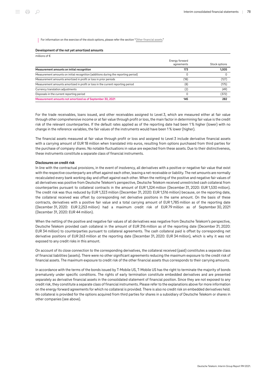For information on the exercise of the stock options, please refer the section "[Other financial assets](#page-56-0)."

#### Development of the not yet amortized amounts

| millions of $\epsilon$                                                             |                              |               |
|------------------------------------------------------------------------------------|------------------------------|---------------|
|                                                                                    | Energy forward<br>agreements | Stock options |
| Measurement amounts on initial recognition                                         | 173                          | 1.005         |
| Measurement amounts on initial recognition (additions during the reporting period) |                              |               |
| Measurement amounts amortized in profit or loss in prior periods                   | (18)                         | (127)         |
| Measurement amounts amortized in profit or loss in the current reporting period    | (8)                          | (175)         |
| Currency translation adjustments                                                   | (2)                          | (49)          |
| Disposals in the current reporting period                                          |                              | (372)         |
| Measurement amounts not amortized as of September 30, 2021                         | 145                          | 282           |

For the trade receivables, loans issued, and other receivables assigned to Level 3, which are measured either at fair value through other comprehensive income or at fair value through profit or loss, the main factor in determining fair value is the credit risk of the relevant counterparties. If the default rates applied as of the reporting date had been 1 % higher (lower) with no change in the reference variables, the fair values of the instruments would have been 1 % lower (higher).

The financial assets measured at fair value through profit or loss and assigned to Level 3 include derivative financial assets with a carrying amount of EUR 18 million when translated into euros, resulting from options purchased from third parties for the purchase of company shares. No notable fluctuations in value are expected from these assets. Due to their distinctiveness, these instruments constitute a separate class of financial instruments.

#### Disclosures on credit risk

In line with the contractual provisions, in the event of insolvency, all derivatives with a positive or negative fair value that exist with the respective counterparty are offset against each other, leaving a net receivable or liability. The net amounts are normally recalculated every bank working day and offset against each other. When the netting of the positive and negative fair values of all derivatives was positive from Deutsche Telekom's perspective, Deutsche Telekom received unrestricted cash collateral from counterparties pursuant to collateral contracts in the amount of EUR 1,324 million (December 31, 2020: EUR 1,530 million). The credit risk was thus reduced by EUR 1,323 million (December 31, 2020: EUR 1,516 million) because, on the reporting date, the collateral received was offset by corresponding net derivative positions in the same amount. On the basis of these contracts, derivatives with a positive fair value and a total carrying amount of EUR 1,785 million as of the reporting date (December 31, 2020: EUR 2,253 million) had a maximum credit risk of EUR 79 million as of September 30, 2021 (December 31, 2020: EUR 44 million).

When the netting of the positive and negative fair values of all derivatives was negative from Deutsche Telekom's perspective, Deutsche Telekom provided cash collateral in the amount of EUR 316 million as of the reporting date (December 31, 2020: EUR 34 million) to counterparties pursuant to collateral agreements. The cash collateral paid is offset by corresponding net derivative positions of EUR 263 million at the reporting date (December 31, 2020: EUR 34 million), which is why it was not exposed to any credit risks in this amount.

On account of its close connection to the corresponding derivatives, the collateral received (paid) constitutes a separate class of financial liabilities (assets). There were no other significant agreements reducing the maximum exposure to the credit risk of financial assets. The maximum exposure to credit risk of the other financial assets thus corresponds to their carrying amounts.

In accordance with the terms of the bonds issued by T‑Mobile US, T‑Mobile US has the right to terminate the majority of bonds prematurely under specific conditions. The rights of early termination constitute embedded derivatives and are presented separately as derivative financial assets in the consolidated statement of financial position. Since they are not exposed to any credit risk, they constitute a separate class of financial instruments. Please refer to the explanations above for more information on the energy forward agreements for which no collateral is provided. There is also no credit risk on embedded derivatives held. No collateral is provided for the options acquired from third parties for shares in a subsidiary of Deutsche Telekom or shares in other companies (see above).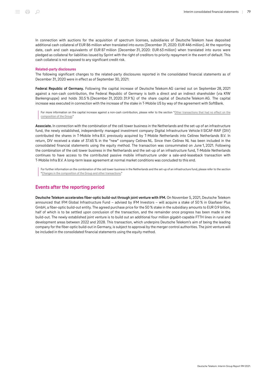In connection with auctions for the acquisition of spectrum licenses, subsidiaries of Deutsche Telekom have deposited additional cash collateral of EUR 86 million when translated into euros (December 31, 2020: EUR 446 million). At the reporting date, cash and cash equivalents of EUR 87 million (December 31, 2020: EUR 63 million) when translated into euros were pledged as collateral for liabilities issued by Sprint with the right of creditors to priority repayment in the event of default. This cash collateral is not exposed to any significant credit risk.

#### Related-party disclosures

The following significant changes to the related-party disclosures reported in the consolidated financial statements as of December 31, 2020 were in effect as of September 30, 2021:

Federal Republic of Germany. Following the capital increase of Deutsche Telekom AG carried out on September 28, 2021 against a non-cash contribution, the Federal Republic of Germany is both a direct and an indirect shareholder (via KfW Bankengruppe) and holds 30.5 % (December 31, 2020: 31.9 %) of the share capital of Deutsche Telekom AG. The capital increase was executed in connection with the increase of the stake in T-Mobile US by way of the agreement with SoftBank.

For more information on the capital increase against a non-cash contribution, please refer to the section "[Other transactions that had no effect on the](#page-55-0) [composition of the Group.](#page-55-0)"

Associate. In connection with the combination of the cell tower business in the Netherlands and the set-up of an infrastructure fund, the newly established, independently managed investment company Digital Infrastructure Vehicle II SICAF-RAIF (DIV) contributed the shares in T-Mobile Infra B.V. previously acquired by T-Mobile Netherlands into Cellnex Netherlands B.V. In return, DIV received a stake of 37.65 % in the "new" company Cellnex NL. Since then Cellnex NL has been included in the consolidated financial statements using the equity method. The transaction was consummated on June 1, 2021. Following the combination of the cell tower business in the Netherlands and the set-up of an infrastructure fund, T‑Mobile Netherlands continues to have access to the contributed passive mobile infrastructure under a sale-and-leaseback transaction with T‑Mobile Infra B.V. A long-term lease agreement at normal market conditions was concluded to this end.

For further information on the combination of the cell tower business in the Netherlands and the set-up of an infrastructure fund, please refer to the section "[Changes in the composition of the Group and other transactions](#page-48-0)."

## Events after the reporting period

Deutsche Telekom accelerates fiber-optic build-out through joint venture with IFM. On November 5, 2021, Deutsche Telekom announced that IFM Global Infrastructure Fund – advised by IFM Investors – will acquire a stake of 50 % in Glasfaser Plus GmbH, a fiber-optic build-out entity. The agreed purchase price for the 50 % stake in the subsidiary amounts to EUR 0.9 billion, half of which is to be settled upon conclusion of the transaction, and the remainder once progress has been made in the build-out. The newly established joint venture is to build out an additional four million gigabit-capable FTTH lines in rural and development areas between 2022 and 2028. This transaction, which underpins Deutsche Telekom's aim of being the leading company for the fiber-optic build-out in Germany, is subject to approval by the merger control authorities. The joint venture will be included in the consolidated financial statements using the equity method.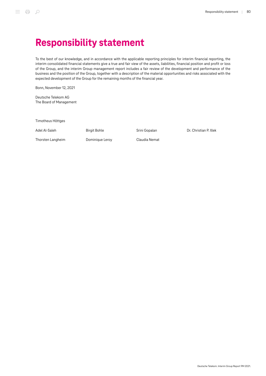To the best of our knowledge, and in accordance with the applicable reporting principles for interim financial reporting, the interim consolidated financial statements give a true and fair view of the assets, liabilities, financial position and profit or loss of the Group, and the interim Group management report includes a fair review of the development and performance of the business and the position of the Group, together with a description of the material opportunities and risks associated with the expected development of the Group for the remaining months of the financial year.

Bonn, November 12, 2021

Deutsche Telekom AG The Board of Management

Timotheus Höttges

Adel Al-Saleh

Birgit Bohle

Srini Gopalan

Dr. Christian P. Illek

Thorsten Langheim

Dominique Leroy

Claudia Nemat

Deutsche Telekom. Interim Group Report 9M 2021.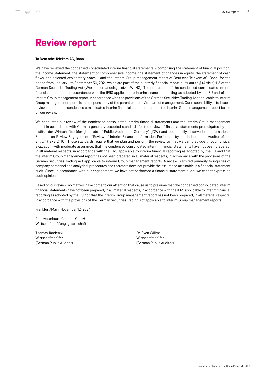## Review report

#### To Deutsche Telekom AG, Bonn

We have reviewed the condensed consolidated interim financial statements – comprising the statement of financial position, the income statement, the statement of comprehensive income, the statement of changes in equity, the statement of cash flows, and selected explanatory notes – and the interim Group management report of Deutsche Telekom AG, Bonn, for the period from January 1 to September 30, 2021 which are part of the quarterly financial report pursuant to § (Article) 115 of the German Securities Trading Act (Wertpapierhandelsgesetz – WpHG). The preparation of the condensed consolidated interim financial statements in accordance with the IFRS applicable to interim financial reporting as adopted by the EU and of the interim Group management report in accordance with the provisions of the German Securities Trading Act applicable to interim Group management reports is the responsibility of the parent company's board of management. Our responsibility is to issue a review report on the condensed consolidated interim financial statements and on the interim Group management report based on our review.

We conducted our review of the condensed consolidated interim financial statements and the interim Group management report in accordance with German generally accepted standards for the review of financial statements promulgated by the Institut der Wirtschaftsprüfer (Institute of Public Auditors in Germany) (IDW) and additionally observed the International Standard on Review Engagements "Review of Interim Financial Information Performed by the Independent Auditor of the Entity" (ISRE 2410). Those standards require that we plan and perform the review so that we can preclude through critical evaluation, with moderate assurance, that the condensed consolidated interim financial statements have not been prepared, in all material respects, in accordance with the IFRS applicable to interim financial reporting as adopted by the EU and that the interim Group management report has not been prepared, in all material respects, in accordance with the provisions of the German Securities Trading Act applicable to interim Group management reports. A review is limited primarily to inquiries of company personnel and analytical procedures and therefore does not provide the assurance attainable in a financial statement audit. Since, in accordance with our engagement, we have not performed a financial statement audit, we cannot express an audit opinion.

Based on our review, no matters have come to our attention that cause us to presume that the condensed consolidated interim financial statements have not been prepared, in all material respects, in accordance with the IFRS applicable to interim financial reporting as adopted by the EU nor that the interim Group management report has not been prepared, in all material respects, in accordance with the provisions of the German Securities Trading Act applicable to interim Group management reports.

Frankfurt/Main, November 12, 2021

PricewaterhouseCoopers GmbH Wirtschaftsprüfungsgesellschaft

Thomas Tandetzki Wirtschaftsprüfer (German Public Auditor) Dr. Sven Willms Wirtschaftsprüfer (German Public Auditor)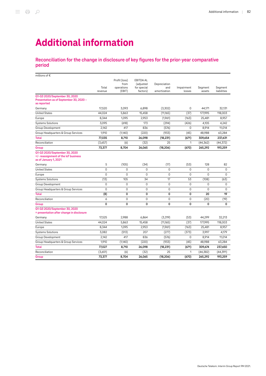# Additional information

## Reconciliation for the change in disclosure of key figures for the prior-year comparative period

| millions of $\epsilon$                                                                         |                  |                                               |                                                                               |                                     |                      |                   |                        |
|------------------------------------------------------------------------------------------------|------------------|-----------------------------------------------|-------------------------------------------------------------------------------|-------------------------------------|----------------------|-------------------|------------------------|
|                                                                                                | Total<br>revenue | Profit (loss)<br>from<br>operations<br>(EBIT) | <b>EBITDA AL</b><br><i><u><b>fadiusted</b></u></i><br>for special<br>factors) | Depreciation<br>and<br>amortization | Impairment<br>losses | Segment<br>assets | Segment<br>liabilities |
| Q1-Q3 2020/September 30, 2020<br>Presentation as of September 30, 2020 -<br>as reported        |                  |                                               |                                                                               |                                     |                      |                   |                        |
| Germany                                                                                        | 17.520           | 3.093                                         | 6.898                                                                         | (3,302)                             | 0                    | 44.171            | 32.131                 |
| <b>United States</b>                                                                           | 44,024           | 5,863                                         | 15,458                                                                        | (11,165)                            | (37)                 | 177,995           | 118,003                |
| Europe                                                                                         | 8,344            | 1,095                                         | 2,953                                                                         | (1,961)                             | (163)                | 25,481            | 8,957                  |
| <b>Systems Solutions</b>                                                                       | 3,095            | (618)                                         | 173                                                                           | (294)                               | (426)                | 4,105             | 4,242                  |
| Group Development                                                                              | 2,142            | 417                                           | 836                                                                           | (576)                               | 0                    | 8,914             | 11,014                 |
| Group Headquarters & Group Services                                                            | 1,910            | (1,140)                                       | (220)                                                                         | (933)                               | (45)                 | 48,988            | 63,284                 |
| <b>Total</b>                                                                                   | 77,035           | 8,710                                         | 26,098                                                                        | (18, 231)                           | (671)                | 309,654           | 237,631                |
| Reconciliation                                                                                 | (3,657)          | (6)                                           | (32)                                                                          | 25                                  | 1                    | (44, 362)         | (44, 372)              |
| Group                                                                                          | 73,377           | 8,704                                         | 26,065                                                                        | (18, 206)                           | (670)                | 265,292           | 193,259                |
| Q1-Q3 2020/September 30, 2020<br>+/- reassignment of the loT business<br>as of January 1, 2021 |                  |                                               |                                                                               |                                     |                      |                   |                        |
| Germany                                                                                        | 5                | (105)                                         | (34)                                                                          | (17)                                | (53)                 | 128               | 82                     |
| <b>United States</b>                                                                           | $\Omega$         | $\Omega$                                      | $\Omega$                                                                      | $\Omega$                            | 0                    | $\Omega$          | $\mathbf 0$            |
| Europe                                                                                         | $\Omega$         | $\Omega$                                      | 0                                                                             | 0                                   | 0                    | $\Omega$          | $\mathbf 0$            |
| <b>Systems Solutions</b>                                                                       | (13)             | 105                                           | 34                                                                            | 17                                  | 53                   | (108)             | (63)                   |
| Group Development                                                                              | $\Omega$         | 0                                             | 0                                                                             | $\Omega$                            | 0                    | 0                 | 0                      |
| Group Headquarters & Group Services                                                            | $\mathbf 0$      | 0                                             | 0                                                                             | 0                                   | 0                    | 0                 | 0                      |
| <b>Total</b>                                                                                   | (8)              | 0                                             | 0                                                                             | 0                                   | 0                    | 20                | 19                     |
| Reconciliation                                                                                 | 6                | 0                                             | 0                                                                             | 0                                   | $\mathbf 0$          | (20)              | (19)                   |
| Group                                                                                          | 0                | 0                                             | 0                                                                             | 0                                   | 0                    | 0                 | 0                      |
| Q1-Q3 2020/September 30, 2020<br>= presentation after change in disclosure                     |                  |                                               |                                                                               |                                     |                      |                   |                        |
| Germany                                                                                        | 17,525           | 2,988                                         | 6,864                                                                         | (3,319)                             | (53)                 | 44,299            | 32,213                 |
| <b>United States</b>                                                                           | 44,024           | 5,863                                         | 15,458                                                                        | (11,165)                            | (37)                 | 177,995           | 118,003                |
| Europe                                                                                         | 8,344            | 1,095                                         | 2,953                                                                         | (1,961)                             | (163)                | 25,481            | 8,957                  |
| <b>Systems Solutions</b>                                                                       | 3,082            | (513)                                         | 207                                                                           | (277)                               | (373)                | 3,997             | 4,179                  |
| Group Development                                                                              | 2.142            | 417                                           | 836                                                                           | (576)                               | 0                    | 8,914             | 11,014                 |
| Group Headquarters & Group Services                                                            | 1,910            | (1,140)                                       | (220)                                                                         | (933)                               | (45)                 | 48,988            | 63,284                 |
| <b>Total</b>                                                                                   | 77,027           | 8,710                                         | 26,098                                                                        | (18, 231)                           | (671)                | 309,674           | 237,650                |
| Reconciliation                                                                                 | (3,651)          | (6)                                           | (32)                                                                          | 25                                  | 1                    | (44, 382)         | (44, 391)              |
| Group                                                                                          | 73,377           | 8,704                                         | 26,065                                                                        | (18, 206)                           | (670)                | 265,292           | 193,259                |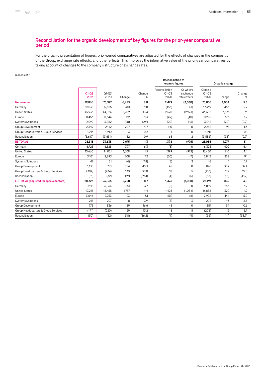## Reconciliation for the organic development of key figures for the prior-year comparative period

For the organic presentation of figures, prior-period comparatives are adjusted for the effects of changes in the composition of the Group, exchange rate effects, and other effects. This improves the informative value of the prior-year comparatives by taking account of changes to the company's structure or exchange rates.

| millions of $\epsilon$                          |                   |                   |        |             |                                             |                                       |                              |                |             |
|-------------------------------------------------|-------------------|-------------------|--------|-------------|---------------------------------------------|---------------------------------------|------------------------------|----------------|-------------|
|                                                 |                   |                   |        |             | <b>Reconciliation to</b><br>organic figures |                                       | Organic change               |                |             |
|                                                 | $Q1 - Q3$<br>2021 | $Q1 - Q3$<br>2020 | Change | Change<br>% | Reconciliation<br>$Q1 - Q3$<br>2020         | Of which:<br>exchange<br>rate effects | Organic<br>$Q1 - Q3$<br>2020 | Change         | Change<br>% |
| Net revenue                                     | 79,860            | 73,377            | 6,483  | 8.8         | 2,479                                       | (3,030)                               | 75,856                       | 4,004          | 5.3         |
| Germany                                         | 17,835            | 17,525            | 310    | 1.8         | (156)                                       | (3)                                   | 17,369                       | 466            | 2.7         |
| <b>United States</b>                            | 49.933            | 44,024            | 5.909  | 13.4        | 2,578                                       | (2,973)                               | 46,602                       | 3,331          | 7.1         |
| Europe                                          | 8,456             | 8,344             | 112    | 1.3         | (49)                                        | (40)                                  | 8,295                        | 161            | 1.9         |
| <b>Systems Solutions</b>                        | 2,992             | 3,082             | (90)   | (2.9)       | (70)                                        | (16)                                  | 3,012                        | (20)           | (0.7)       |
| Group Development                               | 2,349             | 2,142             | 207    | 9.7         | 110                                         | $\mathbf 0$                           | 2,252                        | 97             | 4.3         |
| Group Headquarters & Group Services             | 1,913             | 1,910             | 3      | 0.2         | $\mathbf{1}$                                | $\mathbf 0$                           | 1,911                        | $\overline{2}$ | 0.1         |
| Reconciliation                                  | (3,619)           | (3,651)           | 32     | 0.9         | 65                                          | $\overline{2}$                        | (3,586)                      | (33)           | (0.9)       |
| <b>EBITDA AL</b>                                | 26,313            | 23,638            | 2,675  | 11.3        | 1,398                                       | (976)                                 | 25,036                       | 1,277          | 5.1         |
| Germany                                         | 6,725             | 6,328             | 397    | 6.3         | (5)                                         | 0                                     | 6,323                        | 402            | 6.4         |
| <b>United States</b>                            | 15,660            | 14,051            | 1,609  | 11.5        | 1,399                                       | (972)                                 | 15,450                       | 210            | 1.4         |
| Europe                                          | 3,101             | 2,893             | 208    | 7.2         | (50)                                        | (7)                                   | 2,843                        | 258            | 9.1         |
| <b>Systems Solutions</b>                        | 47                | 51                | (4)    | (7.8)       | (5)                                         | 3                                     | 46                           | 1              | 1.7         |
| Group Development                               | 1,135             | 781               | 354    | 45.3        | 45                                          | $\mathbf 0$                           | 826                          | 309            | 37.4        |
| Group Headquarters & Group Services             | (304)             | (434)             | 130    | 30.0        | 18                                          | 5                                     | (416)                        | 112            | 27.0        |
| Reconciliation                                  | (51)              | (32)              | (19)   | (59.4)      | (4)                                         | (5)                                   | (36)                         | (15)           | (41.7)      |
| <b>EBITDA AL (adjusted for special factors)</b> | 28,323            | 26,065            | 2,258  | 8.7         | 1,426                                       | (1,088)                               | 27,491                       | 832            | 3.0         |
| Germany                                         | 7,115             | 6,864             | 251    | 3.7         | (5)                                         | $\Omega$                              | 6,859                        | 256            | 3.7         |
| <b>United States</b>                            | 17,215            | 15,458            | 1,757  | 11.4        | 1,428                                       | (1,084)                               | 16,886                       | 329            | 1.9         |
| Europe                                          | 3,046             | 2,953             | 93     | 3.1         | (51)                                        | (8)                                   | 2,902                        | 144            | 5.0         |
| <b>Systems Solutions</b>                        | 215               | 207               | 8      | 3.9         | (5)                                         | 3                                     | 202                          | 13             | 6.5         |
| Group Development                               | 975               | 836               | 139    | 16.6        | 45                                          | $\mathbf 0$                           | 881                          | 94             | 10.6        |
| Group Headquarters & Group Services             | (191)             | (220)             | 29     | 13.2        | 18                                          | 5                                     | (203)                        | 12             | 5.7         |
| Reconciliation                                  | (50)              | (32)              | (18)   | (56.2)      | (4)                                         | (4)                                   | (36)                         | (14)           | (38.9)      |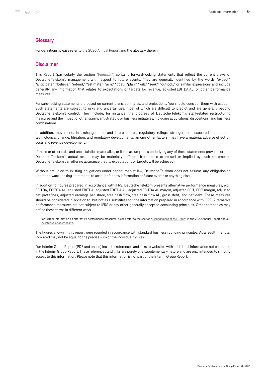### **Glossary**

For definitions, please refer to the [2020 Annual Report](https://report.telekom.com/annual-report-2020/services/glossary.html) and the glossary therein.

## Disclaimer

This Report (particularly the section "[Forecast"](#page-38-0)) contains forward-looking statements that reflect the current views of Deutsche Telekom's management with respect to future events. They are generally identified by the words "expect," "anticipate," "believe," "intend," "estimate," "aim," "goal," "plan," "will," "seek," "outlook," or similar expressions and include generally any information that relates to expectations or targets for revenue, adjusted EBITDA AL, or other performance measures.

Forward-looking statements are based on current plans, estimates, and projections. You should consider them with caution. Such statements are subject to risks and uncertainties, most of which are difficult to predict and are generally beyond Deutsche Telekom's control. They include, for instance, the progress of Deutsche Telekom's staff-related restructuring measures and the impact of other significant strategic or business initiatives, including acquisitions, dispositions, and business combinations.

In addition, movements in exchange rates and interest rates, regulatory rulings, stronger than expected competition, technological change, litigation, and regulatory developments, among other factors, may have a material adverse effect on costs and revenue development.

If these or other risks and uncertainties materialize, or if the assumptions underlying any of these statements prove incorrect, Deutsche Telekom's actual results may be materially different from those expressed or implied by such statements. Deutsche Telekom can offer no assurance that its expectations or targets will be achieved.

Without prejudice to existing obligations under capital market law, Deutsche Telekom does not assume any obligation to update forward-looking statements to account for new information or future events or anything else.

In addition to figures prepared in accordance with IFRS, Deutsche Telekom presents alternative performance measures, e.g., EBITDA, EBITDA AL, adjusted EBITDA, adjusted EBITDA AL, adjusted EBITDA AL margin, adjusted EBIT, EBIT margin, adjusted net profit/loss, adjusted earnings per share, free cash flow, free cash flow AL, gross debt, and net debt. These measures should be considered in addition to, but not as a substitute for, the information prepared in accordance with IFRS. Alternative performance measures are not subject to IFRS or any other generally accepted accounting principles. Other companies may define these terms in different ways.

For further information on alternative performance measures, please refer to the section ["Management of the Group"](https://report.telekom.com/annual-report-2020/management-report/management-of-the-group.html) in the 2020 Annual Report and our [Investor Relations website.](https://www.telekom.com/en/investor-relations/investor-relations/alternative-performance-measures-in-the-management-system-486970)

The figures shown in this report were rounded in accordance with standard business rounding principles. As a result, the total indicated may not be equal to the precise sum of the individual figures.

Our Interim Group Report (PDF and online) includes references and links to websites with additional information not contained in the Interim Group Report. These references and links are purely of a supplementary nature and are only intended to simplify access to this information. Please note that this information is not part of the Interim Group Report.